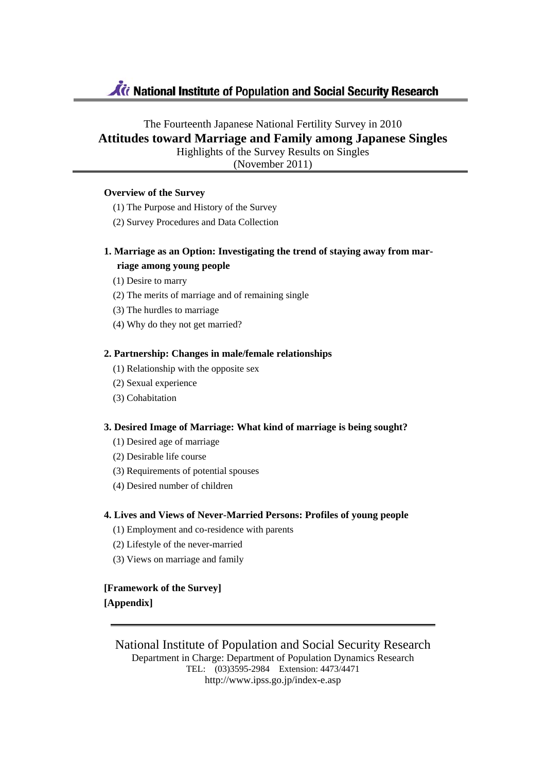# Ki National Institute of Population and Social Security Research

# The Fourteenth Japanese National Fertility Survey in 2010 **Attitudes toward Marriage and Family among Japanese Singles** Highlights of the Survey Results on Singles

(November 2011)

## **Overview of the Survey**

- (1) The Purpose and History of the Survey
- (2) Survey Procedures and Data Collection

# **1. Marriage as an Option: Investigating the trend of staying away from marriage among young people**

- (1) Desire to marry
- (2) The merits of marriage and of remaining single
- (3) The hurdles to marriage
- (4) Why do they not get married?

## **2. Partnership: Changes in male/female relationships**

- (1) Relationship with the opposite sex
- (2) Sexual experience
- (3) Cohabitation

## **3. Desired Image of Marriage: What kind of marriage is being sought?**

- (1) Desired age of marriage
- (2) Desirable life course
- (3) Requirements of potential spouses
- (4) Desired number of children

## **4. Lives and Views of Never-Married Persons: Profiles of young people**

- (1) Employment and co-residence with parents
- (2) Lifestyle of the never-married
- (3) Views on marriage and family

**[Framework of the Survey] [Appendix]** 

National Institute of Population and Social Security Research Department in Charge: Department of Population Dynamics Research TEL: (03)3595-2984 Extension: 4473/4471 http://www.ipss.go.jp/index-e.asp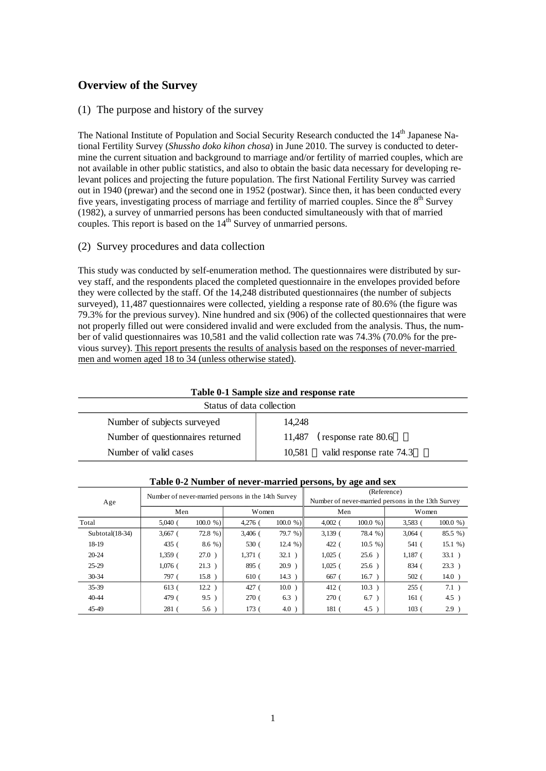# **Overview of the Survey**

## (1) The purpose and history of the survey

The National Institute of Population and Social Security Research conducted the 14<sup>th</sup> Japanese National Fertility Survey (*Shussho doko kihon chosa*) in June 2010. The survey is conducted to determine the current situation and background to marriage and/or fertility of married couples, which are not available in other public statistics, and also to obtain the basic data necessary for developing relevant polices and projecting the future population. The first National Fertility Survey was carried out in 1940 (prewar) and the second one in 1952 (postwar). Since then, it has been conducted every five years, investigating process of marriage and fertility of married couples. Since the  $8<sup>th</sup>$  Survey (1982), a survey of unmarried persons has been conducted simultaneously with that of married couples. This report is based on the  $14<sup>th</sup>$  Survey of unmarried persons.

## (2) Survey procedures and data collection

This study was conducted by self-enumeration method. The questionnaires were distributed by survey staff, and the respondents placed the completed questionnaire in the envelopes provided before they were collected by the staff. Of the 14,248 distributed questionnaires (the number of subjects surveyed), 11,487 questionnaires were collected, yielding a response rate of 80.6% (the figure was 79.3% for the previous survey). Nine hundred and six (906) of the collected questionnaires that were not properly filled out were considered invalid and were excluded from the analysis. Thus, the number of valid questionnaires was 10,581 and the valid collection rate was 74.3% (70.0% for the previous survey). This report presents the results of analysis based on the responses of never-married men and women aged 18 to 34 (unless otherwise stated).

| Table 0-1 Sample size and response rate |                                    |  |  |  |  |  |  |  |
|-----------------------------------------|------------------------------------|--|--|--|--|--|--|--|
| Status of data collection               |                                    |  |  |  |  |  |  |  |
| Number of subjects surveyed             | 14.248                             |  |  |  |  |  |  |  |
| Number of questionnaires returned       | (response rate 80.6)<br>11.487     |  |  |  |  |  |  |  |
| Number of valid cases                   | valid response rate 74.3<br>10.581 |  |  |  |  |  |  |  |

|                   | $\frac{1}{2}$ |           | $P_{\text{S}}$                                     |            |                                                                   |            |                  |            |  |
|-------------------|---------------|-----------|----------------------------------------------------|------------|-------------------------------------------------------------------|------------|------------------|------------|--|
| Age               |               |           | Number of never-married persons in the 14th Survey |            | (Reference)<br>Number of never-married persons in the 13th Survey |            |                  |            |  |
|                   | Men           |           | Women                                              |            | Men                                                               |            | Women            |            |  |
| Total             | $5,040$ (     | 100.0 %   | $4,276$ (                                          | 100.0 %    | 4.002                                                             | 100.0 %    | 3.583            | $100.0 \%$ |  |
| $Subtotal(18-34)$ | $3,667$ (     | $72.8\%$  | $3,406$ (                                          | 79.7 %     | $3,139$ (                                                         | $78.4\%$ ) | $3,064$ (        | 85.5 %)    |  |
| 18-19             | 435 (         | $8.6\%$ ) | 530 (                                              | $12.4\%$ ) | 422 (                                                             | $10.5 \%$  | 541(             | 15.1%      |  |
| $20 - 24$         | $1,359$ (     | $27.0$ )  | $1,371$ (                                          | 32.1)      | $1,025$ (                                                         | $25.6$ )   | $1,187$ (        | $33.1$ )   |  |
| $25-29$           | $1,076$ (     | $21.3$ )  | 895 (                                              | 20.9)      | $1,025$ (                                                         | $25.6$ )   | 834 (            | 23.3)      |  |
| $30 - 34$         | 797 (         | 15.8)     | 610 <sub>0</sub>                                   | 14.3)      | 667                                                               | 16.7)      | 502(             | $14.0$ )   |  |
| $35-39$           | 613 (         | 12.2)     | 427 (                                              | $10.0$ )   | 412(                                                              | 10.3)      | 255(             | 7.1)       |  |
| 40-44             | 479 (         | 9.5)      | 270(                                               | 6.3        | 270(                                                              | 6.7)       | 161 <sub>0</sub> | $4.5$ )    |  |
| 45-49             | 281(          | $5.6$ )   | 173(                                               | 4.0        | 181                                                               | $4.5$ )    | 103(             | 2.9)       |  |

**Table 0-2 Number of never-married persons, by age and sex**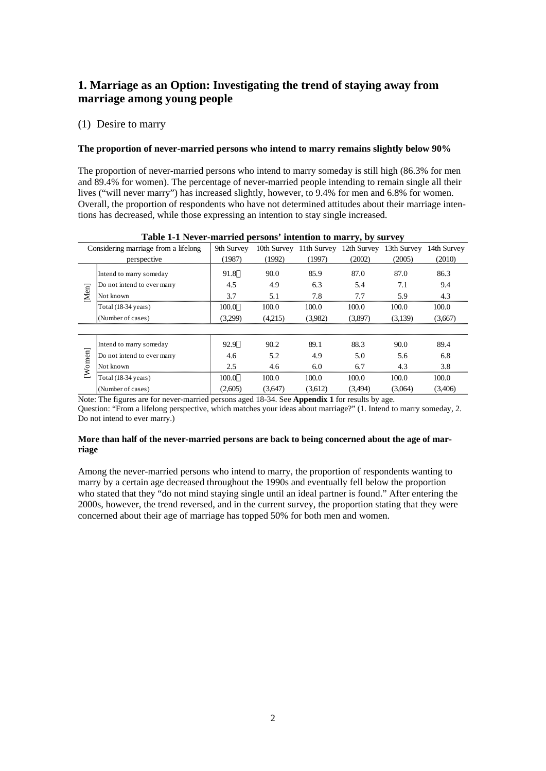# **1. Marriage as an Option: Investigating the trend of staying away from marriage among young people**

## (1) Desire to marry

## **The proportion of never-married persons who intend to marry remains slightly below 90%**

The proportion of never-married persons who intend to marry someday is still high (86.3% for men and 89.4% for women). The percentage of never-married people intending to remain single all their lives ("will never marry") has increased slightly, however, to 9.4% for men and 6.8% for women. Overall, the proportion of respondents who have not determined attitudes about their marriage intentions has decreased, while those expressing an intention to stay single increased.

|       |                                      |            |             |             | ັ່          |             |             |
|-------|--------------------------------------|------------|-------------|-------------|-------------|-------------|-------------|
|       | Considering marriage from a lifelong | 9th Survey | 10th Survey | 11th Survey | 12th Survey | 13th Survey | 14th Survey |
|       | perspective                          | (1987)     | (1992)      | (1997)      | (2002)      | (2005)      | (2010)      |
|       | Intend to marry someday              | 91.8       | 90.0        | 85.9        | 87.0        | 87.0        | 86.3        |
|       | Do not intend to ever marry          | 4.5        | 4.9         | 6.3         | 5.4         | 7.1         | 9.4         |
| Men]  | Not known                            | 3.7        | 5.1         | 7.8         | 7.7         | 5.9         | 4.3         |
|       | Total $(18-34 \text{ years})$        | 100.0      | 100.0       | 100.0       | 100.0       | 100.0       | 100.0       |
|       | (Number of cases)                    | (3,299)    | (4.215)     | (3,982)     | (3,897)     | (3,139)     | (3,667)     |
|       |                                      |            |             |             |             |             |             |
|       | Intend to marry someday              | 92.9       | 90.2        | 89.1        | 88.3        | 90.0        | 89.4        |
|       | Do not intend to ever marry          | 4.6        | 5.2         | 4.9         | 5.0         | 5.6         | 6.8         |
| Women | Not known                            | 2.5        | 4.6         | 6.0         | 6.7         | 4.3         | 3.8         |
|       | Total (18-34 years)                  | 100.0      | 100.0       | 100.0       | 100.0       | 100.0       | 100.0       |
|       | (Number of cases)                    | (2,605)    | (3,647)     | (3,612)     | (3,494)     | (3,064)     | (3,406)     |
|       |                                      |            |             |             |             |             |             |

## **Table 1-1 Never-married persons' intention to marry, by survey**

Note: The figures are for never-married persons aged 18-34. See **Appendix 1** for results by age. Question: "From a lifelong perspective, which matches your ideas about marriage?" (1. Intend to marry someday, 2. Do not intend to ever marry.)

## **More than half of the never-married persons are back to being concerned about the age of marriage**

Among the never-married persons who intend to marry, the proportion of respondents wanting to marry by a certain age decreased throughout the 1990s and eventually fell below the proportion who stated that they "do not mind staying single until an ideal partner is found." After entering the 2000s, however, the trend reversed, and in the current survey, the proportion stating that they were concerned about their age of marriage has topped 50% for both men and women.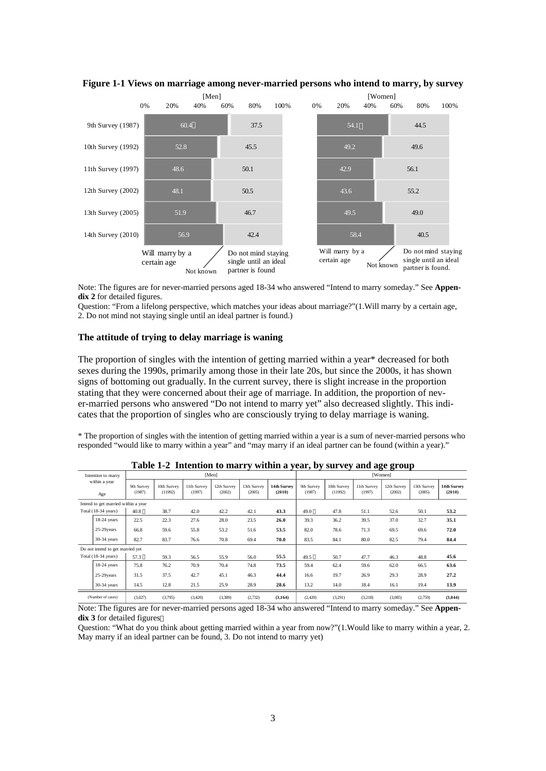

**Figure 1-1 Views on marriage among never-married persons who intend to marry, by survey**

Note: The figures are for never-married persons aged 18-34 who answered "Intend to marry someday." See **Appendix 2** for detailed figures.

Question: "From a lifelong perspective, which matches your ideas about marriage?"(1.Will marry by a certain age, 2. Do not mind not staying single until an ideal partner is found.)

#### **The attitude of trying to delay marriage is waning**

The proportion of singles with the intention of getting married within a year\* decreased for both sexes during the 1990s, primarily among those in their late 20s, but since the 2000s, it has shown signs of bottoming out gradually. In the current survey, there is slight increase in the proportion stating that they were concerned about their age of marriage. In addition, the proportion of never-married persons who answered "Do not intend to marry yet" also decreased slightly. This indicates that the proportion of singles who are consciously trying to delay marriage is waning.

\* The proportion of singles with the intention of getting married within a year is a sum of never-married persons who responded "would like to marry within a year" and "may marry if an ideal partner can be found (within a year)."

| Intention to marry                  |                      |                        |                       | [Men]                 |                       |                       |                      |                        |                       | 0.0<br>[Women]        |                       |                       |
|-------------------------------------|----------------------|------------------------|-----------------------|-----------------------|-----------------------|-----------------------|----------------------|------------------------|-----------------------|-----------------------|-----------------------|-----------------------|
| within a year<br>Age                | 9th Survey<br>(1987) | 10th Survey<br>(11992) | 11th Survey<br>(1997) | 12th Survey<br>(2002) | 13th Survey<br>(2005) | 14th Survey<br>(2010) | 9th Survey<br>(1987) | 10th Survey<br>(11992) | 11th Survey<br>(1997) | 12th Survey<br>(2002) | 13th Survey<br>(2005) | 14th Survey<br>(2010) |
| Intend to get married within a year |                      |                        |                       |                       |                       |                       |                      |                        |                       |                       |                       |                       |
| Total $(18-34 \text{ years})$       | 40.8                 | 38.7                   | 42.0                  | 42.2                  | 42.1                  | 43.3                  | 49.0                 | 47.8                   | 51.1                  | 52.6                  | 50.1                  | 53.2                  |
| $18-24$ years                       | 22.5                 | 22.3                   | 27.6                  | 28.0                  | 23.5                  | 26.0                  | 39.3                 | 36.2                   | 39.5                  | 37.0                  | 32.7                  | 35.1                  |
| 25-29 years                         | 66.8                 | 59.6                   | 55.8                  | 53.2                  | 51.6                  | 53.5                  | 82.0                 | 78.6                   | 71.3                  | 69.5                  | 69.6                  | 72.0                  |
| $30-34$ years                       | 82.7                 | 83.7                   | 76.6                  | 70.8                  | 69.4                  | 70.0                  | 83.5                 | 84.1                   | 80.0                  | 82.5                  | 79.4                  | 84.4                  |
| Do not intend to get married yet    |                      |                        |                       |                       |                       |                       |                      |                        |                       |                       |                       |                       |
| Total (18-34 years)                 | 57.3                 | 59.3                   | 56.5                  | 55.9                  | 56.0                  | 55.5                  | 49.5                 | 50.7                   | 47.7                  | 46.3                  | 48.8                  | 45.6                  |
| $18-24$ years                       | 75.8                 | 76.2                   | 70.9                  | 70.4                  | 74.8                  | 73.5                  | 59.4                 | 62.4                   | 59.6                  | 62.0                  | 66.5                  | 63.6                  |
| 25-29 years                         | 31.5                 | 37.5                   | 42.7                  | 45.1                  | 46.3                  | 44.4                  | 16.6                 | 19.7                   | 26.9                  | 29.3                  | 28.9                  | 27.2                  |
| $30-34$ years                       | 14.5                 | 12.8                   | 21.5                  | 25.9                  | 28.9                  | 28.6                  | 13.2                 | 14.0                   | 18.4                  | 16.1                  | 19.4                  | 13.9                  |
| (Number of cases)                   | (3,027)              | (3,795)                | (3,420)               | (3,389)               | (2,732)               | (3, 164)              | (2,420)              | (3,291)                | (3,218)               | (3,085)               | (2,759)               | (3,044)               |

**Table 1-2 Intention to marry within a year, by survey and age group**

Note: The figures are for never-married persons aged 18-34 who answered "Intend to marry someday." See **Appendix 3** for detailed figures

Question: "What do you think about getting married within a year from now?"(1.Would like to marry within a year, 2. May marry if an ideal partner can be found, 3. Do not intend to marry yet)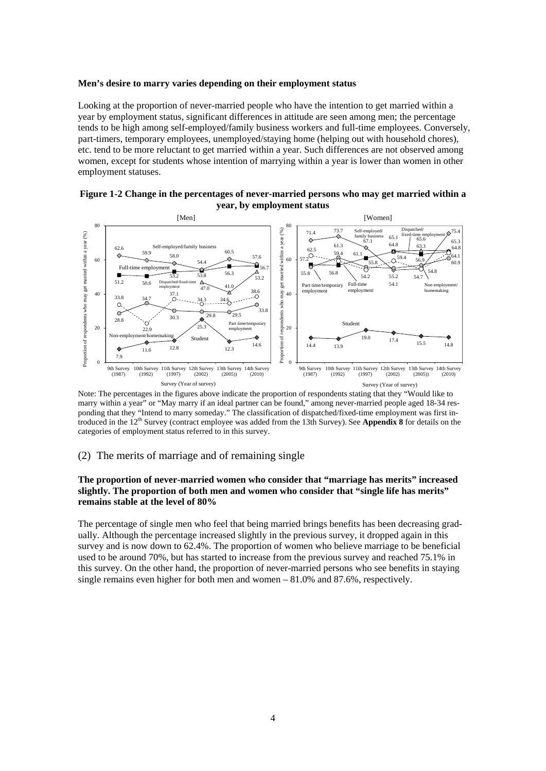#### **Men's desire to marry varies depending on their employment status**

Looking at the proportion of never-married people who have the intention to get married within a year by employment status, significant differences in attitude are seen among men; the percentage tends to be high among self-employed/family business workers and full-time employees. Conversely, part-timers, temporary employees, unemployed/staying home (helping out with household chores), etc. tend to be more reluctant to get married within a year. Such differences are not observed among women, except for students whose intention of marrying within a year is lower than women in other employment statuses.



## **Figure 1-2 Change in the percentages of never-married persons who may get married within a year, by employment status**

Note: The percentages in the figures above indicate the proportion of respondents stating that they "Would like to marry within a year" or "May marry if an ideal partner can be found," among never-married people aged 18-34 responding that they "Intend to marry someday." The classification of dispatched/fixed-time employment was first introduced in the 12th Survey (contract employee was added from the 13th Survey). See **Appendix 8** for details on the categories of employment status referred to in this survey.

## (2) The merits of marriage and of remaining single

## **The proportion of never-married women who consider that "marriage has merits" increased slightly. The proportion of both men and women who consider that "single life has merits" remains stable at the level of 80%**

The percentage of single men who feel that being married brings benefits has been decreasing gradually. Although the percentage increased slightly in the previous survey, it dropped again in this survey and is now down to 62.4%. The proportion of women who believe marriage to be beneficial used to be around 70%, but has started to increase from the previous survey and reached 75.1% in this survey. On the other hand, the proportion of never-married persons who see benefits in staying single remains even higher for both men and women – 81.0% and 87.6%, respectively.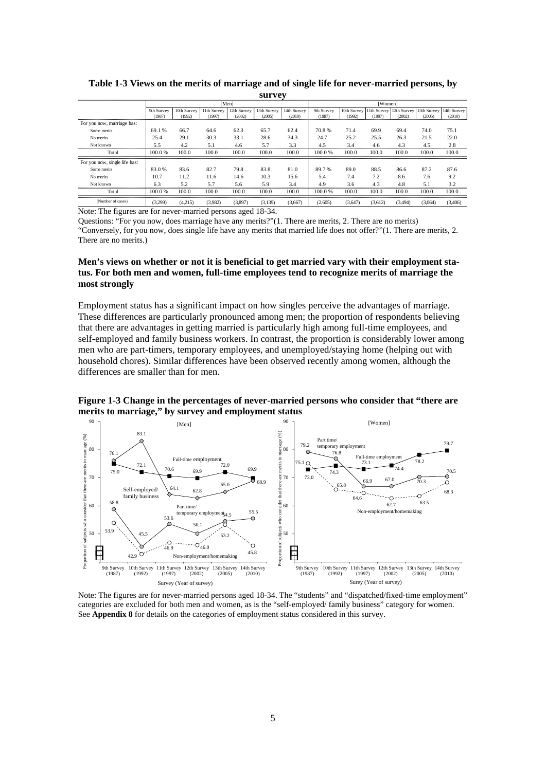|                               |            |             | [Men]       |             |             |             | [Women]    |                           |         |         |                                     |         |
|-------------------------------|------------|-------------|-------------|-------------|-------------|-------------|------------|---------------------------|---------|---------|-------------------------------------|---------|
|                               | 9th Survey | 10th Survey | 11th Survey | 12th Survey | 13th Survey | 14th Survey | 9th Survey | 10th Survey   11th Survey |         |         | 12th Survey 13th Survey 14th Survey |         |
|                               | (1987)     | (1992)      | (1997)      | (2002)      | (2005)      | (2010)      | (1987)     | (1992)                    | (1997)  | (2002)  | (2005)                              | (2010)  |
| For you now, marriage has:    |            |             |             |             |             |             |            |                           |         |         |                                     |         |
| Some merits                   | 69.1 %     | 66.7        | 64.6        | 62.3        | 65.7        | 62.4        | 70.8%      | 71.4                      | 69.9    | 69.4    | 74.0                                | 75.1    |
| No merits                     | 25.4       | 29.1        | 30.3        | 33.1        | 28.6        | 34.3        | 24.7       | 25.2                      | 25.5    | 26.3    | 21.5                                | 22.0    |
| Not known                     | 5.5        | 4.2         | 5.1         | 4.6         | 5.7         | 3.3         | 4.5        | 3.4                       | 4.6     | 4.3     | 4.5                                 | 2.8     |
| Total                         | 100.0%     | 100.0       | 100.0       | 100.0       | 100.0       | 100.0       | 100.0%     | 100.0                     | 100.0   | 100.0   | 100.0                               | 100.0   |
| For you now, single life has: |            |             |             |             |             |             |            |                           |         |         |                                     |         |
| Some merits                   | 83.0%      | 83.6        | 82.7        | 79.8        | 83.8        | 81.0        | 89.7%      | 89.0                      | 88.5    | 86.6    | 87.2                                | 87.6    |
| No merits                     | 10.7       | 11.2        | 11.6        | 14.6        | 10.3        | 15.6        | 5.4        | 7.4                       | 7.2     | 8.6     | 7.6                                 | 9.2     |
| Not known                     | 6.3        | 5.2         | 5.7         | 5.6         | 5.9         | 3.4         | 4.9        | 3.6                       | 4.3     | 4.8     | 5.1                                 | 3.2     |
| Total                         | 100.0%     | 100.0       | 100.0       | 100.0       | 100.0       | 100.0       | 100.0%     | 100.0                     | 100.0   | 100.0   | 100.0                               | 100.0   |
| (Number of cases)             | (3,299)    | (4,215)     | (3.982)     | (3,897)     | (3.139)     | (3,667)     | (2,605)    | (3,647)                   | (3.612) | (3.494) | (3,064)                             | (3,406) |

**Table 1-3 Views on the merits of marriage and of single life for never-married persons, by survey**

Note: The figures are for never-married persons aged 18-34.

Questions: "For you now, does marriage have any merits?"(1. There are merits, 2. There are no merits) "Conversely, for you now, does single life have any merits that married life does not offer?"(1. There are merits, 2. There are no merits.)

## **Men's views on whether or not it is beneficial to get married vary with their employment status. For both men and women, full-time employees tend to recognize merits of marriage the most strongly**

Employment status has a significant impact on how singles perceive the advantages of marriage. These differences are particularly pronounced among men; the proportion of respondents believing that there are advantages in getting married is particularly high among full-time employees, and self-employed and family business workers. In contrast, the proportion is considerably lower among men who are part-timers, temporary employees, and unemployed/staying home (helping out with household chores). Similar differences have been observed recently among women, although the differences are smaller than for men.

**Figure 1-3 Change in the percentages of never-married persons who consider that "there are merits to marriage," by survey and employment status**



Note: The figures are for never-married persons aged 18-34. The "students" and "dispatched/fixed-time employment" categories are excluded for both men and women, as is the "self-employed/ family business" category for women. See **Appendix 8** for details on the categories of employment status considered in this survey.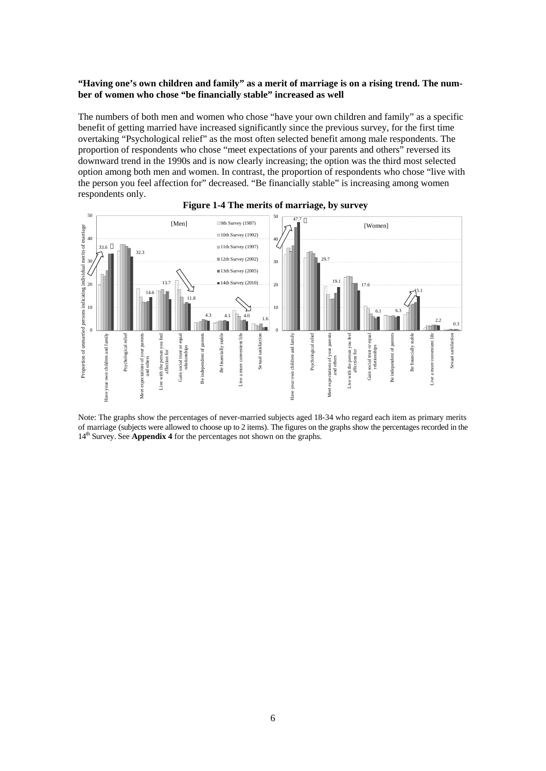## **"Having one's own children and family" as a merit of marriage is on a rising trend. The number of women who chose "be financially stable" increased as well**

The numbers of both men and women who chose "have your own children and family" as a specific benefit of getting married have increased significantly since the previous survey, for the first time overtaking "Psychological relief" as the most often selected benefit among male respondents. The proportion of respondents who chose "meet expectations of your parents and others" reversed its downward trend in the 1990s and is now clearly increasing; the option was the third most selected option among both men and women. In contrast, the proportion of respondents who chose "live with the person you feel affection for" decreased. "Be financially stable" is increasing among women respondents only.





Note: The graphs show the percentages of never-married subjects aged 18-34 who regard each item as primary merits of marriage (subjects were allowed to choose up to 2 items). The figures on the graphs show the percentages recorded in the 14<sup>th</sup> Survey. See **Appendix 4** for the percentages not shown on the graphs.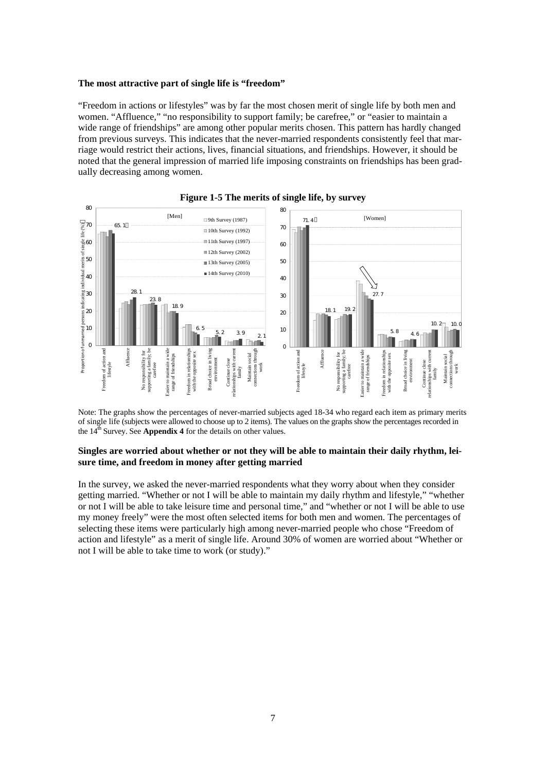#### **The most attractive part of single life is "freedom"**

"Freedom in actions or lifestyles" was by far the most chosen merit of single life by both men and women. "Affluence," "no responsibility to support family; be carefree," or "easier to maintain a wide range of friendships" are among other popular merits chosen. This pattern has hardly changed from previous surveys. This indicates that the never-married respondents consistently feel that marriage would restrict their actions, lives, financial situations, and friendships. However, it should be noted that the general impression of married life imposing constraints on friendships has been gradually decreasing among women.



## **Figure 1-5 The merits of single life, by survey**

Note: The graphs show the percentages of never-married subjects aged 18-34 who regard each item as primary merits of single life (subjects were allowed to choose up to 2 items). The values on the graphs show the percentages recorded in the 14<sup>th</sup> Survey. See **Appendix 4** for the details on other values.

## **Singles are worried about whether or not they will be able to maintain their daily rhythm, leisure time, and freedom in money after getting married**

In the survey, we asked the never-married respondents what they worry about when they consider getting married. "Whether or not I will be able to maintain my daily rhythm and lifestyle," "whether or not I will be able to take leisure time and personal time," and "whether or not I will be able to use my money freely" were the most often selected items for both men and women. The percentages of selecting these items were particularly high among never-married people who chose "Freedom of action and lifestyle" as a merit of single life. Around 30% of women are worried about "Whether or not I will be able to take time to work (or study)."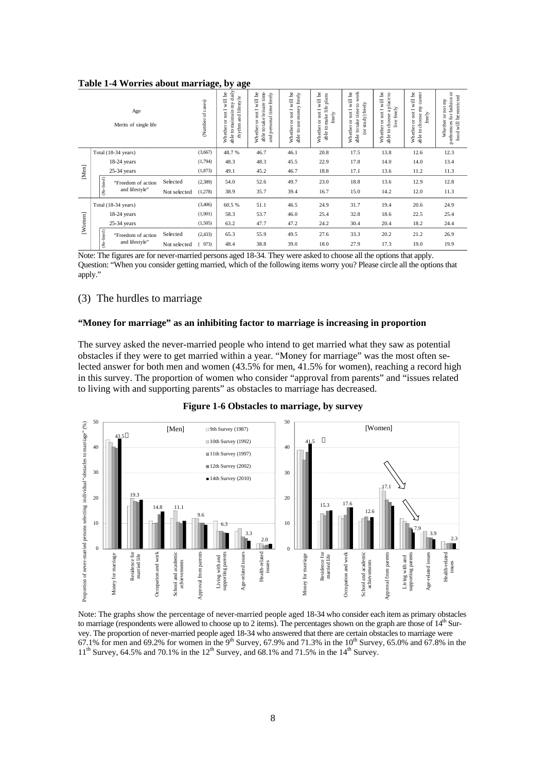|  |  | Table 1-4 Worries about marriage, by age |  |
|--|--|------------------------------------------|--|
|  |  |                                          |  |

| Age<br>Merits of single life |               |                                   |              | Number of cases) | able to maintain my daily<br>will be<br>rhythm and lifestyle<br>not I<br>Whether or | will be<br>able to take leisure time<br>and personal time freely<br>Whether or not I | will be<br>freely<br>money!<br>Whether or not I<br>able touse | Whether or not I will be<br>plans<br>able to make life<br>freely | work<br>will be<br>(or study) freely<br>$\overline{c}$<br>able to take time<br>Whether or not I | Whether or not I will be<br>$\mathbf{c}$<br>to choose a place<br>freely<br>live:<br>able | career<br>Whether or not I will be<br>to choose my<br>freely<br>able | preferences for fashion or<br>berestricted<br>not my<br>ă<br>Whether<br>$\overline{\mathbf{w}}$<br>$\mathop{\mathrm{food}}$ |
|------------------------------|---------------|-----------------------------------|--------------|------------------|-------------------------------------------------------------------------------------|--------------------------------------------------------------------------------------|---------------------------------------------------------------|------------------------------------------------------------------|-------------------------------------------------------------------------------------------------|------------------------------------------------------------------------------------------|----------------------------------------------------------------------|-----------------------------------------------------------------------------------------------------------------------------|
|                              |               | Total (18-34 years)               |              | (3,667)          | 48.7%                                                                               | 46.7                                                                                 | 46.1                                                          | 20.8                                                             | 17.5                                                                                            | 13.8                                                                                     | 12.6                                                                 | 12.3                                                                                                                        |
|                              |               | $18-24$ years                     | (1,794)      | 48.3             | 48.3                                                                                | 45.5                                                                                 | 22.9                                                          | 17.8                                                             | 14.0                                                                                            | 14.0                                                                                     | 13.4                                                                 |                                                                                                                             |
| [Men]                        | $25-34$ years |                                   |              | (1,873)          | 49.1                                                                                | 45.2                                                                                 | 46.7                                                          | 18.8                                                             | 17.1                                                                                            | 13.6                                                                                     | 11.2                                                                 | 11.3                                                                                                                        |
|                              |               | "Freedom of action                | Selected     | (2,389)          | 54.0                                                                                | 52.6                                                                                 | 49.7                                                          | 23.0                                                             | 18.8                                                                                            | 13.6                                                                                     | 12.9                                                                 | 12.8                                                                                                                        |
|                              |               | (Re-listed)<br>and lifestyle"     | Not selected | (1,278)          | 38.9                                                                                | 35.7                                                                                 | 39.4                                                          | 16.7                                                             | 15.0                                                                                            | 14.2                                                                                     | 12.0                                                                 | 11.3                                                                                                                        |
|                              |               | Total (18-34 years)               |              | (3,406)          | 60.5%                                                                               | 51.1                                                                                 | 46.5                                                          | 24.9                                                             | 31.7                                                                                            | 19.4                                                                                     | 20.6                                                                 | 24.9                                                                                                                        |
|                              |               | $18-24$ years                     |              | (1,901)          | 58.3                                                                                | 53.7                                                                                 | 46.0                                                          | 25.4                                                             | 32.8                                                                                            | 18.6                                                                                     | 22.5                                                                 | 25.4                                                                                                                        |
| [Women]                      |               | $25-34$ years                     |              | (1,505)          | 63.2                                                                                | 47.7                                                                                 | 47.2                                                          | 24.2                                                             | 30.4                                                                                            | 20.4                                                                                     | 18.2                                                                 | 24.4                                                                                                                        |
|                              |               | (Re-listed)<br>"Freedom of action | Selected     | (2, 433)         | 65.3                                                                                | 55.9                                                                                 | 49.5                                                          | 27.6                                                             | 33.3                                                                                            | 20.2                                                                                     | 21.2                                                                 | 26.9                                                                                                                        |
|                              |               | and lifestyle"                    | Not selected | 973)             | 48.4                                                                                | 38.8                                                                                 | 39.0                                                          | 18.0                                                             | 27.9                                                                                            | 17.3                                                                                     | 19.0                                                                 | 19.9                                                                                                                        |

Note: The figures are for never-married persons aged 18-34. They were asked to choose all the options that apply. Question: "When you consider getting married, which of the following items worry you? Please circle all the options that apply."

## (3) The hurdles to marriage

#### **"Money for marriage" as an inhibiting factor to marriage is increasing in proportion**

The survey asked the never-married people who intend to get married what they saw as potential obstacles if they were to get married within a year. "Money for marriage" was the most often selected answer for both men and women (43.5% for men, 41.5% for women), reaching a record high in this survey. The proportion of women who consider "approval from parents" and "issues related to living with and supporting parents" as obstacles to marriage has decreased.



**Figure 1-6 Obstacles to marriage, by survey** 

Note: The graphs show the percentage of never-married people aged 18-34 who consider each item as primary obstacles to marriage (respondents were allowed to choose up to 2 items). The percentages shown on the graph are those of  $14<sup>th</sup>$  Survey. The proportion of never-married people aged 18-34 who answered that there are certain obstacles to marriage were 67.1% for men and 69.2% for women in the 9<sup>th</sup> Survey, 67.9% and 71.3% in the 10<sup>th</sup> Survey, 65.0% and 67.8% in the  $11<sup>th</sup>$  Survey, 64.5% and 70.1% in the  $12<sup>th</sup>$  Survey, and 68.1% and 71.5% in the  $14<sup>th</sup>$  Survey.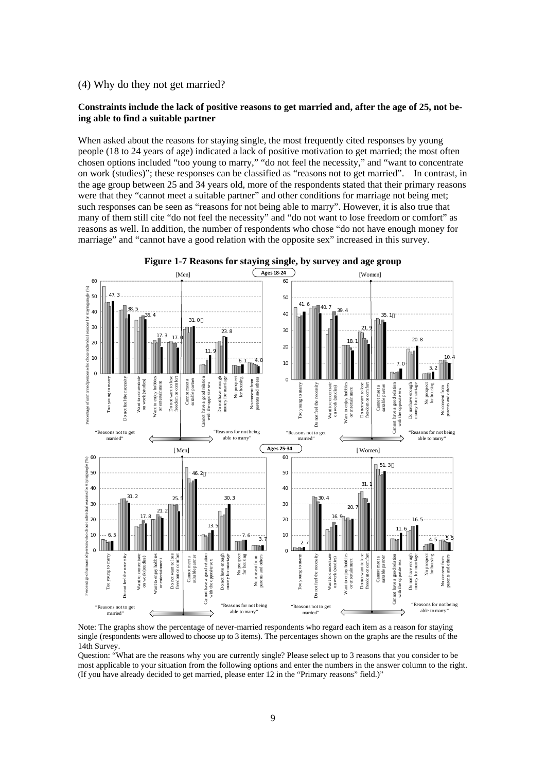## (4) Why do they not get married?

## **Constraints include the lack of positive reasons to get married and, after the age of 25, not being able to find a suitable partner**

When asked about the reasons for staying single, the most frequently cited responses by young people (18 to 24 years of age) indicated a lack of positive motivation to get married; the most often chosen options included "too young to marry," "do not feel the necessity," and "want to concentrate on work (studies)"; these responses can be classified as "reasons not to get married". In contrast, in the age group between 25 and 34 years old, more of the respondents stated that their primary reasons were that they "cannot meet a suitable partner" and other conditions for marriage not being met; such responses can be seen as "reasons for not being able to marry". However, it is also true that many of them still cite "do not feel the necessity" and "do not want to lose freedom or comfort" as reasons as well. In addition, the number of respondents who chose "do not have enough money for marriage" and "cannot have a good relation with the opposite sex" increased in this survey.



**Figure 1-7 Reasons for staying single, by survey and age group** 

Note: The graphs show the percentage of never-married respondents who regard each item as a reason for staying single (respondents were allowed to choose up to 3 items). The percentages shown on the graphs are the results of the 14th Survey.

Question: "What are the reasons why you are currently single? Please select up to 3 reasons that you consider to be most applicable to your situation from the following options and enter the numbers in the answer column to the right. (If you have already decided to get married, please enter 12 in the "Primary reasons" field.)"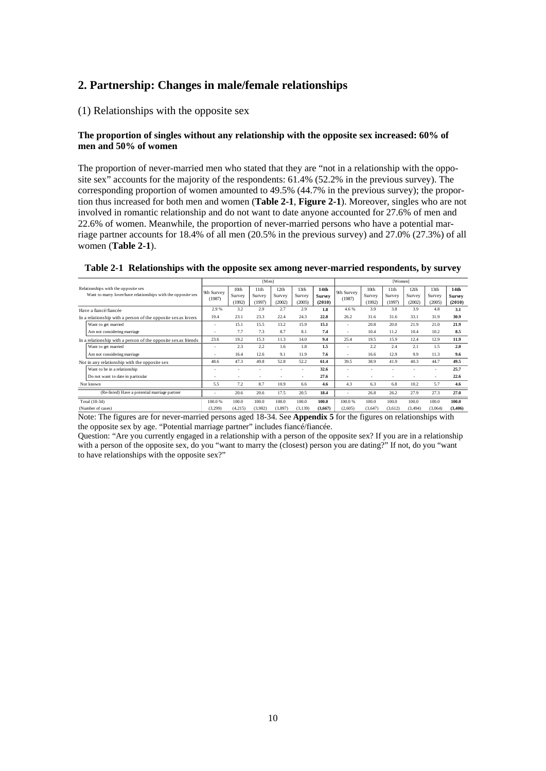# **2. Partnership: Changes in male/female relationships**

## (1) Relationships with the opposite sex

## **The proportion of singles without any relationship with the opposite sex increased: 60% of men and 50% of women**

The proportion of never-married men who stated that they are "not in a relationship with the opposite sex" accounts for the majority of the respondents: 61.4% (52.2% in the previous survey). The corresponding proportion of women amounted to 49.5% (44.7% in the previous survey); the proportion thus increased for both men and women (**Table 2-1**, **Figure 2-1**). Moreover, singles who are not involved in romantic relationship and do not want to date anyone accounted for 27.6% of men and 22.6% of women. Meanwhile, the proportion of never-married persons who have a potential marriage partner accounts for 18.4% of all men (20.5% in the previous survey) and 27.0% (27.3%) of all women (**Table 2-1**).

|                                                                |            |                  | [Men]   |         |                  |                  |            |                  | [Women] |          |         |               |
|----------------------------------------------------------------|------------|------------------|---------|---------|------------------|------------------|------------|------------------|---------|----------|---------|---------------|
| Relationships with the opposite sex                            | 9th Survey | 10 <sub>th</sub> | 11th    | 12th    | 13 <sub>th</sub> | 14 <sub>th</sub> | 9th Survey | 10 <sub>th</sub> | 11th    | 12th     | 13th    | 14th          |
| Want to marry lover/have relationships with the opposite sex   | (1987)     | Survey           | Survey  | Survey  | Survey           | <b>Survey</b>    | (1987)     | Survey           | Survey  | Survey   | Survey  | <b>Survey</b> |
|                                                                |            | (1992)           | (1997)  | (2002)  | (2005)           | (2010)           |            | (1992)           | (1997)  | (2002)   | (2005)  | (2010)        |
| Have a fiancé/fiancée                                          | 2.9%       | 3.2              | 2.9     | 2.7     | 2.9              | 1.8              | 4.6 %      | 3.9              | 3.8     | 3.9      | 4.8     | 3.1           |
| In a relationship with a person of the opposite sex as lovers  | 19.4       | 23.1             | 23.3    | 22.4    | 24.3             | 22.8             | 26.2       | 31.6             | 31.6    | 33.1     | 31.9    | 30.9          |
| Want to get married                                            | ٠          | 15.1             | 15.5    | 13.2    | 15.9             | 15.1             |            | 20.8             | 20.0    | 21.9     | 21.0    | 21.9          |
| Am not considering marriage                                    |            | 7.7              | 7.3     | 8.7     | 8.1              | 7.4              |            | 10.4             | 11.2    | 10.4     | 10.2    | 8.5           |
| In a relationship with a person of the opposite sex as friends | 23.6       | 19.2             | 15.3    | 11.3    | 14.0             | 9.4              | 25.4       | 19.5             | 15.9    | 12.4     | 12.9    | 11.9          |
| Want to get married                                            | $\sim$     | 2.3              | 2.2     | 1.6     | 1.8              | 1.5              |            | 2.2              | 2.4     | 2.1      | 1.5     | 2.0           |
| Am not considering marriage                                    |            | 16.4             | 12.6    | 9.1     | 11.9             | 7.6              |            | 16.6             | 12.9    | 9.9      | 11.3    | 9.6           |
| Not in any relationship with the opposite sex                  | 48.6       | 47.3             | 49.8    | 52.8    | 52.2             | 61.4             | 39.5       | 38.9             | 41.9    | 40.3     | 44.7    | 49.5          |
| Want to be in a relationship                                   |            |                  |         |         |                  | 32.6             |            |                  |         |          |         | 25.7          |
| Do not want to date in particular                              |            |                  |         |         |                  | 27.6             |            |                  |         |          |         | 22.6          |
| Not known                                                      | 5.5        | 7.2              | 8.7     | 10.9    | 6.6              | 4.6              | 4.3        | 6.3              | 6.8     | 10.2     | 5.7     | 4.6           |
| (Re-listed) Have a potential marriage partner                  |            | 20.6             | 20.6    | 17.5    | 20.5             | 18.4             |            | 26.8             | 26.2    | 27.9     | 27.3    | 27.0          |
| Total (18-34)                                                  | 100.0 %    | 100.0            | 100.0   | 100.0   | 100.0            | 100.0            | 100.0%     | 100.0            | 100.0   | 100.0    | 100.0   | 100.0         |
| (Number of cases)                                              | (3,299)    | (4,215)          | (3,982) | (3,897) | (3,139)          | (3,667)          | (2,605)    | (3,647)          | (3,612) | (3, 494) | (3,064) | (3,406)       |

**Table 2-1 Relationships with the opposite sex among never-married respondents, by survey**

Note: The figures are for never-married persons aged 18-34. See **Appendix 5** for the figures on relationships with the opposite sex by age. "Potential marriage partner" includes fiancé/fiancée.

Question: "Are you currently engaged in a relationship with a person of the opposite sex? If you are in a relationship with a person of the opposite sex, do you "want to marry the (closest) person you are dating?" If not, do you "want to have relationships with the opposite sex?"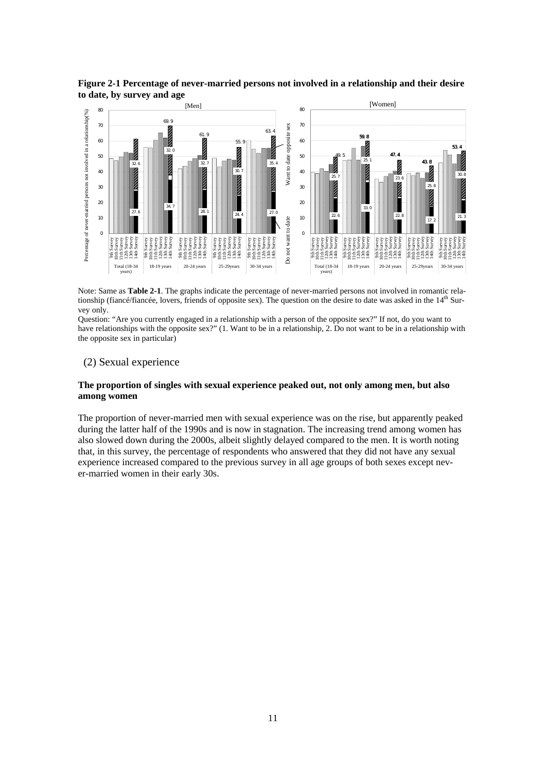

**Figure 2-1 Percentage of never-married persons not involved in a relationship and their desire to date, by survey and age** 

Note: Same as **Table 2-1**. The graphs indicate the percentage of never-married persons not involved in romantic relationship (fiancé/fiancée, lovers, friends of opposite sex). The question on the desire to date was asked in the  $14<sup>th</sup>$  Survey only.

Question: "Are you currently engaged in a relationship with a person of the opposite sex?" If not, do you want to have relationships with the opposite sex?" (1. Want to be in a relationship, 2. Do not want to be in a relationship with the opposite sex in particular)

## (2) Sexual experience

## **The proportion of singles with sexual experience peaked out, not only among men, but also among women**

The proportion of never-married men with sexual experience was on the rise, but apparently peaked during the latter half of the 1990s and is now in stagnation. The increasing trend among women has also slowed down during the 2000s, albeit slightly delayed compared to the men. It is worth noting that, in this survey, the percentage of respondents who answered that they did not have any sexual experience increased compared to the previous survey in all age groups of both sexes except never-married women in their early 30s.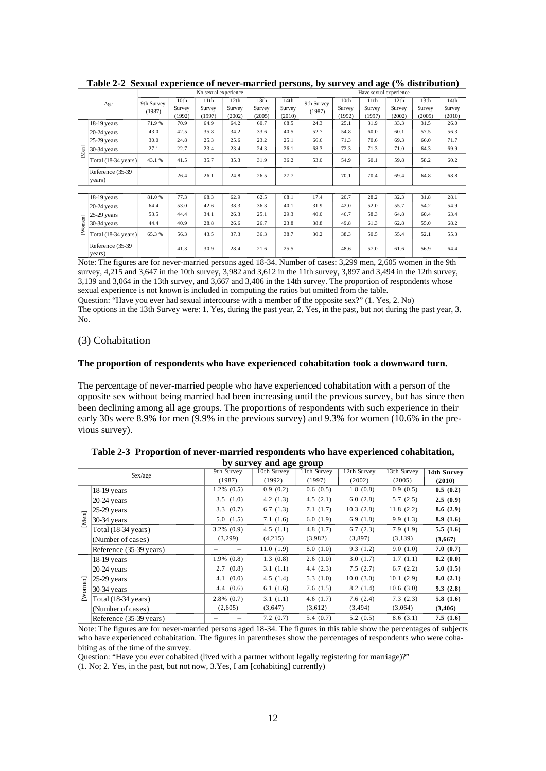|                      |                               | No sexual experience |                          |                          |                          |                          |                          | Have sexual experience |                                      |                          |                          |                                      |                          |  |
|----------------------|-------------------------------|----------------------|--------------------------|--------------------------|--------------------------|--------------------------|--------------------------|------------------------|--------------------------------------|--------------------------|--------------------------|--------------------------------------|--------------------------|--|
|                      | Age                           | 9th Survey<br>(1987) | 10th<br>Survey<br>(1992) | 11th<br>Survey<br>(1997) | 12th<br>Survey<br>(2002) | 13th<br>Survey<br>(2005) | 14th<br>Survey<br>(2010) | 9th Survey<br>(1987)   | 10 <sub>th</sub><br>Survey<br>(1992) | 11th<br>Survey<br>(1997) | 12th<br>Survey<br>(2002) | 13 <sub>th</sub><br>Survey<br>(2005) | 14th<br>Survey<br>(2010) |  |
|                      | $18-19$ years                 | 71.9%                | 70.9                     | 64.9                     | 64.2                     | 60.7                     | 68.5                     | 24.3                   | 25.1                                 | 31.9                     | 33.3                     | 31.5                                 | 26.0                     |  |
|                      | $20-24$ years                 | 43.0                 | 42.5                     | 35.8                     | 34.2                     | 33.6                     | 40.5                     | 52.7                   | 54.8                                 | 60.0                     | 60.1                     | 57.5                                 | 56.3                     |  |
|                      | $25-29$ years                 | 30.0                 | 24.8                     | 25.3                     | 25.6                     | 23.2                     | 25.1                     | 66.6                   | 71.3                                 | 70.6                     | 69.3                     | 66.0                                 | 71.7                     |  |
| [Men]                | 30-34 years                   | 27.1                 | 22.7                     | 23.4                     | 23.4                     | 24.3                     | 26.1                     | 68.3                   | 72.3                                 | 71.3                     | 71.0                     | 64.3                                 | 69.9                     |  |
|                      | Total $(18-34 \text{ years})$ | 43.1 %               | 41.5                     | 35.7                     | 35.3                     | 31.9                     | 36.2                     | 53.0                   | 54.9                                 | 60.1                     | 59.8                     | 58.2                                 | 60.2                     |  |
|                      | Reference (35-39)<br>years)   |                      | 26.4                     | 26.1                     | 24.8                     | 26.5                     | 27.7                     |                        | 70.1                                 | 70.4                     | 69.4                     | 64.8                                 | 68.8                     |  |
|                      |                               |                      |                          |                          |                          |                          |                          |                        |                                      |                          |                          |                                      |                          |  |
|                      | 18-19 years                   | 81.0%                | 77.3                     | 68.3                     | 62.9                     | 62.5                     | 68.1                     | 17.4                   | 20.7                                 | 28.2                     | 32.3                     | 31.8                                 | 28.1                     |  |
|                      | $20-24$ years                 | 64.4                 | 53.0                     | 42.6                     | 38.3                     | 36.3                     | 40.1                     | 31.9                   | 42.0                                 | 52.0                     | 55.7                     | 54.2                                 | 54.9                     |  |
|                      | $25-29$ years                 | 53.5                 | 44.4                     | 34.1                     | 26.3                     | 25.1                     | 29.3                     | 40.0                   | 46.7                                 | 58.3                     | 64.8                     | 60.4                                 | 63.4                     |  |
| [W <sub>omen</sub> ] | $30-34$ years                 | 44.4                 | 40.9                     | 28.8                     | 26.6                     | 26.7                     | 23.8                     | 38.8                   | 49.8                                 | 61.3                     | 62.8                     | 55.0                                 | 68.2                     |  |
|                      | Total (18-34 years)           | 65.3%                | 56.3                     | 43.5                     | 37.3                     | 36.3                     | 38.7                     | 30.2                   | 38.3                                 | 50.5                     | 55.4                     | 52.1                                 | 55.3                     |  |
|                      | Reference (35-39)<br>years)   |                      | 41.3                     | 30.9                     | 28.4                     | 21.6                     | 25.5                     |                        | 48.6                                 | 57.0                     | 61.6                     | 56.9                                 | 64.4                     |  |

**Table 2-2 Sexual experience of never-married persons, by survey and age (% distribution)** 

Note: The figures are for never-married persons aged 18-34. Number of cases: 3,299 men, 2,605 women in the 9th survey, 4,215 and 3,647 in the 10th survey, 3,982 and 3,612 in the 11th survey, 3,897 and 3,494 in the 12th survey, 3,139 and 3,064 in the 13th survey, and 3,667 and 3,406 in the 14th survey. The proportion of respondents whose sexual experience is not known is included in computing the ratios but omitted from the table.

Question: "Have you ever had sexual intercourse with a member of the opposite sex?" (1. Yes, 2. No)

The options in the 13th Survey were: 1. Yes, during the past year, 2. Yes, in the past, but not during the past year, 3. No.

## (3) Cohabitation

#### **The proportion of respondents who have experienced cohabitation took a downward turn.**

The percentage of never-married people who have experienced cohabitation with a person of the opposite sex without being married had been increasing until the previous survey, but has since then been declining among all age groups. The proportions of respondents with such experience in their early 30s were 8.9% for men (9.9% in the previous survey) and 9.3% for women (10.6% in the previous survey).

|             |                               |                 | $\sim$ , $\sim$ , $\sim$ , $\sim$ $\sim$ , $\sim$ , $\sim$ , $\sim$ |               |             |             |             |
|-------------|-------------------------------|-----------------|---------------------------------------------------------------------|---------------|-------------|-------------|-------------|
|             | Sex/age                       | 9th Survey      | 10th Survey                                                         | $11th$ Survey | 12th Survey | 13th Survey | 14th Survey |
|             |                               | (1987)          | (1992)                                                              | (1997)        | (2002)      | (2005)      | (2010)      |
|             | $18-19$ years                 | $1.2\%$ $(0.5)$ | 0.9(0.2)                                                            | 0.6(0.5)      | 1.8(0.8)    | 0.9(0.5)    | 0.5(0.2)    |
|             | $20-24$ years                 | 3.5(1.0)        | 4.2(1.3)                                                            | 4.5(2.1)      | 6.0(2.8)    | 5.7(2.5)    | 2.5(0.9)    |
|             | $25-29$ years                 | 3.3(0.7)        | 6.7(1.3)                                                            | 7.1(1.7)      | 10.3(2.8)   | 11.8(2.2)   | 8.6(2.9)    |
| [Men]       | $30-34$ years                 | 5.0(1.5)        | 7.1(1.6)                                                            | 6.0(1.9)      | 6.9(1.8)    | 9.9(1.3)    | 8.9(1.6)    |
|             | Total $(18-34 \text{ years})$ | $3.2\%$ $(0.9)$ | 4.5(1.1)                                                            | 4.8(1.7)      | 6.7(2.3)    | 7.9(1.9)    | 5.5(1.6)    |
|             | (Number of cases)             | (3,299)         | (4,215)                                                             | (3,982)       | (3,897)     | (3,139)     | (3,667)     |
|             | Reference (35-39 years)       |                 | 11.0(1.9)                                                           | 8.0(1.0)      | 9.3(1.2)    | 9.0(1.0)    | 7.0(0.7)    |
|             | $18-19$ years                 | $1.9\%$ $(0.8)$ | 1.3(0.8)                                                            | 2.6(1.0)      | 3.0(1.7)    | 1.7(1.1)    | 0.2(0.0)    |
|             | $20-24$ years                 | 2.7(0.8)        | 3.1(1.1)                                                            | 4.4(2.3)      | 7.5(2.7)    | 6.7(2.2)    | 5.0(1.5)    |
| $_{\rm en}$ | $ 25-29$ years                | 4.1 (0.0)       | 4.5(1.4)                                                            | 5.3(1.0)      | 10.0(3.0)   | 10.1(2.9)   | 8.0(2.1)    |
|             | 30-34 years                   | 4.4(0.6)        | 6.1(1.6)                                                            | 7.6(1.5)      | 8.2(1.4)    | 10.6(3.0)   | 9.3(2.8)    |
| $[$ Wome    | Total $(18-34 \text{ years})$ | $2.8\%$ $(0.7)$ | 3.1(1.1)                                                            | 4.6(1.7)      | 7.6(2.4)    | 7.3(2.3)    | 5.8(1.6)    |
|             | (Number of cases)             | (2,605)         | (3,647)                                                             | (3,612)       | (3, 494)    | (3,064)     | (3,406)     |
|             | Reference (35-39 years)       |                 | 7.2(0.7)                                                            | 5.4(0.7)      | 5.2(0.5)    | 8.6(3.1)    | 7.5(1.6)    |

**Table 2-3 Proportion of never-married respondents who have experienced cohabitation, by survey and age group** 

Note: The figures are for never-married persons aged 18-34. The figures in this table show the percentages of subjects who have experienced cohabitation. The figures in parentheses show the percentages of respondents who were cohabiting as of the time of the survey.

Question: "Have you ever cohabited (lived with a partner without legally registering for marriage)?"

(1. No; 2. Yes, in the past, but not now, 3.Yes, I am [cohabiting] currently)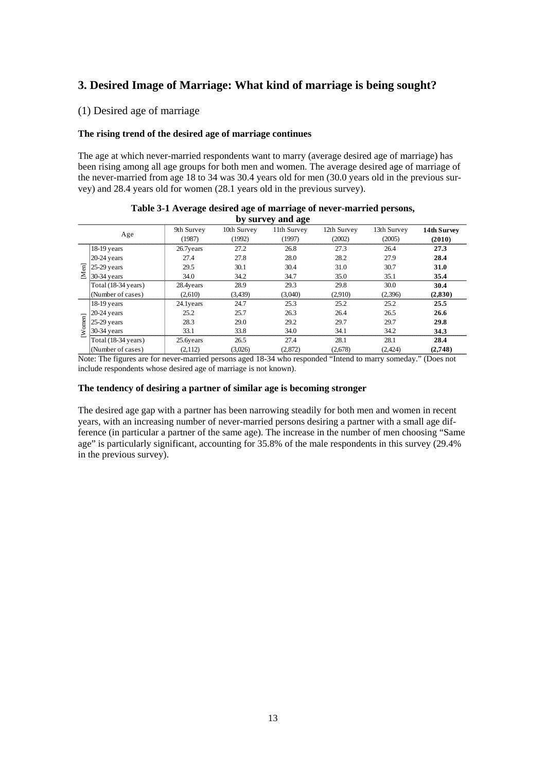# **3. Desired Image of Marriage: What kind of marriage is being sought?**

## (1) Desired age of marriage

## **The rising trend of the desired age of marriage continues**

The age at which never-married respondents want to marry (average desired age of marriage) has been rising among all age groups for both men and women. The average desired age of marriage of the never-married from age 18 to 34 was 30.4 years old for men (30.0 years old in the previous survey) and 28.4 years old for women (28.1 years old in the previous survey).

|        |                               |                      |                       | by survey and age     |                       |                       |                       |
|--------|-------------------------------|----------------------|-----------------------|-----------------------|-----------------------|-----------------------|-----------------------|
|        | Age                           | 9th Survey<br>(1987) | 10th Survey<br>(1992) | 11th Survey<br>(1997) | 12th Survey<br>(2002) | 13th Survey<br>(2005) | 14th Survey<br>(2010) |
|        | $18-19$ years                 | 26.7years            | 27.2                  | 26.8                  | 27.3                  | 26.4                  | 27.3                  |
|        | $20-24$ years                 | 27.4                 | 27.8                  | 28.0                  | 28.2                  | 27.9                  | 28.4                  |
| 高<br>Σ | $25-29$ years                 | 29.5                 | 30.1                  | 30.4                  | 31.0                  | 30.7                  | 31.0                  |
|        | $30-34$ years                 | 34.0                 | 34.2                  | 34.7                  | 35.0                  | 35.1                  | 35.4                  |
|        | Total $(18-34 \text{ years})$ | 28.4years            | 28.9                  | 29.3                  | 29.8                  | 30.0                  | 30.4                  |
|        | (Number of cases)             | (2,610)              | (3,439)               | (3,040)               | (2,910)               | (2,396)               | (2,830)               |
|        | $18-19$ years                 | 24.1 years           | 24.7                  | 25.3                  | 25.2                  | 25.2                  | 25.5                  |
|        | $20-24$ years                 | 25.2                 | 25.7                  | 26.3                  | 26.4                  | 26.5                  | 26.6                  |
|        | $25-29$ years                 | 28.3                 | 29.0                  | 29.2                  | 29.7                  | 29.7                  | 29.8                  |
| Women] | $30-34$ years                 | 33.1                 | 33.8                  | 34.0                  | 34.1                  | 34.2                  | 34.3                  |
|        | Total (18-34 years)           | 25.6years            | 26.5                  | 27.4                  | 28.1                  | 28.1                  | 28.4                  |
|        | (Number of cases)             | (2,112)              | (3,026)               | (2,872)               | (2,678)               | (2, 424)              | (2,748)               |

| Table 3-1 Average desired age of marriage of never-married persons, |
|---------------------------------------------------------------------|
| by survey and age                                                   |

Note: The figures are for never-married persons aged 18-34 who responded "Intend to marry someday." (Does not include respondents whose desired age of marriage is not known).

#### **The tendency of desiring a partner of similar age is becoming stronger**

The desired age gap with a partner has been narrowing steadily for both men and women in recent years, with an increasing number of never-married persons desiring a partner with a small age difference (in particular a partner of the same age). The increase in the number of men choosing "Same age" is particularly significant, accounting for 35.8% of the male respondents in this survey (29.4% in the previous survey).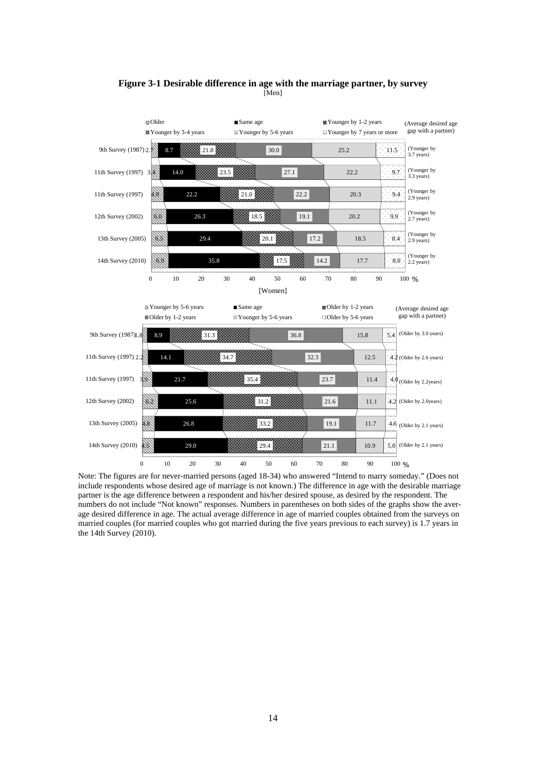

### **Figure 3-1 Desirable difference in age with the marriage partner, by survey**  [Men]

Note: The figures are for never-married persons (aged 18-34) who answered "Intend to marry someday." (Does not include respondents whose desired age of marriage is not known.) The difference in age with the desirable marriage partner is the age difference between a respondent and his/her desired spouse, as desired by the respondent. The numbers do not include "Not known" responses. Numbers in parentheses on both sides of the graphs show the average desired difference in age. The actual average difference in age of married couples obtained from the surveys on married couples (for married couples who got married during the five years previous to each survey) is 1.7 years in the 14th Survey (2010).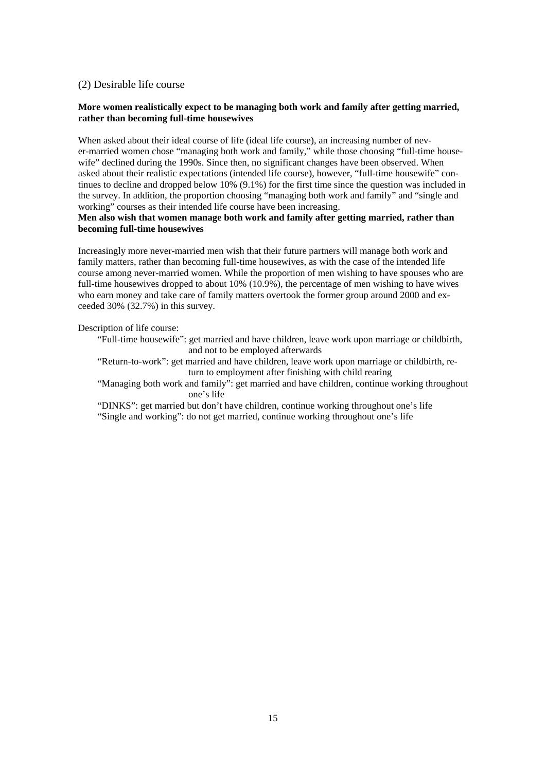## (2) Desirable life course

## **More women realistically expect to be managing both work and family after getting married, rather than becoming full-time housewives**

When asked about their ideal course of life (ideal life course), an increasing number of never-married women chose "managing both work and family," while those choosing "full-time housewife" declined during the 1990s. Since then, no significant changes have been observed. When asked about their realistic expectations (intended life course), however, "full-time housewife" continues to decline and dropped below 10% (9.1%) for the first time since the question was included in the survey. In addition, the proportion choosing "managing both work and family" and "single and working" courses as their intended life course have been increasing.

## **Men also wish that women manage both work and family after getting married, rather than becoming full-time housewives**

Increasingly more never-married men wish that their future partners will manage both work and family matters, rather than becoming full-time housewives, as with the case of the intended life course among never-married women. While the proportion of men wishing to have spouses who are full-time housewives dropped to about 10% (10.9%), the percentage of men wishing to have wives who earn money and take care of family matters overtook the former group around 2000 and exceeded 30% (32.7%) in this survey.

Description of life course:

"Full-time housewife": get married and have children, leave work upon marriage or childbirth, and not to be employed afterwards

"Return-to-work": get married and have children, leave work upon marriage or childbirth, return to employment after finishing with child rearing

"Managing both work and family": get married and have children, continue working throughout one's life

"DINKS": get married but don't have children, continue working throughout one's life "Single and working": do not get married, continue working throughout one's life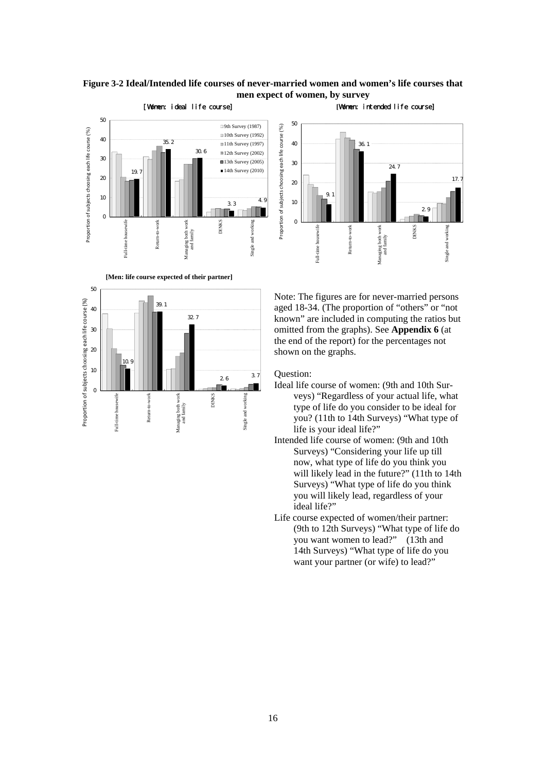## **Figure 3-2 Ideal/Intended life courses of never-married women and women's life courses that men expect of women, by survey**



**[Men: life course expected of their partner]** 





Note: The figures are for never-married persons aged 18-34. (The proportion of "others" or "not known" are included in computing the ratios but omitted from the graphs). See **Appendix 6** (at the end of the report) for the percentages not shown on the graphs.

## Question:

- Ideal life course of women: (9th and 10th Surveys) "Regardless of your actual life, what type of life do you consider to be ideal for you? (11th to 14th Surveys) "What type of life is your ideal life?"
- Intended life course of women: (9th and 10th Surveys) "Considering your life up till now, what type of life do you think you will likely lead in the future?" (11th to 14th Surveys) "What type of life do you think you will likely lead, regardless of your ideal life?"
- Life course expected of women/their partner: (9th to 12th Surveys) "What type of life do you want women to lead?" (13th and 14th Surveys) "What type of life do you want your partner (or wife) to lead?"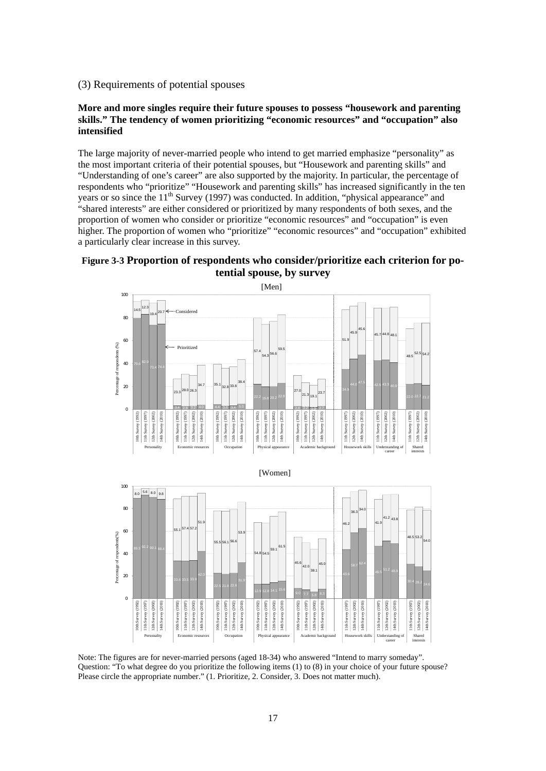## (3) Requirements of potential spouses

## **More and more singles require their future spouses to possess "housework and parenting skills." The tendency of women prioritizing "economic resources" and "occupation" also intensified**

The large majority of never-married people who intend to get married emphasize "personality" as the most important criteria of their potential spouses, but "Housework and parenting skills" and "Understanding of one's career" are also supported by the majority. In particular, the percentage of respondents who "prioritize" "Housework and parenting skills" has increased significantly in the ten years or so since the  $11<sup>th</sup>$  Survey (1997) was conducted. In addition, "physical appearance" and "shared interests" are either considered or prioritized by many respondents of both sexes, and the proportion of women who consider or prioritize "economic resources" and "occupation" is even higher. The proportion of women who "prioritize" "economic resources" and "occupation" exhibited a particularly clear increase in this survey.

# **Figure 3-3 Proportion of respondents who consider/prioritize each criterion for potential spouse, by survey**



Note: The figures are for never-married persons (aged 18-34) who answered "Intend to marry someday". Question: "To what degree do you prioritize the following items (1) to (8) in your choice of your future spouse? Please circle the appropriate number." (1. Prioritize, 2. Consider, 3. Does not matter much).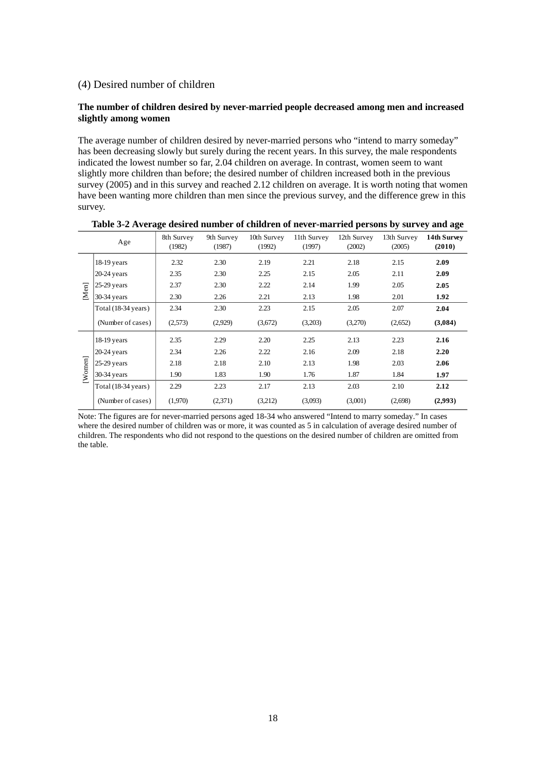## (4) Desired number of children

## **The number of children desired by never-married people decreased among men and increased slightly among women**

The average number of children desired by never-married persons who "intend to marry someday" has been decreasing slowly but surely during the recent years. In this survey, the male respondents indicated the lowest number so far, 2.04 children on average. In contrast, women seem to want slightly more children than before; the desired number of children increased both in the previous survey (2005) and in this survey and reached 2.12 children on average. It is worth noting that women have been wanting more children than men since the previous survey, and the difference grew in this survey.

|       | Age                 | 8th Survey<br>(1982) | 9th Survey<br>(1987) | 10th Survey<br>(1992) | 11th Survey<br>(1997) | 12th Survey<br>(2002) | 13th Survey<br>(2005) | 14th Survey<br>(2010) |
|-------|---------------------|----------------------|----------------------|-----------------------|-----------------------|-----------------------|-----------------------|-----------------------|
|       | $18-19$ years       | 2.32                 | 2.30                 | 2.19                  | 2.21                  | 2.18                  | 2.15                  | 2.09                  |
|       | $20-24$ years       | 2.35                 | 2.30                 | 2.25                  | 2.15                  | 2.05                  | 2.11                  | 2.09                  |
|       | $25-29$ years       | 2.37                 | 2.30                 | 2.22                  | 2.14                  | 1.99                  | 2.05                  | 2.05                  |
| [Men] | $30-34$ years       | 2.30                 | 2.26                 | 2.21                  | 2.13                  | 1.98                  | 2.01                  | 1.92                  |
|       | Total (18-34 years) | 2.34                 | 2.30                 | 2.23                  | 2.15                  | 2.05                  | 2.07                  | 2.04                  |
|       | (Number of cases)   | (2,573)              | (2,929)              | (3,672)               | (3,203)               | (3,270)               | (2,652)               | (3,084)               |
|       | $18-19$ years       | 2.35                 | 2.29                 | 2.20                  | 2.25                  | 2.13                  | 2.23                  | 2.16                  |
|       | $20-24$ years       | 2.34                 | 2.26                 | 2.22                  | 2.16                  | 2.09                  | 2.18                  | 2.20                  |
|       | $ 25-29$ years      | 2.18                 | 2.18                 | 2.10                  | 2.13                  | 1.98                  | 2.03                  | 2.06                  |
| Women | 30-34 years         | 1.90                 | 1.83                 | 1.90                  | 1.76                  | 1.87                  | 1.84                  | 1.97                  |
|       | Total (18-34 years) | 2.29                 | 2.23                 | 2.17                  | 2.13                  | 2.03                  | 2.10                  | 2.12                  |
|       | (Number of cases)   | (1,970)              | (2,371)              | (3,212)               | (3,093)               | (3,001)               | (2,698)               | (2,993)               |

**Table 3-2 Average desired number of children of never-married persons by survey and age**

Note: The figures are for never-married persons aged 18-34 who answered "Intend to marry someday." In cases where the desired number of children was or more, it was counted as 5 in calculation of average desired number of children. The respondents who did not respond to the questions on the desired number of children are omitted from the table.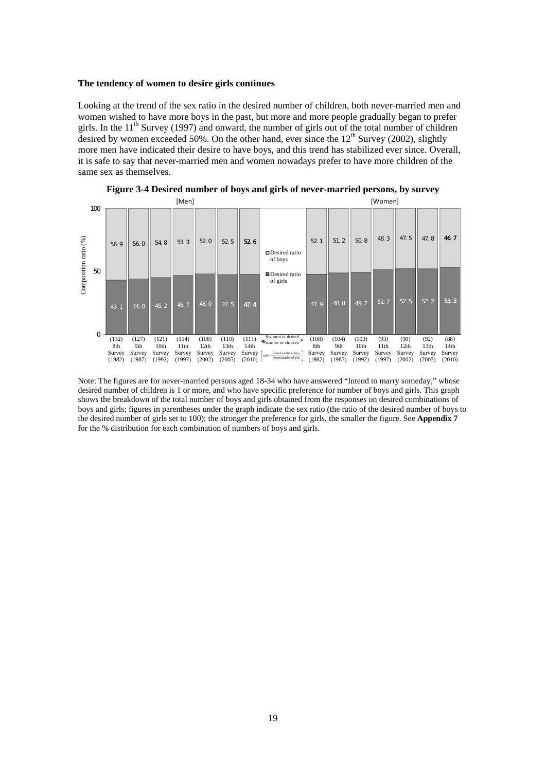#### **The tendency of women to desire girls continues**

Looking at the trend of the sex ratio in the desired number of children, both never-married men and women wished to have more boys in the past, but more and more people gradually began to prefer girls. In the  $11<sup>th</sup>$  Survey (1997) and onward, the number of girls out of the total number of children desired by women exceeded 50%. On the other hand, ever since the  $12<sup>th</sup>$  Survey (2002), slightly more men have indicated their desire to have boys, and this trend has stabilized ever since. Overall, it is safe to say that never-married men and women nowadays prefer to have more children of the same sex as themselves.



**Figure 3-4 Desired number of boys and girls of never-married persons, by survey**

Note: The figures are for never-married persons aged 18-34 who have answered "Intend to marry someday," whose desired number of children is 1 or more, and who have specific preference for number of boys and girls. This graph shows the breakdown of the total number of boys and girls obtained from the responses on desired combinations of boys and girls; figures in parentheses under the graph indicate the sex ratio (the ratio of the desired number of boys to the desired number of girls set to 100); the stronger the preference for girls, the smaller the figure. See **Appendix 7** for the % distribution for each combination of numbers of boys and girls.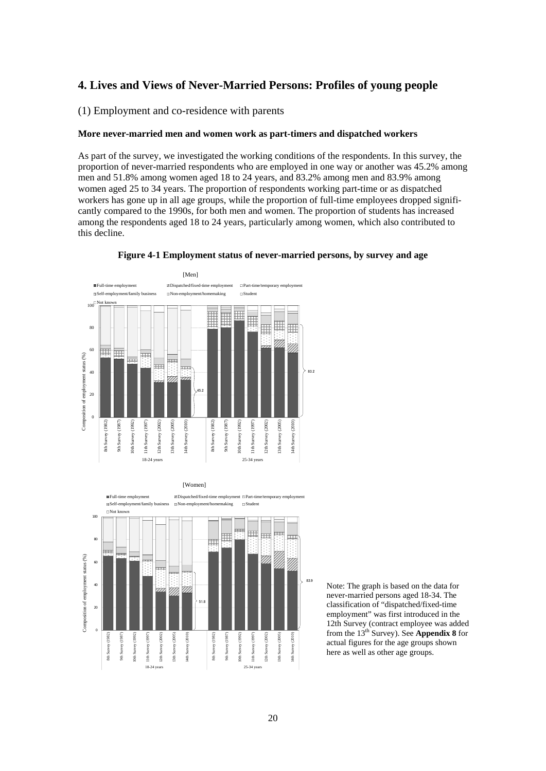## **4. Lives and Views of Never-Married Persons: Profiles of young people**

(1) Employment and co-residence with parents

#### **More never-married men and women work as part-timers and dispatched workers**

As part of the survey, we investigated the working conditions of the respondents. In this survey, the proportion of never-married respondents who are employed in one way or another was 45.2% among men and 51.8% among women aged 18 to 24 years, and 83.2% among men and 83.9% among women aged 25 to 34 years. The proportion of respondents working part-time or as dispatched workers has gone up in all age groups, while the proportion of full-time employees dropped significantly compared to the 1990s, for both men and women. The proportion of students has increased among the respondents aged 18 to 24 years, particularly among women, which also contributed to this decline.









Note: The graph is based on the data for never-married persons aged 18-34. The classification of "dispatched/fixed-time employment" was first introduced in the 12th Survey (contract employee was added from the 13th Survey). See **Appendix 8** for actual figures for the age groups shown here as well as other age groups.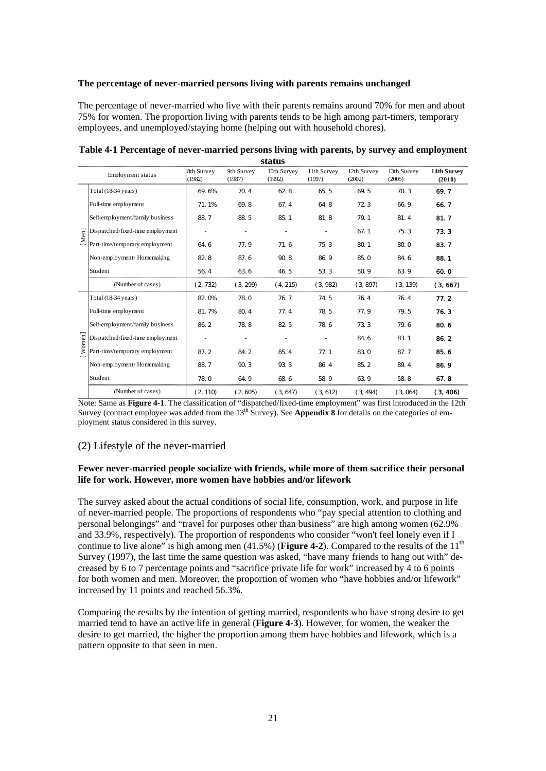### **The percentage of never-married persons living with parents remains unchanged**

The percentage of never-married who live with their parents remains around 70% for men and about 75% for women. The proportion living with parents tends to be high among part-timers, temporary employees, and unemployed/staying home (helping out with household chores).

|        |                                  |                      |                      | status                |                       |                       |                       |                       |
|--------|----------------------------------|----------------------|----------------------|-----------------------|-----------------------|-----------------------|-----------------------|-----------------------|
|        | Employment status                | 8th Survey<br>(1982) | 9th Survey<br>(1987) | 10th Survey<br>(1992) | 11th Survey<br>(1997) | 12th Survey<br>(2002) | 13th Survey<br>(2005) | 14th Survey<br>(2010) |
|        | Total (18-34 years)              | 69.6%                | 70.4                 | 62.8                  | 65.5                  | 69.5                  | 70.3                  | 69.7                  |
|        | Full-time employment             | 71.1%                | 69.8                 | 67.4                  | 64.8                  | 72.3                  | 66.9                  | 66.7                  |
|        | Self-employment/family business  | 88.7                 | 88.5                 | 85.1                  | 81.8                  | 79.1                  | 81.4                  | 81.7                  |
| [Men]  | Dispatched/fixed-time employment |                      |                      |                       |                       | 67.1                  | 75.3                  | 73.3                  |
|        | Part-time/temporary employment   | 64.6                 | 77.9                 | 71.6                  | 75.3                  | 80.1                  | 80.0                  | 83.7                  |
|        | Non-employment/Homemaking        | 82.8                 | 87.6                 | 90.8                  | 86.9                  | 85.0                  | 84.6                  | 88.1                  |
|        | Student                          | 56.4                 | 63.6                 | 46.5                  | 53.3                  | 50.9                  | 63.9                  | 60.0                  |
|        | (Number of cases)                | (2, 732)             | (3, 299)             | (4, 215)              | (3, 982)              | (3, 897)              | (3, 139)              | (3, 667)              |
|        | Total (18-34 years)              | 82.0%                | 78.0                 | 76.7                  | 74.5                  | 76.4                  | 76.4                  | 77.2                  |
|        | Full-time employment             | 81.7%                | 80.4                 | 77.4                  | 78.5                  | 77.9                  | 79.5                  | 76.3                  |
|        | Self-employment/family business  | 86.2                 | 78.8                 | 82.5                  | 78.6                  | 73.3                  | 79.6                  | 80.6                  |
| Women] | Dispatched/fixed-time employment |                      |                      |                       |                       | 84.6                  | 83.1                  | 86.2                  |
|        | Part-time/temporary employment   | 87.2                 | 84.2                 | 85.4                  | 77.1                  | 83.0                  | 87.7                  | 85.6                  |
|        | Non-employment/Homemaking        | 88.7                 | 90.3                 | 93.3                  | 86.4                  | 85.2                  | 89.4                  | 86.9                  |
|        | Student                          | 78.0                 | 64.9                 | 68.6                  | 58.9                  | 63.9                  | 58.8                  | 67.8                  |
|        | (Number of cases)                | (2, 110)             | (2, 605)             | (3, 647)              | (3, 612)              | (3, 494)              | (3,064)               | (3, 406)              |

**Table 4-1 Percentage of never-married persons living with parents, by survey and employment status** 

Note: Same as **Figure 4-1**. The classification of "dispatched/fixed-time employment" was first introduced in the 12th Survey (contract employee was added from the  $13<sup>th</sup>$  Survey). See **Appendix 8** for details on the categories of employment status considered in this survey.

## (2) Lifestyle of the never-married

## **Fewer never-married people socialize with friends, while more of them sacrifice their personal life for work. However, more women have hobbies and/or lifework**

The survey asked about the actual conditions of social life, consumption, work, and purpose in life of never-married people. The proportions of respondents who "pay special attention to clothing and personal belongings" and "travel for purposes other than business" are high among women (62.9% and 33.9%, respectively). The proportion of respondents who consider "won't feel lonely even if I continue to live alone" is high among men  $(41.5%)$  (Figure 4-2). Compared to the results of the  $11<sup>th</sup>$ Survey (1997), the last time the same question was asked, "have many friends to hang out with" decreased by 6 to 7 percentage points and "sacrifice private life for work" increased by 4 to 6 points for both women and men. Moreover, the proportion of women who "have hobbies and/or lifework" increased by 11 points and reached 56.3%.

Comparing the results by the intention of getting married, respondents who have strong desire to get married tend to have an active life in general (**Figure 4-3**). However, for women, the weaker the desire to get married, the higher the proportion among them have hobbies and lifework, which is a pattern opposite to that seen in men.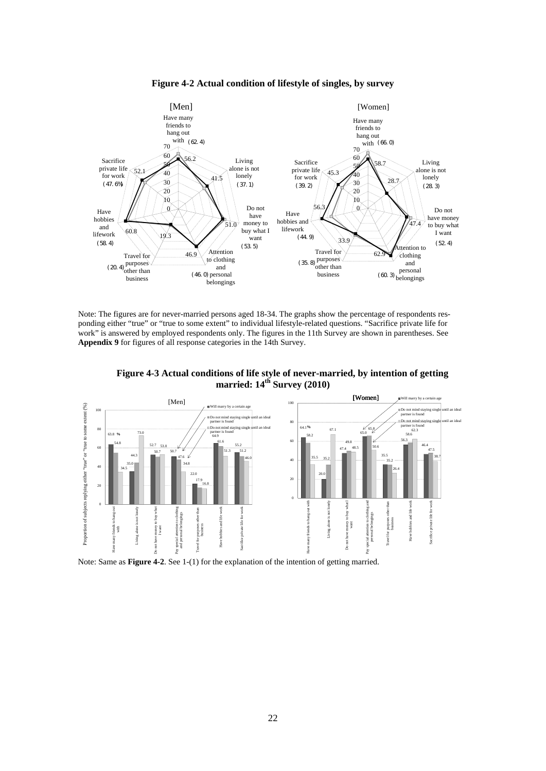

**Figure 4-2 Actual condition of lifestyle of singles, by survey** 

Note: The figures are for never-married persons aged 18-34. The graphs show the percentage of respondents responding either "true" or "true to some extent" to individual lifestyle-related questions. "Sacrifice private life for work" is answered by employed respondents only. The figures in the 11th Survey are shown in parentheses. See **Appendix 9** for figures of all response categories in the 14th Survey.





Note: Same as **Figure 4-2**. See 1-(1) for the explanation of the intention of getting married.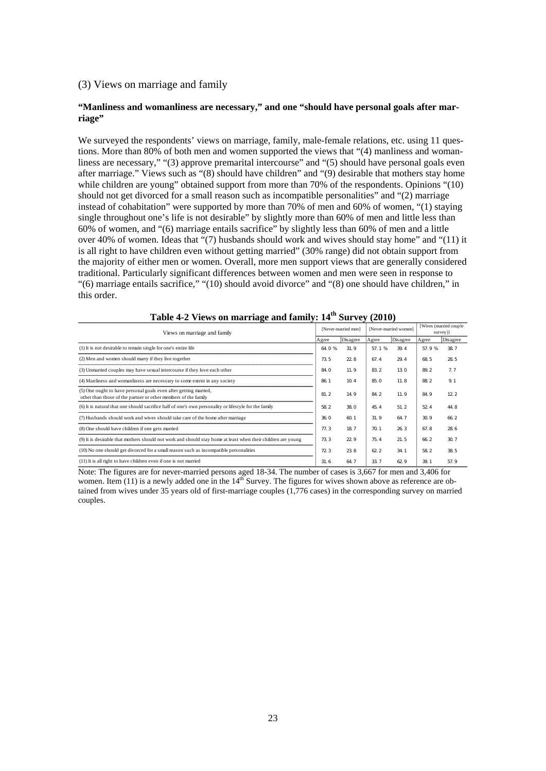## (3) Views on marriage and family

## **"Manliness and womanliness are necessary," and one "should have personal goals after marriage"**

We surveyed the respondents' views on marriage, family, male-female relations, etc. using 11 questions. More than 80% of both men and women supported the views that "(4) manliness and womanliness are necessary," "(3) approve premarital intercourse" and "(5) should have personal goals even after marriage." Views such as "(8) should have children" and "(9) desirable that mothers stay home while children are young" obtained support from more than 70% of the respondents. Opinions "(10) should not get divorced for a small reason such as incompatible personalities" and "(2) marriage instead of cohabitation" were supported by more than 70% of men and 60% of women, "(1) staying single throughout one's life is not desirable" by slightly more than 60% of men and little less than 60% of women, and "(6) marriage entails sacrifice" by slightly less than 60% of men and a little over 40% of women. Ideas that "(7) husbands should work and wives should stay home" and "(11) it is all right to have children even without getting married" (30% range) did not obtain support from the majority of either men or women. Overall, more men support views that are generally considered traditional. Particularly significant differences between women and men were seen in response to "(6) marriage entails sacrifice," "(10) should avoid divorce" and "(8) one should have children," in this order.

| Views on marriage and family                                                                                                       |        | [Never-married men] |       | [Never-married women] |       | [Wives (married couple<br>survey)] |
|------------------------------------------------------------------------------------------------------------------------------------|--------|---------------------|-------|-----------------------|-------|------------------------------------|
|                                                                                                                                    | Agree  | Disagree            | Agree | Disagree              | Agree | Disagree                           |
| (1) It is not desirable to remain single for one's entire life                                                                     | 64 0 % | 31.9                | 57.1% | 39.4                  | 57.9% | 38.7                               |
| (2) Men and women should marry if they live together                                                                               | 73.5   | 22.8                | 67.4  | 29.4                  | 68.5  | 28.5                               |
| (3) Unmarried couples may have sexual intercourse if they love each other                                                          | 84.0   | 11.9                | 832   | 130                   | 89.2  | 7.7                                |
| (4) Manliness and womanliness are necessary to some extent in any society                                                          | 86 1   | 10.4                | 85.0  | 11.8                  | 88.2  | 91                                 |
| (5) One ought to have personal goals even after getting married,<br>other than those of the partner or other members of the family | 81.2   | 14.9                | 84 2  | 11.9                  | 84.9  | 12.2                               |
| (6) It is natural that one should sacrifice half of one's own personality or lifestyle for the family                              | 58 2   | 38.0                | 45.4  | 51.2                  | 52.4  | 44.8                               |
| (7) Husbands should work and wives should take care of the home after marriage                                                     | 36.0   | 60.1                | 31.9  | 64.7                  | 30.9  | 66.2                               |
| (8) One should have children if one gets married                                                                                   | 77.3   | 187                 | 701   | 26.3                  | 67.8  | 28.6                               |
| (9) It is desirable that mothers should not work and should stay home at least when their children are young                       | 733    | 22.9                | 75.4  | 21.5                  | 66.2  | 307                                |
| (10) No one should get divorced for a small reason such as incompatible personalities                                              | 723    | 23.8                | 62.2  | 34 1                  | 58.2  | 38.5                               |
| (11) It is all right to have children even if one is not married                                                                   | 31.6   | 64.7                | 33.7  | 62.9                  | 39.1  | 57.9                               |

**Table 4-2 Views on marriage and family: 14th Survey (2010)** 

Note: The figures are for never-married persons aged 18-34. The number of cases is 3,667 for men and 3,406 for women. Item (11) is a newly added one in the  $14<sup>th</sup>$  Survey. The figures for wives shown above as reference are obtained from wives under 35 years old of first-marriage couples (1,776 cases) in the corresponding survey on married couples.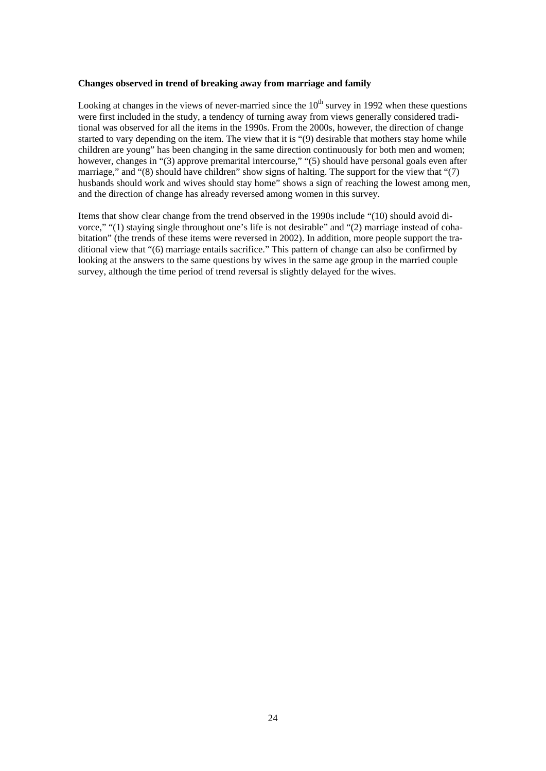#### **Changes observed in trend of breaking away from marriage and family**

Looking at changes in the views of never-married since the  $10<sup>th</sup>$  survey in 1992 when these questions were first included in the study, a tendency of turning away from views generally considered traditional was observed for all the items in the 1990s. From the 2000s, however, the direction of change started to vary depending on the item. The view that it is "(9) desirable that mothers stay home while children are young" has been changing in the same direction continuously for both men and women; however, changes in "(3) approve premarital intercourse," "(5) should have personal goals even after marriage," and "(8) should have children" show signs of halting. The support for the view that "(7) husbands should work and wives should stay home" shows a sign of reaching the lowest among men, and the direction of change has already reversed among women in this survey.

Items that show clear change from the trend observed in the 1990s include "(10) should avoid divorce," "(1) staying single throughout one's life is not desirable" and "(2) marriage instead of cohabitation" (the trends of these items were reversed in 2002). In addition, more people support the traditional view that "(6) marriage entails sacrifice." This pattern of change can also be confirmed by looking at the answers to the same questions by wives in the same age group in the married couple survey, although the time period of trend reversal is slightly delayed for the wives.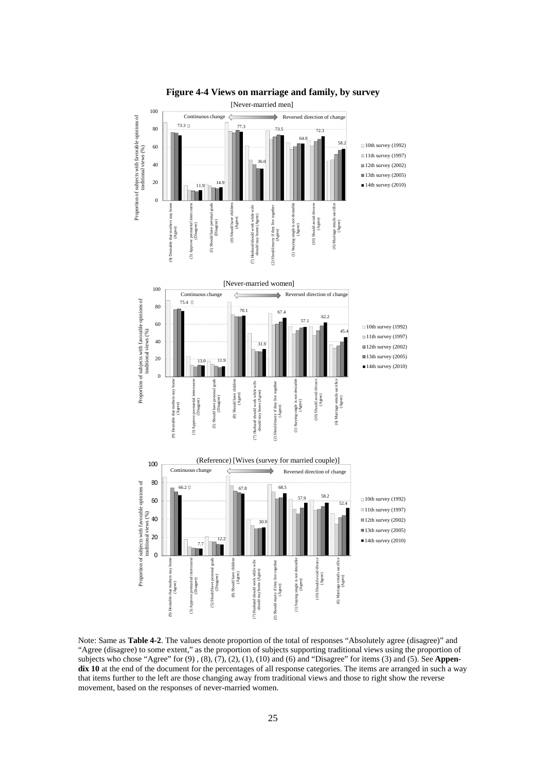

**Figure 4-4 Views on marriage and family, by survey**

Note: Same as **Table 4-2**. The values denote proportion of the total of responses "Absolutely agree (disagree)" and "Agree (disagree) to some extent," as the proportion of subjects supporting traditional views using the proportion of subjects who chose "Agree" for (9) , (8), (7), (2), (1), (10) and (6) and "Disagree" for items (3) and (5). See **Appen**dix 10 at the end of the document for the percentages of all response categories. The items are arranged in such a way that items further to the left are those changing away from traditional views and those to right show the reverse movement, based on the responses of never-married women.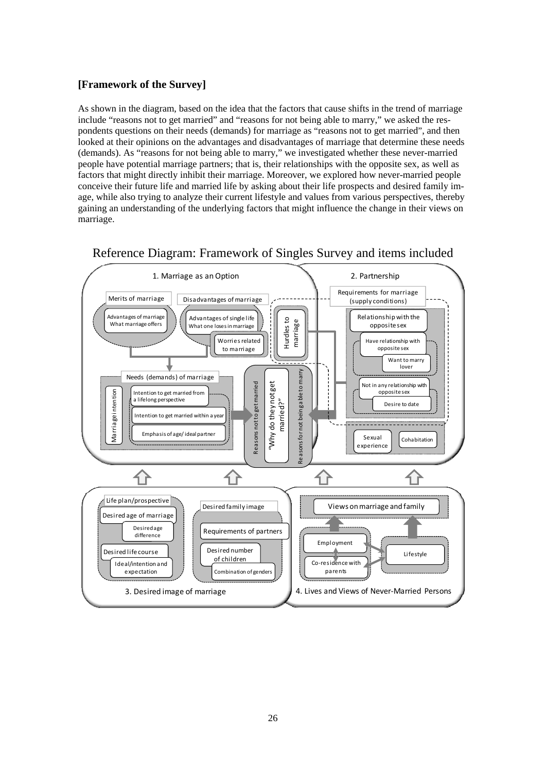# **[Framework of the Survey]**

As shown in the diagram, based on the idea that the factors that cause shifts in the trend of marriage include "reasons not to get married" and "reasons for not being able to marry," we asked the respondents questions on their needs (demands) for marriage as "reasons not to get married", and then looked at their opinions on the advantages and disadvantages of marriage that determine these needs (demands). As "reasons for not being able to marry," we investigated whether these never-married people have potential marriage partners; that is, their relationships with the opposite sex, as well as factors that might directly inhibit their marriage. Moreover, we explored how never-married people conceive their future life and married life by asking about their life prospects and desired family image, while also trying to analyze their current lifestyle and values from various perspectives, thereby gaining an understanding of the underlying factors that might influence the change in their views on marriage.



# Reference Diagram: Framework of Singles Survey and items included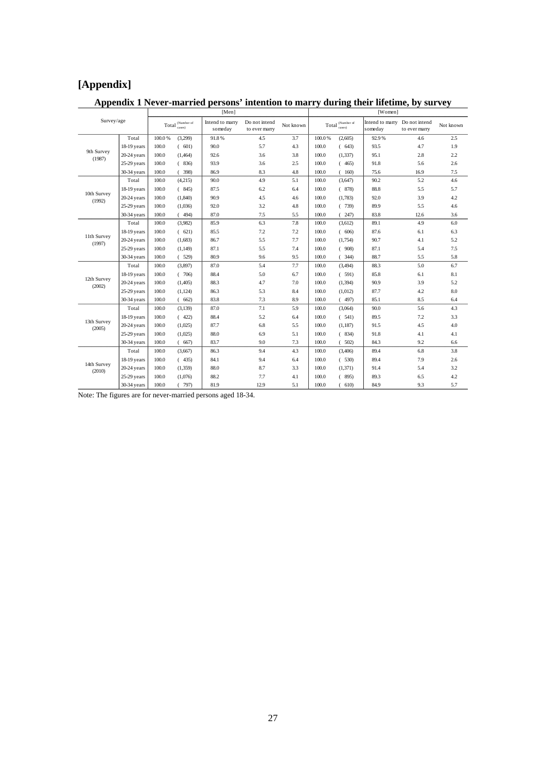# **[Appendix]**

# **Appendix 1 Never-married persons' intention to marry during their lifetime, by survey**<br> **Represent to the UPS of Structure (Women** I

|                       |               |        |                                                            | $ N$ en                    |                                |           | $ W$ OHER |                  |                                          |               |           |  |  |
|-----------------------|---------------|--------|------------------------------------------------------------|----------------------------|--------------------------------|-----------|-----------|------------------|------------------------------------------|---------------|-----------|--|--|
| Survey/age            |               |        | $\operatorname{Tota1}^{(\text{Number of})}_{\text{cases}}$ | Intend to marry<br>someday | Do not intend<br>to ever marry | Not known |           | Total (Number of | Intend to marry Do not intend<br>someday | to ever marry | Not known |  |  |
|                       | Total         | 100.0% | (3,299)                                                    | 91.8%                      | 4.5                            | 3.7       | 100.0%    | (2,605)          | 92.9%                                    | 4.6           | 2.5       |  |  |
|                       | 18-19 years   | 100.0  | (601)                                                      | 90.0                       | 5.7                            | 4.3       | 100.0     | (643)            | 93.5                                     | 4.7           | 1.9       |  |  |
| 9th Survey<br>(1987)  | $20-24$ years | 100.0  | (1, 464)                                                   | 92.6                       | 3.6                            | 3.8       | 100.0     | (1, 337)         | 95.1                                     | 2.8           | 2.2       |  |  |
|                       | 25-29 years   | 100.0  | (836)                                                      | 93.9                       | 3.6                            | 2.5       | 100.0     | (465)            | 91.8                                     | 5.6           | 2.6       |  |  |
|                       | 30-34 years   | 100.0  | (398)                                                      | 86.9                       | 8.3                            | $4.8\,$   | 100.0     | (160)            | 75.6                                     | 16.9          | 7.5       |  |  |
|                       | Total         | 100.0  | (4,215)                                                    | 90.0                       | 4.9                            | 5.1       | 100.0     | (3,647)          | 90.2                                     | 5.2           | 4.6       |  |  |
|                       | 18-19 years   | 100.0  | (845)                                                      | 87.5                       | 6.2                            | 6.4       | 100.0     | (878)            | 88.8                                     | 5.5           | 5.7       |  |  |
| 10th Survey<br>(1992) | $20-24$ years | 100.0  | (1,840)                                                    | 90.9                       | 4.5                            | 4.6       | 100.0     | (1,783)          | 92.0                                     | 3.9           | 4.2       |  |  |
|                       | 25-29 years   | 100.0  | (1,036)                                                    | 92.0                       | 3.2                            | 4.8       | 100.0     | (739)            | 89.9                                     | 5.5           | 4.6       |  |  |
|                       | 30-34 years   | 100.0  | (494)                                                      | 87.0                       | 7.5                            | 5.5       | 100.0     | (247)            | 83.8                                     | 12.6          | 3.6       |  |  |
|                       | Total         | 100.0  | (3,982)                                                    | 85.9                       | 6.3                            | 7.8       | 100.0     | (3,612)          | 89.1                                     | 4.9           | 6.0       |  |  |
|                       | 18-19 years   | 100.0  | (621)                                                      | 85.5                       | 7.2                            | 7.2       | 100.0     | (606)            | 87.6                                     | 6.1           | 6.3       |  |  |
| 11th Survey<br>(1997) | $20-24$ years | 100.0  | (1,683)                                                    | 86.7                       | 5.5                            | 7.7       | 100.0     | (1,754)          | 90.7                                     | 4.1           | 5.2       |  |  |
|                       | 25-29 years   | 100.0  | (1,149)                                                    | 87.1                       | 5.5                            | 7.4       | 100.0     | (908)            | 87.1                                     | 5.4           | 7.5       |  |  |
|                       | 30-34 years   | 100.0  | (529)                                                      | 80.9                       | 9.6                            | 9.5       | 100.0     | (344)            | 88.7                                     | 5.5           | 5.8       |  |  |
|                       | Total         | 100.0  | (3,897)                                                    | 87.0                       | 5.4                            | 7.7       | 100.0     | (3, 494)         | 88.3                                     | 5.0           | 6.7       |  |  |
|                       | 18-19 years   | 100.0  | (706)                                                      | 88.4                       | 5.0                            | 6.7       | 100.0     | (591)            | 85.8                                     | 6.1           | 8.1       |  |  |
| 12th Survey<br>(2002) | $20-24$ years | 100.0  | (1,405)                                                    | 88.3                       | 4.7                            | 7.0       | 100.0     | (1, 394)         | 90.9                                     | 3.9           | 5.2       |  |  |
|                       | $25-29$ years | 100.0  | (1, 124)                                                   | 86.3                       | 5.3                            | 8.4       | 100.0     | (1,012)          | 87.7                                     | 4.2           | 8.0       |  |  |
|                       | 30-34 years   | 100.0  | (662)                                                      | 83.8                       | 7.3                            | 8.9       | 100.0     | (497)            | 85.1                                     | 8.5           | 6.4       |  |  |
|                       | Total         | 100.0  | (3,139)                                                    | 87.0                       | 7.1                            | 5.9       | 100.0     | (3,064)          | 90.0                                     | 5.6           | 4.3       |  |  |
|                       | 18-19 years   | 100.0  | (422)                                                      | 88.4                       | 5.2                            | 6.4       | 100.0     | (541)            | 89.5                                     | 7.2           | 3.3       |  |  |
| 13th Survey<br>(2005) | $20-24$ years | 100.0  | (1,025)                                                    | 87.7                       | 6.8                            | 5.5       | 100.0     | (1,187)          | 91.5                                     | 4.5           | 4.0       |  |  |
|                       | 25-29 years   | 100.0  | (1,025)                                                    | 88.0                       | 6.9                            | 5.1       | 100.0     | (834)            | 91.8                                     | 4.1           | 4.1       |  |  |
|                       | 30-34 years   | 100.0  | (667)                                                      | 83.7                       | 9.0                            | 7.3       | 100.0     | (502)            | 84.3                                     | 9.2           | 6.6       |  |  |
|                       | Total         | 100.0  | (3,667)                                                    | 86.3                       | 9.4                            | 4.3       | 100.0     | (3,406)          | 89.4                                     | 6.8           | 3.8       |  |  |
|                       | 18-19 years   | 100.0  | (435)                                                      | 84.1                       | 9.4                            | 6.4       | 100.0     | (530)            | 89.4                                     | 7.9           | 2.6       |  |  |
| 14th Survey<br>(2010) | $20-24$ years | 100.0  | (1,359)                                                    | 88.0                       | 8.7                            | 3.3       | 100.0     | (1, 371)         | 91.4                                     | 5.4           | 3.2       |  |  |
|                       | 25-29 years   | 100.0  | (1,076)                                                    | 88.2                       | 7.7                            | 4.1       | 100.0     | (895)            | 89.3                                     | 6.5           | 4.2       |  |  |
|                       | 30-34 years   | 100.0  | (797)                                                      | 81.9                       | 12.9                           | 5.1       | 100.0     | (610)            | 84.9                                     | 9.3           | 5.7       |  |  |

Note: The figures are for never-married persons aged 18-34.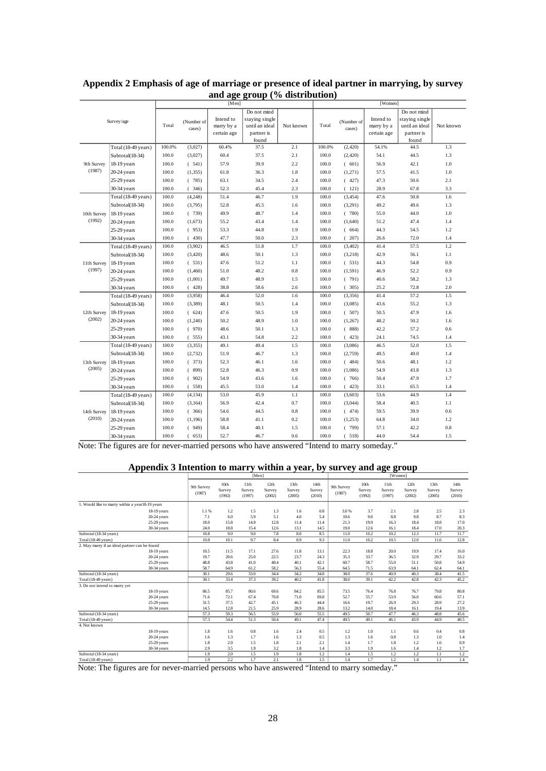| Do not mind<br>Do not mind<br>Intend to<br>staying single<br>Intend to<br>staying single<br>Survey/age<br>(Number of<br>(Number of<br>Total<br>Total<br>until an ideal<br>Not known<br>marry by a<br>until an ideal<br>Not known<br>marry by a<br>cases)<br>cases)<br>partner is<br>partner is<br>certain age<br>certain age<br>found<br>found<br>(3,027)<br>Total (18-49 years)<br>100.0%<br>60.4%<br>37.5<br>2.1<br>100.0%<br>(2, 420)<br>54.1%<br>44.5<br>1.3<br>100.0<br>Subtotal(18-34)<br>(3,027)<br>60.4<br>37.5<br>2.1<br>100.0<br>(2,420)<br>54.1<br>44.5<br>1.3<br>2.2<br>$1.0\,$<br>18-19 years<br>100.0<br>(541)<br>57.9<br>39.9<br>100.0<br>(601)<br>56.9<br>42.1<br>9th Survey<br>(1987)<br>100.0<br>(1, 355)<br>1.8<br>(1,271)<br>$1.0\,$<br>$20-24$ years<br>61.8<br>36.3<br>100.0<br>57.5<br>41.5<br>100.0<br>(785)<br>63.1<br>2.4<br>100.0<br>(427)<br>47.3<br>2.1<br>$25-29$ years<br>34.5<br>50.6<br>100.0<br>2.3<br>(346)<br>52.3<br>45.4<br>100.0<br>(121)<br>28.9<br>67.8<br>3.3<br>30-34 years<br>1.9<br>100.0<br>46.7<br>50.8<br>Total (18-49 years)<br>(4, 248)<br>51.4<br>100.0<br>(3, 454)<br>47.6<br>1.6<br>49.2<br>Subtotal(18-34)<br>100.0<br>(3,795)<br>52.8<br>45.5<br>1.6<br>100.0<br>(3,291)<br>49.6<br>1.3<br>100.0<br>49.9<br>100.0<br>(780)<br>55.0<br>$1.0\,$<br>18-19 years<br>(739)<br>48.7<br>1.4<br>44.0<br>10th Survey<br>(1992)<br>100.0<br>55.2<br>100.0<br>51.2<br>1.4<br>$20-24$ years<br>(1,673)<br>43.4<br>1.4<br>(1,640)<br>47.4<br>100.0<br>1.9<br>44.3<br>1.2<br>25-29 years<br>(953)<br>53.3<br>44.8<br>100.0<br>(664)<br>54.5<br>100.0<br>(430)<br>47.7<br>50.0<br>2.3<br>100.0<br>(207)<br>26.6<br>72.0<br>1.4<br>30-34 years<br>1.7<br>1.2<br>Total (18-49 years)<br>100.0<br>(3,902)<br>46.5<br>51.8<br>100.0<br>(3, 402)<br>41.4<br>57.5<br>100.0<br>42.9<br>(3, 420)<br>48.6<br>50.1<br>1.3<br>100.0<br>(3,218)<br>1.1<br>Subtotal(18-34)<br>56.1<br>0.9<br>100.0<br>(531)<br>47.6<br>51.2<br>1.1<br>100.0<br>(531)<br>44.3<br>54.8<br>11th Survey<br>18-19 years<br>(1997)<br>0.8<br>0.9<br>100.0<br>(1,460)<br>51.0<br>48.2<br>100.0<br>(1, 591)<br>46.9<br>52.2<br>$20-24$ years<br>100.0<br>49.7<br>48.9<br>1.5<br>40.6<br>58.2<br>1.3<br>25-29 years<br>(1,001)<br>100.0<br>(791)<br>30-34 years<br>100.0<br>38.8<br>58.6<br>2.6<br>100.0<br>(305)<br>25.2<br>72.8<br>2.0<br>(428)<br>1.5<br>100.0<br>(3,958)<br>46.4<br>52.0<br>1.6<br>100.0<br>(3, 356)<br>41.4<br>57.2<br>Total (18-49 years)<br>100.0<br>48.1<br>(3, 389)<br>50.5<br>1.4<br>100.0<br>(3,085)<br>43.6<br>55.2<br>1.3<br>Subtotal(18-34)<br>1.6<br>100.0<br>(624)<br>47.6<br>50.5<br>1.9<br>100.0<br>(507)<br>50.5<br>47.9<br>12th Survey<br>18-19 years<br>(2002)<br>100.0<br>48.9<br>1.0<br>48.2<br>20-24 years<br>(1,240)<br>50.2<br>100.0<br>(1,267)<br>50.2<br>1.6<br>100.0<br>(970)<br>48.6<br>1.3<br>100.0<br>(888)<br>42.2<br>57.2<br>0.6<br>25-29 years<br>50.1<br>100.0<br>2.2<br>100.0<br>1.4<br>30-34 years<br>(555)<br>43.1<br>54.8<br>(423)<br>24.1<br>74.5<br>100.0<br>1.5<br>46.5<br>1.5<br>(3, 355)<br>49.1<br>49.4<br>100.0<br>(3,086)<br>52.0<br>Total (18-49 years)<br>100.0<br>(2, 732)<br>51.9<br>46.7<br>1.3<br>100.0<br>(2,759)<br>49.5<br>49.0<br>1.4<br>Subtotal(18-34)<br>1.2<br>13th Survey<br>18-19 years<br>100.0<br>(373)<br>52.3<br>46.1<br>1.6<br>100.0<br>(484)<br>50.6<br>48.1<br>(2005)<br>100.0<br>(899)<br>46.3<br>0.9<br>100.0<br>54.9<br>1.3<br>52.8<br>(1,086)<br>43.8<br>20-24 years<br>100.0<br>54.9<br>100.0<br>50.4<br>1.7<br>25-29 years<br>(902)<br>43.6<br>1.6<br>(766)<br>47.9<br>100.0<br>45.5<br>1.4<br>100.0<br>33.1<br>1.4<br>30-34 years<br>(558)<br>53.0<br>(423)<br>65.5<br>Total (18-49 years)<br>100.0<br>(4, 134)<br>53.0<br>45.9<br>1.1<br>100.0<br>(3,603)<br>53.6<br>44.9<br>1.4<br>0.7<br>100.0<br>(3, 164)<br>56.9<br>42.4<br>100.0<br>(3,044)<br>58.4<br>40.5<br>1.1<br>Subtotal(18-34)<br>100.0<br>54.6<br>44.5<br>0.8<br>100.0<br>(474)<br>59.5<br>39.9<br>0.6<br>18-19 years<br>(366)<br>14th Survey<br>(2010)<br>1.2<br>$20-24$ years<br>100.0<br>(1, 196)<br>58.8<br>41.1<br>0.2<br>100.0<br>(1,253)<br>64.8<br>34.0<br>100.0<br>0.8<br>$25-29$ years<br>(949)<br>58.4<br>40.1<br>1.5<br>100.0<br>(799)<br>57.1<br>42.2<br>100.0<br>52.7<br>46.7<br>0.6<br>100.0<br>44.0<br>1.5<br>30-34 years<br>(653)<br>(518)<br>54.4 |  | [Men] |  |  |  |  | [Women] |  |  |  |  |  |
|-----------------------------------------------------------------------------------------------------------------------------------------------------------------------------------------------------------------------------------------------------------------------------------------------------------------------------------------------------------------------------------------------------------------------------------------------------------------------------------------------------------------------------------------------------------------------------------------------------------------------------------------------------------------------------------------------------------------------------------------------------------------------------------------------------------------------------------------------------------------------------------------------------------------------------------------------------------------------------------------------------------------------------------------------------------------------------------------------------------------------------------------------------------------------------------------------------------------------------------------------------------------------------------------------------------------------------------------------------------------------------------------------------------------------------------------------------------------------------------------------------------------------------------------------------------------------------------------------------------------------------------------------------------------------------------------------------------------------------------------------------------------------------------------------------------------------------------------------------------------------------------------------------------------------------------------------------------------------------------------------------------------------------------------------------------------------------------------------------------------------------------------------------------------------------------------------------------------------------------------------------------------------------------------------------------------------------------------------------------------------------------------------------------------------------------------------------------------------------------------------------------------------------------------------------------------------------------------------------------------------------------------------------------------------------------------------------------------------------------------------------------------------------------------------------------------------------------------------------------------------------------------------------------------------------------------------------------------------------------------------------------------------------------------------------------------------------------------------------------------------------------------------------------------------------------------------------------------------------------------------------------------------------------------------------------------------------------------------------------------------------------------------------------------------------------------------------------------------------------------------------------------------------------------------------------------------------------------------------------------------------------------------------------------------------------------------------------------------------------------------------------------------------------------------------------------------------------------------------------------------------------------------------------------------------------------------------------------------------------------------------------------------------------------------------------------------------------------------------------------------------------------------------------------------------------------------------------------------------------------------------------------------------------------------------------------------------------|--|-------|--|--|--|--|---------|--|--|--|--|--|
|                                                                                                                                                                                                                                                                                                                                                                                                                                                                                                                                                                                                                                                                                                                                                                                                                                                                                                                                                                                                                                                                                                                                                                                                                                                                                                                                                                                                                                                                                                                                                                                                                                                                                                                                                                                                                                                                                                                                                                                                                                                                                                                                                                                                                                                                                                                                                                                                                                                                                                                                                                                                                                                                                                                                                                                                                                                                                                                                                                                                                                                                                                                                                                                                                                                                                                                                                                                                                                                                                                                                                                                                                                                                                                                                                                                                                                                                                                                                                                                                                                                                                                                                                                                                                                                                                                                                   |  |       |  |  |  |  |         |  |  |  |  |  |
|                                                                                                                                                                                                                                                                                                                                                                                                                                                                                                                                                                                                                                                                                                                                                                                                                                                                                                                                                                                                                                                                                                                                                                                                                                                                                                                                                                                                                                                                                                                                                                                                                                                                                                                                                                                                                                                                                                                                                                                                                                                                                                                                                                                                                                                                                                                                                                                                                                                                                                                                                                                                                                                                                                                                                                                                                                                                                                                                                                                                                                                                                                                                                                                                                                                                                                                                                                                                                                                                                                                                                                                                                                                                                                                                                                                                                                                                                                                                                                                                                                                                                                                                                                                                                                                                                                                                   |  |       |  |  |  |  |         |  |  |  |  |  |
|                                                                                                                                                                                                                                                                                                                                                                                                                                                                                                                                                                                                                                                                                                                                                                                                                                                                                                                                                                                                                                                                                                                                                                                                                                                                                                                                                                                                                                                                                                                                                                                                                                                                                                                                                                                                                                                                                                                                                                                                                                                                                                                                                                                                                                                                                                                                                                                                                                                                                                                                                                                                                                                                                                                                                                                                                                                                                                                                                                                                                                                                                                                                                                                                                                                                                                                                                                                                                                                                                                                                                                                                                                                                                                                                                                                                                                                                                                                                                                                                                                                                                                                                                                                                                                                                                                                                   |  |       |  |  |  |  |         |  |  |  |  |  |
|                                                                                                                                                                                                                                                                                                                                                                                                                                                                                                                                                                                                                                                                                                                                                                                                                                                                                                                                                                                                                                                                                                                                                                                                                                                                                                                                                                                                                                                                                                                                                                                                                                                                                                                                                                                                                                                                                                                                                                                                                                                                                                                                                                                                                                                                                                                                                                                                                                                                                                                                                                                                                                                                                                                                                                                                                                                                                                                                                                                                                                                                                                                                                                                                                                                                                                                                                                                                                                                                                                                                                                                                                                                                                                                                                                                                                                                                                                                                                                                                                                                                                                                                                                                                                                                                                                                                   |  |       |  |  |  |  |         |  |  |  |  |  |
|                                                                                                                                                                                                                                                                                                                                                                                                                                                                                                                                                                                                                                                                                                                                                                                                                                                                                                                                                                                                                                                                                                                                                                                                                                                                                                                                                                                                                                                                                                                                                                                                                                                                                                                                                                                                                                                                                                                                                                                                                                                                                                                                                                                                                                                                                                                                                                                                                                                                                                                                                                                                                                                                                                                                                                                                                                                                                                                                                                                                                                                                                                                                                                                                                                                                                                                                                                                                                                                                                                                                                                                                                                                                                                                                                                                                                                                                                                                                                                                                                                                                                                                                                                                                                                                                                                                                   |  |       |  |  |  |  |         |  |  |  |  |  |
|                                                                                                                                                                                                                                                                                                                                                                                                                                                                                                                                                                                                                                                                                                                                                                                                                                                                                                                                                                                                                                                                                                                                                                                                                                                                                                                                                                                                                                                                                                                                                                                                                                                                                                                                                                                                                                                                                                                                                                                                                                                                                                                                                                                                                                                                                                                                                                                                                                                                                                                                                                                                                                                                                                                                                                                                                                                                                                                                                                                                                                                                                                                                                                                                                                                                                                                                                                                                                                                                                                                                                                                                                                                                                                                                                                                                                                                                                                                                                                                                                                                                                                                                                                                                                                                                                                                                   |  |       |  |  |  |  |         |  |  |  |  |  |
|                                                                                                                                                                                                                                                                                                                                                                                                                                                                                                                                                                                                                                                                                                                                                                                                                                                                                                                                                                                                                                                                                                                                                                                                                                                                                                                                                                                                                                                                                                                                                                                                                                                                                                                                                                                                                                                                                                                                                                                                                                                                                                                                                                                                                                                                                                                                                                                                                                                                                                                                                                                                                                                                                                                                                                                                                                                                                                                                                                                                                                                                                                                                                                                                                                                                                                                                                                                                                                                                                                                                                                                                                                                                                                                                                                                                                                                                                                                                                                                                                                                                                                                                                                                                                                                                                                                                   |  |       |  |  |  |  |         |  |  |  |  |  |
|                                                                                                                                                                                                                                                                                                                                                                                                                                                                                                                                                                                                                                                                                                                                                                                                                                                                                                                                                                                                                                                                                                                                                                                                                                                                                                                                                                                                                                                                                                                                                                                                                                                                                                                                                                                                                                                                                                                                                                                                                                                                                                                                                                                                                                                                                                                                                                                                                                                                                                                                                                                                                                                                                                                                                                                                                                                                                                                                                                                                                                                                                                                                                                                                                                                                                                                                                                                                                                                                                                                                                                                                                                                                                                                                                                                                                                                                                                                                                                                                                                                                                                                                                                                                                                                                                                                                   |  |       |  |  |  |  |         |  |  |  |  |  |
|                                                                                                                                                                                                                                                                                                                                                                                                                                                                                                                                                                                                                                                                                                                                                                                                                                                                                                                                                                                                                                                                                                                                                                                                                                                                                                                                                                                                                                                                                                                                                                                                                                                                                                                                                                                                                                                                                                                                                                                                                                                                                                                                                                                                                                                                                                                                                                                                                                                                                                                                                                                                                                                                                                                                                                                                                                                                                                                                                                                                                                                                                                                                                                                                                                                                                                                                                                                                                                                                                                                                                                                                                                                                                                                                                                                                                                                                                                                                                                                                                                                                                                                                                                                                                                                                                                                                   |  |       |  |  |  |  |         |  |  |  |  |  |
|                                                                                                                                                                                                                                                                                                                                                                                                                                                                                                                                                                                                                                                                                                                                                                                                                                                                                                                                                                                                                                                                                                                                                                                                                                                                                                                                                                                                                                                                                                                                                                                                                                                                                                                                                                                                                                                                                                                                                                                                                                                                                                                                                                                                                                                                                                                                                                                                                                                                                                                                                                                                                                                                                                                                                                                                                                                                                                                                                                                                                                                                                                                                                                                                                                                                                                                                                                                                                                                                                                                                                                                                                                                                                                                                                                                                                                                                                                                                                                                                                                                                                                                                                                                                                                                                                                                                   |  |       |  |  |  |  |         |  |  |  |  |  |
|                                                                                                                                                                                                                                                                                                                                                                                                                                                                                                                                                                                                                                                                                                                                                                                                                                                                                                                                                                                                                                                                                                                                                                                                                                                                                                                                                                                                                                                                                                                                                                                                                                                                                                                                                                                                                                                                                                                                                                                                                                                                                                                                                                                                                                                                                                                                                                                                                                                                                                                                                                                                                                                                                                                                                                                                                                                                                                                                                                                                                                                                                                                                                                                                                                                                                                                                                                                                                                                                                                                                                                                                                                                                                                                                                                                                                                                                                                                                                                                                                                                                                                                                                                                                                                                                                                                                   |  |       |  |  |  |  |         |  |  |  |  |  |
|                                                                                                                                                                                                                                                                                                                                                                                                                                                                                                                                                                                                                                                                                                                                                                                                                                                                                                                                                                                                                                                                                                                                                                                                                                                                                                                                                                                                                                                                                                                                                                                                                                                                                                                                                                                                                                                                                                                                                                                                                                                                                                                                                                                                                                                                                                                                                                                                                                                                                                                                                                                                                                                                                                                                                                                                                                                                                                                                                                                                                                                                                                                                                                                                                                                                                                                                                                                                                                                                                                                                                                                                                                                                                                                                                                                                                                                                                                                                                                                                                                                                                                                                                                                                                                                                                                                                   |  |       |  |  |  |  |         |  |  |  |  |  |
|                                                                                                                                                                                                                                                                                                                                                                                                                                                                                                                                                                                                                                                                                                                                                                                                                                                                                                                                                                                                                                                                                                                                                                                                                                                                                                                                                                                                                                                                                                                                                                                                                                                                                                                                                                                                                                                                                                                                                                                                                                                                                                                                                                                                                                                                                                                                                                                                                                                                                                                                                                                                                                                                                                                                                                                                                                                                                                                                                                                                                                                                                                                                                                                                                                                                                                                                                                                                                                                                                                                                                                                                                                                                                                                                                                                                                                                                                                                                                                                                                                                                                                                                                                                                                                                                                                                                   |  |       |  |  |  |  |         |  |  |  |  |  |
|                                                                                                                                                                                                                                                                                                                                                                                                                                                                                                                                                                                                                                                                                                                                                                                                                                                                                                                                                                                                                                                                                                                                                                                                                                                                                                                                                                                                                                                                                                                                                                                                                                                                                                                                                                                                                                                                                                                                                                                                                                                                                                                                                                                                                                                                                                                                                                                                                                                                                                                                                                                                                                                                                                                                                                                                                                                                                                                                                                                                                                                                                                                                                                                                                                                                                                                                                                                                                                                                                                                                                                                                                                                                                                                                                                                                                                                                                                                                                                                                                                                                                                                                                                                                                                                                                                                                   |  |       |  |  |  |  |         |  |  |  |  |  |
|                                                                                                                                                                                                                                                                                                                                                                                                                                                                                                                                                                                                                                                                                                                                                                                                                                                                                                                                                                                                                                                                                                                                                                                                                                                                                                                                                                                                                                                                                                                                                                                                                                                                                                                                                                                                                                                                                                                                                                                                                                                                                                                                                                                                                                                                                                                                                                                                                                                                                                                                                                                                                                                                                                                                                                                                                                                                                                                                                                                                                                                                                                                                                                                                                                                                                                                                                                                                                                                                                                                                                                                                                                                                                                                                                                                                                                                                                                                                                                                                                                                                                                                                                                                                                                                                                                                                   |  |       |  |  |  |  |         |  |  |  |  |  |
|                                                                                                                                                                                                                                                                                                                                                                                                                                                                                                                                                                                                                                                                                                                                                                                                                                                                                                                                                                                                                                                                                                                                                                                                                                                                                                                                                                                                                                                                                                                                                                                                                                                                                                                                                                                                                                                                                                                                                                                                                                                                                                                                                                                                                                                                                                                                                                                                                                                                                                                                                                                                                                                                                                                                                                                                                                                                                                                                                                                                                                                                                                                                                                                                                                                                                                                                                                                                                                                                                                                                                                                                                                                                                                                                                                                                                                                                                                                                                                                                                                                                                                                                                                                                                                                                                                                                   |  |       |  |  |  |  |         |  |  |  |  |  |
|                                                                                                                                                                                                                                                                                                                                                                                                                                                                                                                                                                                                                                                                                                                                                                                                                                                                                                                                                                                                                                                                                                                                                                                                                                                                                                                                                                                                                                                                                                                                                                                                                                                                                                                                                                                                                                                                                                                                                                                                                                                                                                                                                                                                                                                                                                                                                                                                                                                                                                                                                                                                                                                                                                                                                                                                                                                                                                                                                                                                                                                                                                                                                                                                                                                                                                                                                                                                                                                                                                                                                                                                                                                                                                                                                                                                                                                                                                                                                                                                                                                                                                                                                                                                                                                                                                                                   |  |       |  |  |  |  |         |  |  |  |  |  |
|                                                                                                                                                                                                                                                                                                                                                                                                                                                                                                                                                                                                                                                                                                                                                                                                                                                                                                                                                                                                                                                                                                                                                                                                                                                                                                                                                                                                                                                                                                                                                                                                                                                                                                                                                                                                                                                                                                                                                                                                                                                                                                                                                                                                                                                                                                                                                                                                                                                                                                                                                                                                                                                                                                                                                                                                                                                                                                                                                                                                                                                                                                                                                                                                                                                                                                                                                                                                                                                                                                                                                                                                                                                                                                                                                                                                                                                                                                                                                                                                                                                                                                                                                                                                                                                                                                                                   |  |       |  |  |  |  |         |  |  |  |  |  |
|                                                                                                                                                                                                                                                                                                                                                                                                                                                                                                                                                                                                                                                                                                                                                                                                                                                                                                                                                                                                                                                                                                                                                                                                                                                                                                                                                                                                                                                                                                                                                                                                                                                                                                                                                                                                                                                                                                                                                                                                                                                                                                                                                                                                                                                                                                                                                                                                                                                                                                                                                                                                                                                                                                                                                                                                                                                                                                                                                                                                                                                                                                                                                                                                                                                                                                                                                                                                                                                                                                                                                                                                                                                                                                                                                                                                                                                                                                                                                                                                                                                                                                                                                                                                                                                                                                                                   |  |       |  |  |  |  |         |  |  |  |  |  |
|                                                                                                                                                                                                                                                                                                                                                                                                                                                                                                                                                                                                                                                                                                                                                                                                                                                                                                                                                                                                                                                                                                                                                                                                                                                                                                                                                                                                                                                                                                                                                                                                                                                                                                                                                                                                                                                                                                                                                                                                                                                                                                                                                                                                                                                                                                                                                                                                                                                                                                                                                                                                                                                                                                                                                                                                                                                                                                                                                                                                                                                                                                                                                                                                                                                                                                                                                                                                                                                                                                                                                                                                                                                                                                                                                                                                                                                                                                                                                                                                                                                                                                                                                                                                                                                                                                                                   |  |       |  |  |  |  |         |  |  |  |  |  |
|                                                                                                                                                                                                                                                                                                                                                                                                                                                                                                                                                                                                                                                                                                                                                                                                                                                                                                                                                                                                                                                                                                                                                                                                                                                                                                                                                                                                                                                                                                                                                                                                                                                                                                                                                                                                                                                                                                                                                                                                                                                                                                                                                                                                                                                                                                                                                                                                                                                                                                                                                                                                                                                                                                                                                                                                                                                                                                                                                                                                                                                                                                                                                                                                                                                                                                                                                                                                                                                                                                                                                                                                                                                                                                                                                                                                                                                                                                                                                                                                                                                                                                                                                                                                                                                                                                                                   |  |       |  |  |  |  |         |  |  |  |  |  |
|                                                                                                                                                                                                                                                                                                                                                                                                                                                                                                                                                                                                                                                                                                                                                                                                                                                                                                                                                                                                                                                                                                                                                                                                                                                                                                                                                                                                                                                                                                                                                                                                                                                                                                                                                                                                                                                                                                                                                                                                                                                                                                                                                                                                                                                                                                                                                                                                                                                                                                                                                                                                                                                                                                                                                                                                                                                                                                                                                                                                                                                                                                                                                                                                                                                                                                                                                                                                                                                                                                                                                                                                                                                                                                                                                                                                                                                                                                                                                                                                                                                                                                                                                                                                                                                                                                                                   |  |       |  |  |  |  |         |  |  |  |  |  |
|                                                                                                                                                                                                                                                                                                                                                                                                                                                                                                                                                                                                                                                                                                                                                                                                                                                                                                                                                                                                                                                                                                                                                                                                                                                                                                                                                                                                                                                                                                                                                                                                                                                                                                                                                                                                                                                                                                                                                                                                                                                                                                                                                                                                                                                                                                                                                                                                                                                                                                                                                                                                                                                                                                                                                                                                                                                                                                                                                                                                                                                                                                                                                                                                                                                                                                                                                                                                                                                                                                                                                                                                                                                                                                                                                                                                                                                                                                                                                                                                                                                                                                                                                                                                                                                                                                                                   |  |       |  |  |  |  |         |  |  |  |  |  |
|                                                                                                                                                                                                                                                                                                                                                                                                                                                                                                                                                                                                                                                                                                                                                                                                                                                                                                                                                                                                                                                                                                                                                                                                                                                                                                                                                                                                                                                                                                                                                                                                                                                                                                                                                                                                                                                                                                                                                                                                                                                                                                                                                                                                                                                                                                                                                                                                                                                                                                                                                                                                                                                                                                                                                                                                                                                                                                                                                                                                                                                                                                                                                                                                                                                                                                                                                                                                                                                                                                                                                                                                                                                                                                                                                                                                                                                                                                                                                                                                                                                                                                                                                                                                                                                                                                                                   |  |       |  |  |  |  |         |  |  |  |  |  |
|                                                                                                                                                                                                                                                                                                                                                                                                                                                                                                                                                                                                                                                                                                                                                                                                                                                                                                                                                                                                                                                                                                                                                                                                                                                                                                                                                                                                                                                                                                                                                                                                                                                                                                                                                                                                                                                                                                                                                                                                                                                                                                                                                                                                                                                                                                                                                                                                                                                                                                                                                                                                                                                                                                                                                                                                                                                                                                                                                                                                                                                                                                                                                                                                                                                                                                                                                                                                                                                                                                                                                                                                                                                                                                                                                                                                                                                                                                                                                                                                                                                                                                                                                                                                                                                                                                                                   |  |       |  |  |  |  |         |  |  |  |  |  |
|                                                                                                                                                                                                                                                                                                                                                                                                                                                                                                                                                                                                                                                                                                                                                                                                                                                                                                                                                                                                                                                                                                                                                                                                                                                                                                                                                                                                                                                                                                                                                                                                                                                                                                                                                                                                                                                                                                                                                                                                                                                                                                                                                                                                                                                                                                                                                                                                                                                                                                                                                                                                                                                                                                                                                                                                                                                                                                                                                                                                                                                                                                                                                                                                                                                                                                                                                                                                                                                                                                                                                                                                                                                                                                                                                                                                                                                                                                                                                                                                                                                                                                                                                                                                                                                                                                                                   |  |       |  |  |  |  |         |  |  |  |  |  |
|                                                                                                                                                                                                                                                                                                                                                                                                                                                                                                                                                                                                                                                                                                                                                                                                                                                                                                                                                                                                                                                                                                                                                                                                                                                                                                                                                                                                                                                                                                                                                                                                                                                                                                                                                                                                                                                                                                                                                                                                                                                                                                                                                                                                                                                                                                                                                                                                                                                                                                                                                                                                                                                                                                                                                                                                                                                                                                                                                                                                                                                                                                                                                                                                                                                                                                                                                                                                                                                                                                                                                                                                                                                                                                                                                                                                                                                                                                                                                                                                                                                                                                                                                                                                                                                                                                                                   |  |       |  |  |  |  |         |  |  |  |  |  |
|                                                                                                                                                                                                                                                                                                                                                                                                                                                                                                                                                                                                                                                                                                                                                                                                                                                                                                                                                                                                                                                                                                                                                                                                                                                                                                                                                                                                                                                                                                                                                                                                                                                                                                                                                                                                                                                                                                                                                                                                                                                                                                                                                                                                                                                                                                                                                                                                                                                                                                                                                                                                                                                                                                                                                                                                                                                                                                                                                                                                                                                                                                                                                                                                                                                                                                                                                                                                                                                                                                                                                                                                                                                                                                                                                                                                                                                                                                                                                                                                                                                                                                                                                                                                                                                                                                                                   |  |       |  |  |  |  |         |  |  |  |  |  |
|                                                                                                                                                                                                                                                                                                                                                                                                                                                                                                                                                                                                                                                                                                                                                                                                                                                                                                                                                                                                                                                                                                                                                                                                                                                                                                                                                                                                                                                                                                                                                                                                                                                                                                                                                                                                                                                                                                                                                                                                                                                                                                                                                                                                                                                                                                                                                                                                                                                                                                                                                                                                                                                                                                                                                                                                                                                                                                                                                                                                                                                                                                                                                                                                                                                                                                                                                                                                                                                                                                                                                                                                                                                                                                                                                                                                                                                                                                                                                                                                                                                                                                                                                                                                                                                                                                                                   |  |       |  |  |  |  |         |  |  |  |  |  |
|                                                                                                                                                                                                                                                                                                                                                                                                                                                                                                                                                                                                                                                                                                                                                                                                                                                                                                                                                                                                                                                                                                                                                                                                                                                                                                                                                                                                                                                                                                                                                                                                                                                                                                                                                                                                                                                                                                                                                                                                                                                                                                                                                                                                                                                                                                                                                                                                                                                                                                                                                                                                                                                                                                                                                                                                                                                                                                                                                                                                                                                                                                                                                                                                                                                                                                                                                                                                                                                                                                                                                                                                                                                                                                                                                                                                                                                                                                                                                                                                                                                                                                                                                                                                                                                                                                                                   |  |       |  |  |  |  |         |  |  |  |  |  |
|                                                                                                                                                                                                                                                                                                                                                                                                                                                                                                                                                                                                                                                                                                                                                                                                                                                                                                                                                                                                                                                                                                                                                                                                                                                                                                                                                                                                                                                                                                                                                                                                                                                                                                                                                                                                                                                                                                                                                                                                                                                                                                                                                                                                                                                                                                                                                                                                                                                                                                                                                                                                                                                                                                                                                                                                                                                                                                                                                                                                                                                                                                                                                                                                                                                                                                                                                                                                                                                                                                                                                                                                                                                                                                                                                                                                                                                                                                                                                                                                                                                                                                                                                                                                                                                                                                                                   |  |       |  |  |  |  |         |  |  |  |  |  |
|                                                                                                                                                                                                                                                                                                                                                                                                                                                                                                                                                                                                                                                                                                                                                                                                                                                                                                                                                                                                                                                                                                                                                                                                                                                                                                                                                                                                                                                                                                                                                                                                                                                                                                                                                                                                                                                                                                                                                                                                                                                                                                                                                                                                                                                                                                                                                                                                                                                                                                                                                                                                                                                                                                                                                                                                                                                                                                                                                                                                                                                                                                                                                                                                                                                                                                                                                                                                                                                                                                                                                                                                                                                                                                                                                                                                                                                                                                                                                                                                                                                                                                                                                                                                                                                                                                                                   |  |       |  |  |  |  |         |  |  |  |  |  |
|                                                                                                                                                                                                                                                                                                                                                                                                                                                                                                                                                                                                                                                                                                                                                                                                                                                                                                                                                                                                                                                                                                                                                                                                                                                                                                                                                                                                                                                                                                                                                                                                                                                                                                                                                                                                                                                                                                                                                                                                                                                                                                                                                                                                                                                                                                                                                                                                                                                                                                                                                                                                                                                                                                                                                                                                                                                                                                                                                                                                                                                                                                                                                                                                                                                                                                                                                                                                                                                                                                                                                                                                                                                                                                                                                                                                                                                                                                                                                                                                                                                                                                                                                                                                                                                                                                                                   |  |       |  |  |  |  |         |  |  |  |  |  |
|                                                                                                                                                                                                                                                                                                                                                                                                                                                                                                                                                                                                                                                                                                                                                                                                                                                                                                                                                                                                                                                                                                                                                                                                                                                                                                                                                                                                                                                                                                                                                                                                                                                                                                                                                                                                                                                                                                                                                                                                                                                                                                                                                                                                                                                                                                                                                                                                                                                                                                                                                                                                                                                                                                                                                                                                                                                                                                                                                                                                                                                                                                                                                                                                                                                                                                                                                                                                                                                                                                                                                                                                                                                                                                                                                                                                                                                                                                                                                                                                                                                                                                                                                                                                                                                                                                                                   |  |       |  |  |  |  |         |  |  |  |  |  |
|                                                                                                                                                                                                                                                                                                                                                                                                                                                                                                                                                                                                                                                                                                                                                                                                                                                                                                                                                                                                                                                                                                                                                                                                                                                                                                                                                                                                                                                                                                                                                                                                                                                                                                                                                                                                                                                                                                                                                                                                                                                                                                                                                                                                                                                                                                                                                                                                                                                                                                                                                                                                                                                                                                                                                                                                                                                                                                                                                                                                                                                                                                                                                                                                                                                                                                                                                                                                                                                                                                                                                                                                                                                                                                                                                                                                                                                                                                                                                                                                                                                                                                                                                                                                                                                                                                                                   |  |       |  |  |  |  |         |  |  |  |  |  |
|                                                                                                                                                                                                                                                                                                                                                                                                                                                                                                                                                                                                                                                                                                                                                                                                                                                                                                                                                                                                                                                                                                                                                                                                                                                                                                                                                                                                                                                                                                                                                                                                                                                                                                                                                                                                                                                                                                                                                                                                                                                                                                                                                                                                                                                                                                                                                                                                                                                                                                                                                                                                                                                                                                                                                                                                                                                                                                                                                                                                                                                                                                                                                                                                                                                                                                                                                                                                                                                                                                                                                                                                                                                                                                                                                                                                                                                                                                                                                                                                                                                                                                                                                                                                                                                                                                                                   |  |       |  |  |  |  |         |  |  |  |  |  |
|                                                                                                                                                                                                                                                                                                                                                                                                                                                                                                                                                                                                                                                                                                                                                                                                                                                                                                                                                                                                                                                                                                                                                                                                                                                                                                                                                                                                                                                                                                                                                                                                                                                                                                                                                                                                                                                                                                                                                                                                                                                                                                                                                                                                                                                                                                                                                                                                                                                                                                                                                                                                                                                                                                                                                                                                                                                                                                                                                                                                                                                                                                                                                                                                                                                                                                                                                                                                                                                                                                                                                                                                                                                                                                                                                                                                                                                                                                                                                                                                                                                                                                                                                                                                                                                                                                                                   |  |       |  |  |  |  |         |  |  |  |  |  |

## **Appendix 2 Emphasis of age of marriage or presence of ideal partner in marrying, by survey and age group (% distribution)**

Note: The figures are for never-married persons who have answered "Intend to marry someday."

## **Appendix 3 Intention to marry within a year, by survey and age group**

|                                                 |               |                      |                          | [Men]                    |                          |                                      |                          | [Women]              |                          |                          |                          |                                      |                          |
|-------------------------------------------------|---------------|----------------------|--------------------------|--------------------------|--------------------------|--------------------------------------|--------------------------|----------------------|--------------------------|--------------------------|--------------------------|--------------------------------------|--------------------------|
|                                                 |               | 9th Survey<br>(1987) | 10th<br>Survey<br>(1992) | 11th<br>Survey<br>(1997) | 12th<br>Survey<br>(2002) | 13 <sub>th</sub><br>Survey<br>(2005) | 14th<br>Survey<br>(2010) | 9th Survey<br>(1987) | 10th<br>Survey<br>(1992) | 11th<br>Survey<br>(1997) | 12th<br>Survey<br>(2002) | 13 <sub>th</sub><br>Survey<br>(2005) | 14th<br>Survey<br>(2010) |
| 1. Would like to marry within a year18-19 years |               |                      |                          |                          |                          |                                      |                          |                      |                          |                          |                          |                                      |                          |
|                                                 | 18-19 years   | 1.1%                 | 1.2                      | 1.5                      | 1.3                      | 1.6                                  | 0.8                      | 3.0%                 | 3.7                      | 2.1                      | 2.8                      | 2.5                                  | 2.3                      |
|                                                 | $20-24$ years | 7.1                  | 6.0                      | 5.9                      | 5.1                      | 4.0                                  | 5.4                      | 10.6                 | 9.0                      | 8.8                      | 9.8                      | 8.7                                  | 8.3                      |
|                                                 | $25-29$ years | 18.0                 | 15.8                     | 14.9                     | 12.8                     | 11.4                                 | 11.4                     | 21.3                 | 19.9                     | 16.3                     | 18.4                     | 18.8                                 | 17.0                     |
|                                                 | 30-34 years   | 24.0                 | 18.8                     | 15.4                     | 12.6                     | 13.1                                 | 14.5                     | 19.0                 | 12.6                     | 16.1                     | 18.4                     | 17.0                                 | 20.3                     |
| Subtotal (18-34 years)                          |               | 10.8                 | 9.0                      | 9.0                      | 7.8                      | 8.0                                  | 8.5                      | 11.0                 | 10.2                     | 10.2                     | 12.3                     | 11.7                                 | 11.7                     |
| Total (18-49 years)                             |               | 10.8                 | 10.1                     | 9.7                      | 8.4                      | 8.9                                  | 9.3                      | 11.0                 | 10.2                     | 10.5                     | 12.0                     | 11.6                                 | 12.8                     |
| 2. May marry if an ideal partner can be found   |               |                      |                          |                          |                          |                                      |                          |                      |                          |                          |                          |                                      |                          |
|                                                 | $18-19$ years | 10.5                 | 11.5                     | 17.1                     | 27.6                     | 11.8                                 | 13.1                     | 22.3                 | 18.8                     | 20.0                     | 19.9                     | 17.4                                 | 16.0                     |
|                                                 | $20-24$ years | 19.7                 | 20.6                     | 25.0                     | 22.5                     | 23.7                                 | 24.3                     | 35.3                 | 33.7                     | 36.5                     | 32.9                     | 29.7                                 | 33.2                     |
|                                                 | $25-29$ years | 48.8                 | 43.8                     | 41.0                     | 40.4                     | 40.1                                 | 42.1                     | 60.7                 | 58.7                     | 55.0                     | 51.1                     | 50.8                                 | 54.9                     |
|                                                 | 30-34 years   | 58.7                 | 64.9                     | 61.2                     | 58.2                     | 56.3                                 | 55.4                     | 64.5                 | 71.5                     | 63.9                     | 64.1                     | 62.4                                 | 64.1                     |
| Subtotal (18-34 years)                          |               | 30.1                 | 29.6                     | 33.0                     | 34.4                     | 34.2                                 | 34.8                     | 38.0                 | 37.6                     | 40.9                     | 40.3                     | 38.4                                 | 41.5                     |
| Total (18-49 years)                             |               | 30.1                 | 33.4                     | 37.3                     | 39.2                     | 40.2                                 | 41.8                     | 38.0                 | 39.1                     | 42.2                     | 42.8                     | 42.3                                 | 45.2                     |
| 3. Do not intend to marry yet                   |               |                      |                          |                          |                          |                                      |                          |                      |                          |                          |                          |                                      |                          |
|                                                 | $18-19$ years | 86.5                 | 85.7                     | 80.6                     | 69.6                     | 84.2                                 | 85.5                     | 73.5                 | 76.4                     | 76.8                     | 76.7                     | 79.8                                 | 80.8                     |
|                                                 | $20-24$ years | 71.6                 | 72.1                     | 67.4                     | 70.8                     | 71.0                                 | 69.8                     | 52.7                 | 55.7                     | 53.9                     | 56.0                     | 60.6                                 | 57.1                     |
|                                                 | $25-29$ years | 31.5                 | 37.5                     | 42.7                     | 45.1                     | 46.3                                 | 44.4                     | 16.6                 | 19.7                     | 26.9                     | 29.3                     | 28.9                                 | 27.2                     |
|                                                 | 30-34 years   | 14.5                 | 12.8                     | 21.5                     | 25.9                     | 28.9                                 | 28.6                     | 13.2                 | 14.0                     | 18.4                     | 16.1                     | 19.4                                 | 13.9                     |
| Subtotal (18-34 years)                          |               | 57.3                 | 59.3                     | 56.5                     | 55.9                     | 56.0                                 | 55.5                     | 49.5                 | 50.7                     | 47.7                     | 46.3                     | 48.8                                 | 45.6                     |
| Total (18-49 years)                             |               | 57.3                 | 54.4                     | 51.3                     | 50.4                     | 49.1                                 | 47.4                     | 49.5                 | 49.1                     | 46.1                     | 43.9                     | 44.9                                 | 40.5                     |
| 4. Not known                                    |               |                      |                          |                          |                          |                                      |                          |                      |                          |                          |                          |                                      |                          |
|                                                 | $18-19$ years | 1.8                  | 1.6                      | 0.8                      | 1.6                      | 2.4                                  | 0.5                      | 1.2                  | 1.0                      | 1.1                      | 0.6                      | 0.4                                  | $0.8\,$                  |
|                                                 | $20-24$ years | 1.6                  | 1.3                      | 1.7                      | 1.6                      | 1.3                                  | 0.5                      | 1.3                  | 1.6                      | 0.8                      | 1.3                      | 1.0                                  | 1.4                      |
|                                                 | $25-29$ years | 1.8                  | 2.9                      | 1.5                      | 1.8                      | 2.1                                  | 2.1                      | 1.4                  | 1.7                      | 1.8                      | 1.2                      | 1.6                                  | 0.9                      |
|                                                 | 30-34 years   | 2.9                  | 3.5                      | 1.9                      | 3.2                      | 1.8                                  | 1.4                      | 3.3                  | 1.9                      | 1.6                      | 1.4                      | 1.2                                  | 1.7                      |
| Subtotal (18-34 years)                          |               | 1.9                  | 2.0                      | 1.5                      | 1.9                      | 1.8                                  | 1.2                      | 1.4                  | 1.5                      | 1.2                      | 1.2                      | 1.1                                  | 1.2                      |
| Total (18.40 year)                              |               | 1 <sub>0</sub>       | 22                       | 17                       | 21                       | 1 <sup>Q</sup>                       | 15                       | 1 <sub>A</sub>       | 17                       | 12                       | 1A                       | 11                                   | 1A                       |

Total (18-49 years) 1.9 2.2 1.7 2.1 1.8 1.5 1.4 1.7 1.2 1.4 1.1 1.4 Note: The figures are for never-married persons who have answered "Intend to marry someday."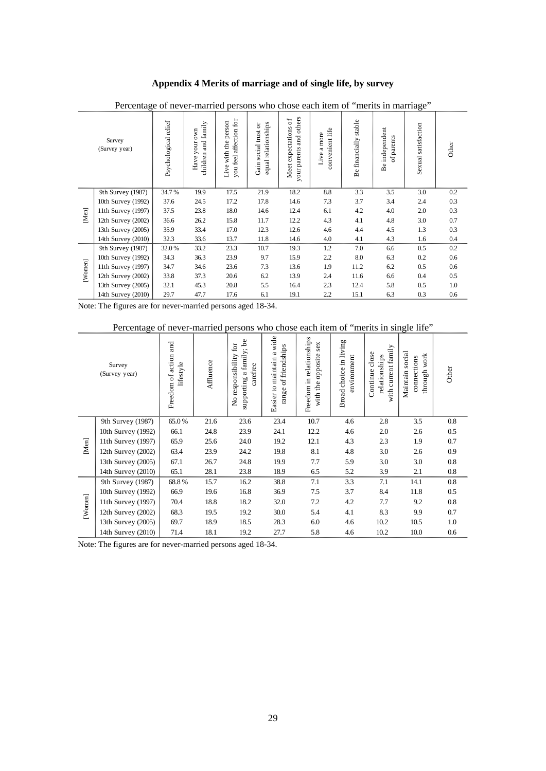## **Appendix 4 Merits of marriage and of single life, by survey**

| $\tilde{\phantom{a}}$<br>1110 V11000<br><b>CWATE TEATLE OF</b><br>morro in marriage |                         |                      |                                         |                                                     |                                             |                                                                    |                                       |                          |                              |                        |         |
|-------------------------------------------------------------------------------------|-------------------------|----------------------|-----------------------------------------|-----------------------------------------------------|---------------------------------------------|--------------------------------------------------------------------|---------------------------------------|--------------------------|------------------------------|------------------------|---------|
|                                                                                     | Survey<br>(Survey year) | Psychological relief | and family<br>Have your own<br>children | affection for<br>Live with the person<br>you feel a | equal relationships<br>Gain social trust or | and others<br>Meet expectations of<br>our parents<br>$\rightarrow$ | convenient life<br>more<br>a<br>Live. | stable<br>Be financially | Be independent<br>of parents | satisfaction<br>Sexual | Other   |
|                                                                                     | 9th Survey (1987)       | 34.7%                | 19.9                                    | 17.5                                                | 21.9                                        | 18.2                                                               | 8.8                                   | 3.3                      | 3.5                          | 3.0                    | 0.2     |
|                                                                                     | 10th Survey (1992)      | 37.6                 | 24.5                                    | 17.2                                                | 17.8                                        | 14.6                                                               | 7.3                                   | 3.7                      | 3.4                          | 2.4                    | 0.3     |
| $\ensuremath{\mathsf{[M\!]} }$                                                      | 11th Survey (1997)      | 37.5                 | 23.8                                    | 18.0                                                | 14.6                                        | 12.4                                                               | 6.1                                   | 4.2                      | 4.0                          | 2.0                    | 0.3     |
|                                                                                     | 12th Survey $(2002)$    | 36.6                 | 26.2                                    | 15.8                                                | 11.7                                        | 12.2                                                               | 4.3                                   | 4.1                      | 4.8                          | 3.0                    | 0.7     |
|                                                                                     | 13th Survey (2005)      | 35.9                 | 33.4                                    | 17.0                                                | 12.3                                        | 12.6                                                               | 4.6                                   | 4.4                      | 4.5                          | 1.3                    | 0.3     |
|                                                                                     | 14th Survey (2010)      | 32.3                 | 33.6                                    | 13.7                                                | 11.8                                        | 14.6                                                               | 4.0                                   | 4.1                      | 4.3                          | 1.6                    | $0.4\,$ |
|                                                                                     | 9th Survey (1987)       | 32.0%                | 33.2                                    | 23.3                                                | 10.7                                        | 19.3                                                               | 1.2                                   | 7.0                      | 6.6                          | 0.5                    | 0.2     |
|                                                                                     | 10th Survey (1992)      | 34.3                 | 36.3                                    | 23.9                                                | 9.7                                         | 15.9                                                               | 2.2                                   | 8.0                      | 6.3                          | 0.2                    | 0.6     |
|                                                                                     | 11th Survey (1997)      | 34.7                 | 34.6                                    | 23.6                                                | 7.3                                         | 13.6                                                               | 1.9                                   | 11.2                     | 6.2                          | 0.5                    | 0.6     |
| [Women]                                                                             | 12th Survey (2002)      | 33.8                 | 37.3                                    | 20.6                                                | 6.2                                         | 13.9                                                               | 2.4                                   | 11.6                     | 6.6                          | 0.4                    | 0.5     |
|                                                                                     | 13th Survey (2005)      | 32.1                 | 45.3                                    | 20.8                                                | 5.5                                         | 16.4                                                               | 2.3                                   | 12.4                     | 5.8                          | 0.5                    | 1.0     |
|                                                                                     | 14th Survey (2010)      | 29.7                 | 47.7                                    | 17.6                                                | 6.1                                         | 19.1                                                               | 2.2                                   | 15.1                     | 6.3                          | 0.3                    | 0.6     |

Percentage of never-married persons who chose each item of "merits in marriage"

Note: The figures are for never-married persons aged 18-34.

# Percentage of never-married persons who chose each item of "merits in single life"

|         | Survey<br>(Survey year) | and<br>Freedom of action<br>lifestyle | Affluence | family; be<br>$\operatorname{for}$<br>No responsibility<br>carefree<br>a<br>supporting | Easier to maintain a wide<br>of friendships<br>range | Freedom in relationships<br>sex<br>opposite<br>with the | Broad choice in living<br>mvironment | with current family<br>Continue close<br>relationships | social<br>work<br>connections<br>through<br>Maintain | Other |
|---------|-------------------------|---------------------------------------|-----------|----------------------------------------------------------------------------------------|------------------------------------------------------|---------------------------------------------------------|--------------------------------------|--------------------------------------------------------|------------------------------------------------------|-------|
|         | 9th Survey (1987)       | 65.0%                                 | 21.6      | 23.6                                                                                   | 23.4                                                 | 10.7                                                    | 4.6                                  | 2.8                                                    | 3.5                                                  | 0.8   |
|         | 10th Survey (1992)      | 66.1                                  | 24.8      | 23.9                                                                                   | 24.1                                                 | 12.2                                                    | 4.6                                  | 2.0                                                    | 2.6                                                  | 0.5   |
| [Men]   | 11th Survey (1997)      | 65.9                                  | 25.6      | 24.0                                                                                   | 19.2                                                 | 12.1                                                    | 4.3                                  | 2.3                                                    | 1.9                                                  | 0.7   |
|         | 12th Survey (2002)      | 63.4                                  | 23.9      | 24.2                                                                                   | 19.8                                                 | 8.1                                                     | 4.8                                  | 3.0                                                    | 2.6                                                  | 0.9   |
|         | 13th Survey (2005)      | 67.1                                  | 26.7      | 24.8                                                                                   | 19.9                                                 | 7.7                                                     | 5.9                                  | 3.0                                                    | 3.0                                                  | 0.8   |
|         | 14th Survey (2010)      | 65.1                                  | 28.1      | 23.8                                                                                   | 18.9                                                 | 6.5                                                     | 5.2                                  | 3.9                                                    | 2.1                                                  | 0.8   |
|         | 9th Survey (1987)       | 68.8%                                 | 15.7      | 16.2                                                                                   | 38.8                                                 | 7.1                                                     | 3.3                                  | 7.1                                                    | 14.1                                                 | 0.8   |
|         | 10th Survey (1992)      | 66.9                                  | 19.6      | 16.8                                                                                   | 36.9                                                 | 7.5                                                     | 3.7                                  | 8.4                                                    | 11.8                                                 | 0.5   |
|         | 11th Survey (1997)      | 70.4                                  | 18.8      | 18.2                                                                                   | 32.0                                                 | 7.2                                                     | 4.2                                  | 7.7                                                    | 9.2                                                  | 0.8   |
| [Wonen] | 12th Survey (2002)      | 68.3                                  | 19.5      | 19.2                                                                                   | 30.0                                                 | 5.4                                                     | 4.1                                  | 8.3                                                    | 9.9                                                  | 0.7   |
|         | 13th Survey (2005)      | 69.7                                  | 18.9      | 18.5                                                                                   | 28.3                                                 | 6.0                                                     | 4.6                                  | 10.2                                                   | 10.5                                                 | 1.0   |
|         | 14th Survey (2010)      | 71.4                                  | 18.1      | 19.2                                                                                   | 27.7                                                 | 5.8                                                     | 4.6                                  | 10.2                                                   | 10.0                                                 | 0.6   |

Note: The figures are for never-married persons aged 18-34.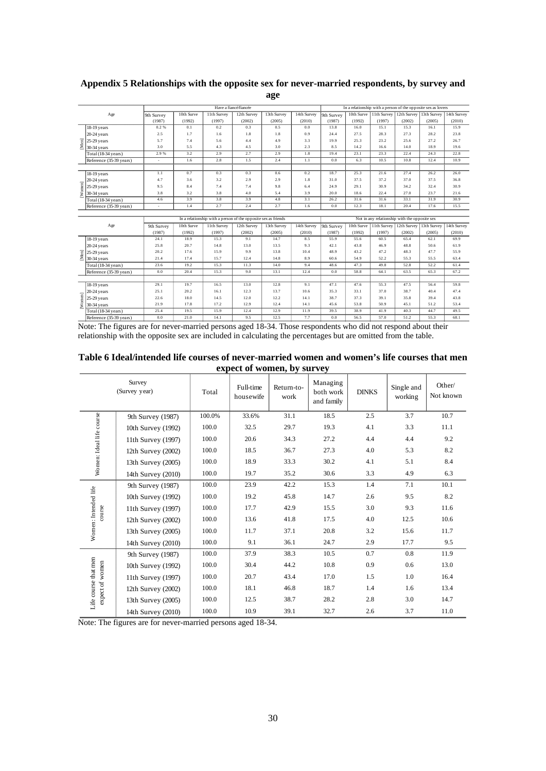|        |                                                          |             |              |              | Have a fiancé/fiancée                                          |              |             | In a relationship with a person of the opposite sex as lovers |              |                          |                         |                                                      |              |
|--------|----------------------------------------------------------|-------------|--------------|--------------|----------------------------------------------------------------|--------------|-------------|---------------------------------------------------------------|--------------|--------------------------|-------------------------|------------------------------------------------------|--------------|
|        | Age                                                      | 9th Survey  | 10th Surve   | 11th Survey  | 12th Survey                                                    | 13th Survey  | 14th Survey | 9th Survey                                                    |              |                          |                         | 10th Surve   11th Survey   12th Survey   13th Survey | 14th Survey  |
|        |                                                          | (1987)      | (1992)       | (1997)       | (2002)                                                         | (2005)       | (2010)      | (1987)                                                        | (1992)       | (1997)                   | (2002)                  | (2005)                                               | (2010)       |
|        | 18-19 years                                              | 0.2%        | 0.1          | 0.2          | 0.3                                                            | 0.5          | 0.0         | 13.8                                                          | 16.0         | 15.1                     | 15.3                    | 16.1                                                 | 15.9         |
|        | 20-24 years                                              | 2.5         | 1.7          | 1.6          | 1.8                                                            | 1.8          | 0.9         | 24.4                                                          | 27.5         | 28.3                     | 27.3                    | 28.2                                                 | 23.8         |
| [Men   | $25-29$ years                                            | 5.7         | 7.4          | 5.6          | 4.4                                                            | 4.9          | 3.3         | 19.9                                                          | 25.3         | 23.2                     | 25.6                    | 272                                                  | 26.7         |
|        | $30-34$ years                                            | 3.0         | 5.5          | 4.3          | 4.5                                                            | 3.0          | 2.3         | 8.5                                                           | 14.2         | 16.6                     | 14.0                    | 18.9                                                 | 19.6         |
|        | Total (18-34 years)                                      | 2.9%        | 3.2          | 2.9          | 2.7                                                            | 2.9          | 1.8         | 19.4                                                          | 23.1         | 23.3                     | 22.4                    | 24.3                                                 | 22.8         |
|        | Reference (35-39 years)                                  |             | 1.6          | 2.8          | 1.5                                                            | 2.4          | 1.1         | 0.0                                                           | 6.3          | 10.5                     | 10.8                    | 12.4                                                 | 10.9         |
|        |                                                          |             |              |              |                                                                |              |             |                                                               |              |                          |                         |                                                      |              |
|        | 18-19 years                                              | 1.1         | 0.7          | 0.3          | 0.3                                                            | 0.6          | 0.2         | 18.7                                                          | 25.3         | 21.6                     | 27.4                    | 26.2                                                 | 26.0         |
|        | 20-24 years                                              | 4.7         | 3.6          | 3.2          | 2.9                                                            | 2.9          | 1.8         | 31.0                                                          | 37.5         | 37.2                     | 37.0                    | 37.5                                                 | 36.8         |
| Women] | 25-29 years                                              | 9.5         | 8.4          | 7.4          | 7.4                                                            | 9.8          | 6.4         | 24.9                                                          | 29.1         | 30.9                     | 34.2                    | 32.4                                                 | 30.9         |
|        | 30-34 years                                              | 3.8         | 3.2          | 3.8          | 4.0                                                            | 5.4          | 3.9         | 20.0                                                          | 18.6         | 22.4                     | 27.0                    | 23.7                                                 | 21.6         |
|        | Total (18-34 years)                                      | 4.6         | 3.9          | 3.8          | 3.9                                                            | 4.8          | 3.1         | 26.2                                                          | 31.6         | 31.6                     | 33.1                    | 31.9                                                 | 30.9         |
|        | Reference (35-39 years)                                  |             | 1.4          | 2.7          | 2.4                                                            | 2.7          | 1.6         | 0.0                                                           | 12.3         | 18.1                     | 20.4                    | 17.6                                                 | 15.5         |
|        |                                                          |             |              |              |                                                                |              |             |                                                               |              |                          |                         |                                                      |              |
|        |                                                          |             |              |              | In a relationship with a person of the opposite sex as friends |              |             | Not in any relationship with the opposite sex                 |              |                          |                         |                                                      |              |
|        | Age                                                      | 9th Survey  | 10th Surve   | 11th Survey  | 12th Survey                                                    | 13th Survey  | 14th Survey | 9th Survey                                                    |              | 10th Surve   11th Survey | 12th Survey 13th Survey |                                                      | 14th Survey  |
|        |                                                          |             |              |              |                                                                |              |             |                                                               |              |                          |                         |                                                      |              |
|        |                                                          | (1987)      | (1992)       | (1997)       | (2002)                                                         | (2005)       | (2010)      | (1987)                                                        | (1992)       | (1997)                   | (2002)                  | (2005)                                               | (2010)       |
|        | 18-19 years                                              | 24.1        | 18.9         | 15.3         | 9.1                                                            | 14.7         | 8.5         | 55.9                                                          | 55.6         | 60.5                     | 65.4                    | 62.1                                                 | 69.9         |
|        | 20-24 years                                              | 25.8        | 20.7         | 14.8         | 13.0                                                           | 13.5         | 9.3         | 42.1                                                          | 43.8         | 46.9                     | 48.8                    | 50.6                                                 | 61.9         |
|        |                                                          | 20.2        | 17.6         | 15.9         | 9.9                                                            | 13.8         | 10.4        | 48.9                                                          | 43.2         | 47.2                     | 48.3                    | 47.7                                                 | 55.9         |
|        | $\overline{E}$ 25-29 years<br>$\overline{E}$ 30-34 years | 21.4        | 17.4         | 15.7         | 12.4                                                           | 14.8         | 8.9         | 60.6                                                          | 54.9         | 52.2                     | 55.3                    | 55.5                                                 | 63.4         |
|        | Total (18-34 years)                                      | 23.6        | 19.2         | 15.3         | 11.3                                                           | 14.0         | 9.4         | 48.6                                                          | 47.3         | 49.8                     | 52.8                    | 52.2                                                 | 61.4         |
|        | Reference (35-39 years)                                  | 0.0         | 20.4         | 15.3         | 9.0                                                            | 13.1         | 12.4        | 0.0                                                           | 58.8         | 64.1                     | 63.5                    | 65.3                                                 | 67.2         |
|        |                                                          |             |              |              |                                                                |              |             |                                                               |              |                          |                         |                                                      |              |
|        | 18-19 years                                              | 29.1        | 19.7         | 16.5         | 13.0                                                           | 12.8         | 9.1         | 47.1                                                          | 47.6         | 55.3                     | 47.5                    | 56.4                                                 | 59.8         |
|        | 20-24 years                                              | 25.1        | 20.2         | 16.1         | 12.3                                                           | 13.7         | 10.6        | 35.3                                                          | 33.1         | 37.0                     | 38.7                    | 40.4                                                 | 47.4         |
|        | 25-29 years                                              | 22.6        | 18.0         | 14.5         | 12.0                                                           | 12.2         | 14.1        | 38.7                                                          | 37.3         | 39.1                     | 35.8                    | 39.4                                                 | 43.8         |
| Women  | 30-34 years                                              | 21.9        | 17.8         | 17.2         | 12.9                                                           | 12.4         | 14.1        | 45.6                                                          | 53.8         | 50.9                     | 45.1                    | 51.2                                                 | 53.4         |
|        | Total (18-34 years)                                      | 25.4<br>0.0 | 19.5<br>21.0 | 15.9<br>14.1 | 12.4<br>9.5                                                    | 12.9<br>12.5 | 11.9<br>7.7 | 39.5<br>0.0                                                   | 38.9<br>56.5 | 41.9<br>57.0             | 40.3<br>51.2            | 44.7<br>55.3                                         | 49.5<br>68.1 |

## **Appendix 5 Relationships with the opposite sex for never-married respondents, by survey and age**

Note: The figures are for never-married persons aged 18-34. Those respondents who did not respond about their relationship with the opposite sex are included in calculating the percentages but are omitted from the table.

| Table 6 Ideal/intended life courses of never-married women and women's life courses that men |  |
|----------------------------------------------------------------------------------------------|--|
| expect of women, by survey                                                                   |  |

|                                         | Survey<br>(Survey year) | Total  | Full-time<br>housewife | Return-to-<br>work | Managing<br>both work<br>and family | <b>DINKS</b> | Single and<br>working | Other/<br>Not known |
|-----------------------------------------|-------------------------|--------|------------------------|--------------------|-------------------------------------|--------------|-----------------------|---------------------|
|                                         | 9th Survey (1987)       | 100.0% | 33.6%                  | 31.1               | 18.5                                | 2.5          | 3.7                   | 10.7                |
|                                         | 10th Survey (1992)      | 100.0  | 32.5                   | 29.7               | 19.3                                | 4.1          | 3.3                   | 11.1                |
|                                         | 11th Survey $(1997)$    | 100.0  | 20.6                   | 34.3               | 27.2                                | 4.4          | 4.4                   | 9.2                 |
|                                         | 12th Survey (2002)      | 100.0  | 18.5                   | 36.7               | 27.3                                | 4.0          | 5.3                   | 8.2                 |
| Women: Ideal life course                | 13th Survey (2005)      | 100.0  | 18.9                   | 33.3               | 30.2                                | 4.1          | 5.1                   | 8.4                 |
|                                         | 14th Survey (2010)      | 100.0  | 19.7                   | 35.2               | 30.6                                | 3.3          | 4.9                   | 6.3                 |
|                                         | 9th Survey (1987)       | 100.0  | 23.9                   | 42.2               | 15.3                                | 1.4          | 7.1                   | 10.1                |
|                                         | 10th Survey (1992)      | 100.0  | 19.2                   | 45.8               | 14.7                                | 2.6          | 9.5                   | 8.2                 |
| Women: Intended life<br>course          | 11th Survey (1997)      | 100.0  | 17.7                   | 42.9               | 15.5                                | 3.0          | 9.3                   | 11.6                |
|                                         | 12th Survey (2002)      | 100.0  | 13.6                   | 41.8               | 17.5                                | 4.0          | 12.5                  | 10.6                |
|                                         | 13th Survey (2005)      | 100.0  | 11.7                   | 37.1               | 20.8                                | 3.2          | 15.6                  | 11.7                |
|                                         | 14th Survey (2010)      | 100.0  | 9.1                    | 36.1               | 24.7                                | 2.9          | 17.7                  | 9.5                 |
|                                         | 9th Survey (1987)       | 100.0  | 37.9                   | 38.3               | 10.5                                | 0.7          | 0.8                   | 11.9                |
|                                         | 10th Survey (1992)      | 100.0  | 30.4                   | 44.2               | 10.8                                | 0.9          | 0.6                   | 13.0                |
|                                         | 11th Survey (1997)      | 100.0  | 20.7                   | 43.4               | 17.0                                | 1.5          | 1.0                   | 16.4                |
| Life course that men<br>expect of women | 12th Survey $(2002)$    | 100.0  | 18.1                   | 46.8               | 18.7                                | 1.4          | 1.6                   | 13.4                |
|                                         | 13th Survey (2005)      | 100.0  | 12.5                   | 38.7               | 28.2                                | 2.8          | 3.0                   | 14.7                |
|                                         | 14th Survey (2010)      | 100.0  | 10.9                   | 39.1               | 32.7                                | 2.6          | 3.7                   | 11.0                |

Note: The figures are for never-married persons aged 18-34.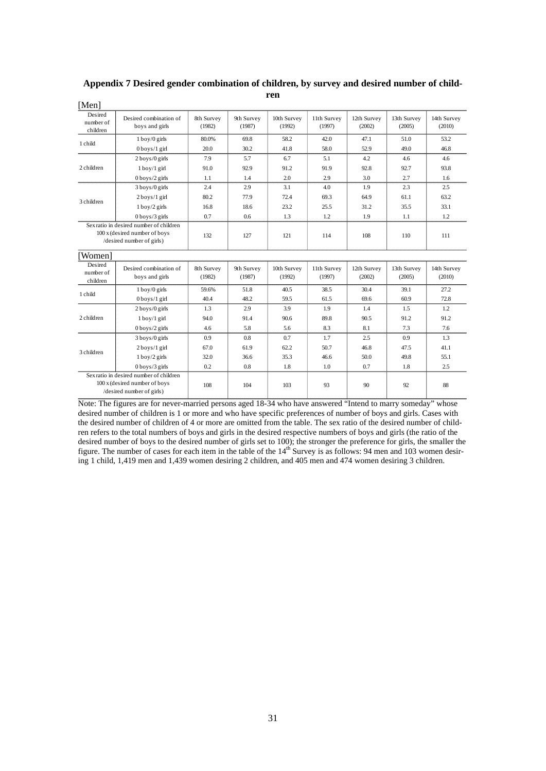| Desired<br>number of<br>children | Desired combination of<br>boys and girls                                                              | 8th Survey<br>(1982) | 9th Survey<br>(1987) | 10th Survey<br>(1992) | 11th Survey<br>(1997) | 12th Survey<br>(2002) | 13th Survey<br>(2005) | 14th Survey<br>(2010) |
|----------------------------------|-------------------------------------------------------------------------------------------------------|----------------------|----------------------|-----------------------|-----------------------|-----------------------|-----------------------|-----------------------|
| 1 child                          | $1$ boy/0 girls                                                                                       | 80.0%                | 69.8                 | 58.2                  | 42.0                  | 47.1                  | 51.0                  | 53.2                  |
|                                  | $0$ boys/1 girl                                                                                       | 20.0                 | 30.2                 | 41.8                  | 58.0                  | 52.9                  | 49.0                  | 46.8                  |
|                                  | $2$ boys/0 girls                                                                                      | 7.9                  | 5.7                  | 6.7                   | 5.1                   | 4.2                   | 4.6                   | 4.6                   |
| 2 children                       | $1$ boy/ $1$ girl                                                                                     | 91.0                 | 92.9                 | 91.2                  | 91.9                  | 92.8                  | 92.7                  | 93.8                  |
|                                  | $0$ boys/2 girls                                                                                      | 1.1                  | 1.4                  | 2.0                   | 2.9                   | 3.0                   | 2.7                   | 1.6                   |
|                                  | $3$ boys/0 girls                                                                                      | 2.4                  | 2.9                  | 3.1                   | 4.0                   | 1.9                   | 2.3                   | 2.5                   |
| 3 children                       | $2$ boys/1 girl                                                                                       | 80.2                 | 77.9                 | 72.4                  | 69.3                  | 64.9                  | 61.1                  | 63.2                  |
|                                  | $1$ boy/ $2$ girls                                                                                    | 16.8                 | 18.6                 | 23.2                  | 25.5                  | 31.2                  | 35.5                  | 33.1                  |
|                                  | $0$ boys/ $3$ girls                                                                                   | 0.7                  | 0.6                  | 1.3                   | 1.2                   | 1.9                   | 1.1                   | 1.2                   |
|                                  | Sex ratio in desired number of children<br>100 x (desired number of boys<br>/desired number of girls) | 132                  | 127                  | 121                   | 114                   | 108                   | 110                   | 111                   |
| Women]                           |                                                                                                       |                      |                      |                       |                       |                       |                       |                       |
| Desired<br>number of<br>children | Desired combination of<br>boys and girls                                                              | 8th Survey<br>(1982) | 9th Survey<br>(1987) | 10th Survey<br>(1992) | 11th Survey<br>(1997) | 12th Survey<br>(2002) | 13th Survey<br>(2005) | 14th Survey<br>(2010) |
| 1 child                          | $1$ boy/ $0$ girls                                                                                    | 59.6%                | 51.8                 | 40.5                  | 38.5                  | 30.4                  | 39.1                  | 27.2                  |
|                                  | $0$ boys/1 girl                                                                                       | 40.4                 | 48.2                 | 59.5                  | 61.5                  | 69.6                  | 60.9                  | 72.8                  |
|                                  | 2 boys/0 girls                                                                                        | 1.3                  | 2.9                  | 3.9                   | 1.9                   | 1.4                   | 1.5                   | 1.2                   |
| 2 children                       | $1$ boy/ $1$ girl                                                                                     | 94.0                 | 91.4                 | 90.6                  | 89.8                  | 90.5                  | 91.2                  | 91.2                  |
|                                  | $0$ boys/2 girls                                                                                      | 4.6                  | 5.8                  | 5.6                   | 8.3                   | 8.1                   | 7.3                   | 7.6                   |
|                                  | $3$ boys/0 girls                                                                                      | 0.9                  | 0.8                  | 0.7                   | 1.7                   | 2.5                   | 0.9                   | 1.3                   |
| 3 children                       | $2$ boys/1 girl                                                                                       | 67.0                 | 61.9                 | 62.2                  | 50.7                  | 46.8                  | 47.5                  | 41.1                  |
|                                  | $1$ boy/ $2$ girls                                                                                    | 32.0                 | 36.6                 | 35.3                  | 46.6                  | 50.0                  | 49.8                  | 55.1                  |
|                                  | $0$ boys/3 girls                                                                                      | 0.2                  | 0.8                  | 1.8                   | 1.0                   | 0.7                   | 1.8                   | 2.5                   |
|                                  | Sex ratio in desired number of children<br>100 x (desired number of boys<br>/desired number of girls) | 108                  | 104                  | 103                   | 93                    | 90                    | 92                    | 88                    |

#### **Appendix 7 Desired gender combination of children, by survey and desired number of children** [Men]

Note: The figures are for never-married persons aged 18-34 who have answered "Intend to marry someday" whose desired number of children is 1 or more and who have specific preferences of number of boys and girls. Cases with the desired number of children of 4 or more are omitted from the table. The sex ratio of the desired number of children refers to the total numbers of boys and girls in the desired respective numbers of boys and girls (the ratio of the desired number of boys to the desired number of girls set to 100); the stronger the preference for girls, the smaller the figure. The number of cases for each item in the table of the 14<sup>th</sup> Survey is as follows: 94 men and 103 women desiring 1 child, 1,419 men and 1,439 women desiring 2 children, and 405 men and 474 women desiring 3 children.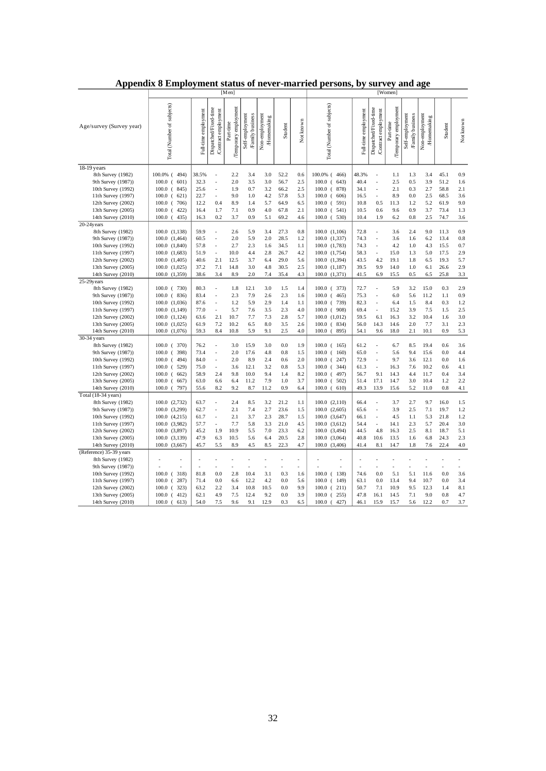|                                               | [Men]                          |                            |                                              |                                   |                                    |                              | [Women]              |                |                                |                          |                                              |                                   |                                     |                              |              |            |
|-----------------------------------------------|--------------------------------|----------------------------|----------------------------------------------|-----------------------------------|------------------------------------|------------------------------|----------------------|----------------|--------------------------------|--------------------------|----------------------------------------------|-----------------------------------|-------------------------------------|------------------------------|--------------|------------|
| Age/survey (Survey year)                      | Total (Number of subjects)     | Full-time employment       | Dispatched/Fixed-time<br>Contract employment | Temporary employment<br>Part-time | Self-employment<br>Family business | Non-employment<br>Homemaking | Student              | Not known      | Total (Number of subjects)     | employment<br>Full-time  | Dispatched/Fixed-time<br>Contract employment | Temporary employment<br>Part-time | Self-employment<br>/Family business | Non-employment<br>Homemaking | Student      | Not known  |
| 18-19 years                                   |                                |                            |                                              |                                   |                                    |                              |                      |                |                                |                          |                                              |                                   |                                     |                              |              |            |
| 8th Survey (1982)                             | 100.0% (494)                   | 38.5%                      | ÷,                                           | 2.2                               | 3.4                                | 3.0                          | 52.2                 | 0.6            | 100.0% (466)                   | 48.3%                    | ÷,                                           | 1.1                               | 1.3                                 | 3.4                          | 45.1         | 0.9        |
| 9th Survey (1987))                            | $100.0$ (<br>601)              | 32.3                       | $\ddot{\phantom{1}}$                         | 2.0                               | 3.5                                | 3.0                          | 56.7                 | 2.5            | 100.0 (643)                    | 40.4                     | L,                                           | 2.5                               | 0.5                                 | 3.9                          | 51.2         | 1.6        |
| 10th Survey (1992)                            | $100.0$ (<br>845)              | 25.6                       | ÷,                                           | 1.9                               | 0.7                                | 3.2                          | 66.2                 | 2.5            | $100.0$ (878)                  | 34.1                     | $\overline{a}$                               | 2.1                               | 0.3                                 | 2.7                          | 58.8         | 2.1        |
| 11th Survey (1997)                            | $100.0$ (<br>621)              | 22.7                       |                                              | 9.0                               | 1.0                                | 4.2                          | 57.8                 | 5.3            | $100.0$ (<br>606)              | 16.5                     |                                              | 8.9                               | 0.0                                 | 2.5                          | 68.5         | 3.6        |
| 12th Survey (2002)                            | $100.0$ (<br>706)              | 12.2                       | 0.4                                          | 8.9                               | 1.4                                | 5.7                          | 64.9                 | 6.5            | $100.0$ ( 591)                 | 10.8                     | 0.5                                          | 11.3                              | 1.2                                 | 5.2                          | 61.9         | 9.0        |
| 13th Survey (2005)                            | $100.0$ (422)                  | 16.4                       | 1.7                                          | 7.1                               | 0.9                                | 4.0                          | 67.8                 | 2.1            | $100.0$ ( 541)                 | 10.5                     | 0.6                                          | 9.6                               | 0.9                                 | 3.7                          | 73.4         | 1.3        |
| 14th Survey (2010)                            | $100.0$ (<br>435)              | 16.3                       | 0.2                                          | 3.7                               | 0.9                                | 5.1                          | 69.2                 | 4.6            | $100.0$ ( 530)                 | 10.4                     | 1.9                                          | 6.2                               | 0.8                                 | 2.5                          | 74.7         | 3.6        |
| $20-24$ years                                 |                                |                            |                                              |                                   |                                    |                              |                      |                |                                |                          |                                              |                                   |                                     |                              |              |            |
| 8th Survey (1982)                             | 100.0 (1,138)                  | 59.9                       |                                              | 2.6                               | 5.9                                | 3.4                          | 27.3                 | $0.8\,$        | $100.0$ $(1,106)$              | 72.8                     | ä,                                           | 3.6                               | 2.4                                 | 9.0                          | 11.3         | 0.9        |
| 9th Survey (1987))                            | $100.0$ $(1,464)$              | 60.5                       | $\overline{\phantom{a}}$                     | 2.0<br>2.7                        | 5.9                                | 2.0                          | 28.5                 | 1.2            | 100.0 (1,337)                  | 74.3                     | $\ddot{\phantom{0}}$                         | 3.6                               | 1.6                                 | 6.2                          | 13.4<br>15.5 | 0.8<br>0.7 |
| 10th Survey (1992)                            | 100.0 (1,840)                  | 57.8<br>51.9               | ÷,                                           |                                   | 2.3<br>4.4                         | 1.6<br>2.8                   | 34.5<br>26.7         | 1.1<br>4.2     | 100.0 (1,783)                  | 74.3                     | L,                                           | 4.2<br>15.0                       | 1.0                                 | 4.3<br>5.0                   | 17.5         | 2.9        |
| 11th Survey (1997)                            | $100.0$ $(1,683)$              |                            | 2.1                                          | 10.0                              | 3.7                                | 6.4                          | 29.0                 | 5.6            | 100.0 (1,754)                  | 58.3                     | 4.2                                          | 19.1                              | 1.3                                 | 6.5                          | 19.3         | 5.7        |
| 12th Survey (2002)<br>13th Survey (2005)      | 100.0 (1,405)<br>100.0 (1,025) | 40.6<br>37.2               | 7.1                                          | 12.5<br>14.8                      | 3.0                                | 4.8                          | 30.5                 | 2.5            | 100.0 (1,394)<br>100.0 (1,187) | 43.5<br>39.5             | 9.9                                          | 14.0                              | 1.8<br>1.0                          | 6.1                          | 26.6         | 2.9        |
| 14th Survey (2010)                            | 100.0 (1,359)                  | 38.6                       | 3.4                                          | 8.9                               | 2.0                                | 7.4                          | 35.4                 | 4.3            | 100.0 (1,371)                  | 41.5                     | 6.9                                          | 15.5                              | 0.5                                 | 6.5                          | 25.8         | 3.3        |
| 25-29years                                    |                                |                            |                                              |                                   |                                    |                              |                      |                |                                |                          |                                              |                                   |                                     |                              |              |            |
| 8th Survey (1982)                             | $100.0$ ( 730)                 | 80.3                       | $\ddot{\phantom{0}}$                         | 1.8                               | 12.1                               | 3.0                          | 1.5                  | 1.4            | $100.0$ ( 373)                 | 72.7                     | L.                                           | 5.9                               | 3.2                                 | 15.0                         | 0.3          | 2.9        |
| 9th Survey (1987))                            | $100.0$ (836)                  | 83.4                       | $\overline{a}$                               | 2.3                               | 7.9                                | 2.6                          | 2.3                  | 1.6            | $100.0$ ( 465)                 | 75.3                     |                                              | 6.0                               | 5.6                                 | 11.2                         | 1.1          | 0.9        |
| 10th Survey (1992)                            | 100.0 (1,036)                  | 87.6                       | $\overline{\phantom{a}}$                     | 1.2                               | 5.9                                | 2.9                          | 1.4                  | 1.1            | $100.0$ ( 739)                 | 82.3                     | ä,                                           | 6.4                               | 1.5                                 | 8.4                          | 0.3          | 1.2        |
| 11th Survey (1997)                            | 100.0 (1,149)                  | 77.0                       | ÷,                                           | 5.7                               | 7.6                                | 3.5                          | 2.3                  | 4.0            | $100.0$ ( $908$ )              | 69.4                     | ÷,                                           | 15.2                              | 3.9                                 | 7.5                          | 1.5          | 2.5        |
| 12th Survey (2002)                            | 100.0 (1,124)                  | 63.6                       | 2.1                                          | 10.7                              | 7.7                                | 7.3                          | 2.8                  | 5.7            | 100.0 (1,012)                  | 59.5                     | 6.1                                          | 16.3                              | 3.2                                 | 10.4                         | 1.6          | 3.0        |
| 13th Survey (2005)                            | 100.0 (1,025)                  | 61.9                       | 7.2                                          | 10.2                              | 6.5                                | 8.0                          | 3.5                  | 2.6            | $100.0$ (834)                  | 56.0                     | 14.3                                         | 14.6                              | 2.0                                 | 7.7                          | 3.1          | 2.3        |
| 14th Survey (2010)                            | 100.0 (1,076)                  | 59.3                       | 8.4                                          | 10.8                              | 5.9                                | 9.1                          | 2.5                  | 4.0            | $100.0$ (895)                  | 54.1                     | 9.6                                          | 18.0                              | 2.1                                 | 10.1                         | 0.9          | 5.3        |
| 30-34 years                                   |                                |                            |                                              |                                   |                                    |                              |                      |                |                                |                          |                                              |                                   |                                     |                              |              |            |
| 8th Survey (1982)                             | $100.0$ ( 370)                 | 76.2                       |                                              | 3.0                               | 15.9                               | 3.0                          | 0.0                  | 1.9            | $100.0$ ( 165)                 | 61.2                     | L.                                           | 6.7                               | 8.5                                 | 19.4                         | 0.6          | 3.6        |
| 9th Survey (1987))                            | $100.0$ (<br>398)              | 73.4                       | L,                                           | 2.0                               | 17.6                               | 4.8                          | 0.8                  | 1.5            | $100.0$ ( 160)                 | 65.0                     | L,                                           | 5.6                               | 9.4                                 | 15.6                         | 0.0          | 4.4        |
| 10th Survey (1992)                            | $100.0$ (494)                  | 84.0                       | ä,                                           | 2.0                               | 8.9                                | 2.4                          | $0.6\,$              | 2.0            | $100.0$ ( 247)                 | 72.9                     | L,                                           | 9.7                               | 3.6                                 | 12.1                         | 0.0          | 1.6        |
| 11th Survey (1997)                            | $100.0$ ( 529)                 | 75.0                       | $\bar{a}$                                    | 3.6                               | 12.1                               | 3.2                          | 0.8                  | 5.3            | $100.0$ ( 344)                 | 61.3                     | L                                            | 16.3                              | 7.6                                 | 10.2                         | 0.6          | 4.1        |
| 12th Survey (2002)                            | $100.0$ (<br>662)              | 58.9                       | 2.4                                          | 9.8                               | 10.0                               | 9.4                          | 1.4                  | 8.2            | $100.0$ (497)                  | 56.7                     | 9.1                                          | 14.3                              | 4.4                                 | 11.7                         | 0.4          | 3.4        |
| 13th Survey (2005)                            | $100.0$ (<br>667)              | 63.0                       | 6.6                                          | 6.4                               | 11.2                               | 7.9                          | 1.0                  | 3.7            | $100.0$ ( 502)                 | 51.4                     | 17.1                                         | 14.7                              | 3.0                                 | 10.4                         | 1.2          | 2.2        |
| 14th Survey (2010)                            | $100.0$ ( 797)                 | 55.6                       | 8.2                                          | 9.2                               | 8.7                                | 11.2                         | 0.9                  | 6.4            | $100.0$ (610)                  | 49.3                     | 13.9                                         | 15.6                              | 5.2                                 | 11.0                         | 0.8          | 4.1        |
| Total (18-34 years)                           |                                |                            |                                              |                                   |                                    |                              |                      |                |                                |                          |                                              |                                   |                                     |                              |              |            |
| 8th Survey (1982)                             | 100.0 (2,732)                  | 63.7                       | L,                                           | 2.4                               | 8.5                                | 3.2                          | 21.2                 | 1.1            | $100.0$ $(2,110)$              | 66.4                     | L.                                           | 3.7                               | 2.7                                 | 9.7                          | 16.0         | 1.5        |
| 9th Survey (1987))                            | 100.0 (3,299)                  | 62.7                       |                                              | 2.1                               | 7.4                                | 2.7                          | 23.6                 | 1.5            | $100.0$ $(2,605)$              | 65.6                     |                                              | 3.9                               | 2.5                                 | 7.1                          | 19.7         | 1.2        |
| 10th Survey (1992)                            | 100.0 (4,215)                  | 61.7                       | L.                                           | 2.1                               | 3.7                                | 2.3                          | 28.7                 | 1.5            | $100.0$ $(3,647)$              | 66.1                     | $\overline{a}$                               | 4.5                               | 1.1                                 | 5.3                          | 21.8         | 1.2        |
| 11th Survey (1997)                            | 100.0 (3,982)                  | 57.7                       | ÷.                                           | 7.7                               | 5.8                                | 3.3                          | 21.0                 | 4.5            | 100.0(3,612)                   | 54.4                     | L.                                           | 14.1                              | 2.3                                 | 5.7                          | 20.4         | 3.0        |
| 12th Survey (2002)                            | 100.0 (3,897)                  | 45.2                       | 1.9                                          | 10.9                              | 5.5                                | 7.0                          | 23.3                 | 6.2            | 100.0 (3,494)                  | 44.5                     | 4.8                                          | 16.3                              | 2.5                                 | 8.1                          | 18.7         | 5.1        |
| 13th Survey (2005)                            | 100.0 (3,139)                  | 47.9                       | 6.3<br>5.5                                   | 10.5<br>8.9                       | 5.6<br>4.5                         | 6.4<br>8.5                   | 20.5<br>22.3         | 2.8<br>4.7     | 100.0 (3,064)                  | 40.8                     | 10.6<br>8.1                                  | 13.5<br>14.7                      | 1.6                                 | 6.8                          | 24.3<br>22.4 | 2.3<br>4.0 |
| 14th Survey (2010)<br>(Reference) 35-39 years | 100.0(3,667)                   | 45.7                       |                                              |                                   |                                    |                              |                      |                | 100.0 (3,406)                  | 41.4                     |                                              |                                   | 1.8                                 | 7.6                          |              |            |
|                                               |                                |                            |                                              |                                   |                                    |                              |                      |                |                                |                          |                                              |                                   |                                     |                              |              |            |
| 8th Survey (1982)<br>9th Survey (1987))       |                                | $\ddot{\phantom{0}}$<br>÷, |                                              |                                   | ÷,                                 | L,                           | $\ddot{\phantom{0}}$ | $\overline{a}$ |                                | $\overline{\phantom{a}}$ |                                              | $\ddot{\phantom{0}}$              | $\overline{a}$                      |                              | ÷,           | $\sim$     |
| 10th Survey (1992)                            | 318)<br>100.0<br>$\left($      | 81.8                       | 0.0                                          | 2.8                               | 10.4                               | 3.1                          | 0.3                  | 1.6            | $100.0$ (<br>138)              | 74.6                     | 0.0                                          | 5.1                               | 5.1                                 | 11.6                         | 0.0          | 3.6        |
| 11th Survey (1997)                            | 100.0<br>287)<br>$\left($      | 71.4                       | 0.0                                          | 6.6                               | 12.2                               | 4.2                          | 0.0                  | 5.6            | $100.0$ ( 149)                 | 63.1                     | 0.0                                          | 13.4                              | 9.4                                 | 10.7                         | 0.0          | 3.4        |
| 12th Survey (2002)                            | $100.0$ (<br>323)              | 63.2                       | 2.2                                          | 3.4                               | 10.8                               | 10.5                         | $0.0\,$              | 9.9            | $100.0$ ( 211)                 | 50.7                     | 7.1                                          | 10.9                              | 9.5                                 | 12.3                         | 1.4          | 8.1        |
| 13th Survey (2005)                            | $100.0$ (412)                  | 62.1                       | 4.9                                          | 7.5                               | 12.4                               | 9.2                          | 0.0                  | 3.9            | $100.0$ ( 255)                 | 47.8                     | 16.1                                         | 14.5                              | 7.1                                 | 9.0                          | 0.8          | 4.7        |
| 14th Survey (2010)                            | $100.0$ (<br>613)              | 54.0                       | 7.5                                          | 9.6                               | 9.1                                | 12.9                         | 0.3                  | 6.5            | 100.0<br>427)<br>$\left($      | 46.1                     | 15.9                                         | 15.7                              | 5.6                                 | 12.2                         | 0.7          | 3.7        |
|                                               |                                |                            |                                              |                                   |                                    |                              |                      |                |                                |                          |                                              |                                   |                                     |                              |              |            |

# **Appendix 8 Employment status of never-married persons, by survey and age**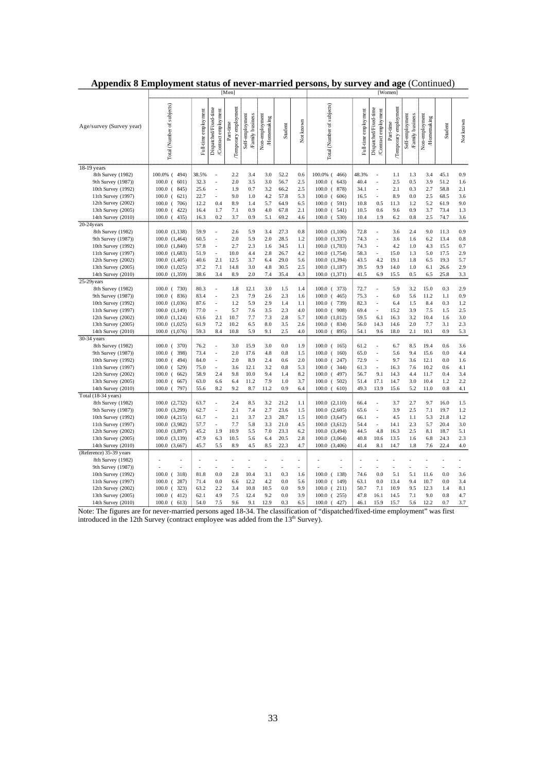|                                          | [Men]                          |                      |                                              |                                   |                                    |                              | [Women]      |            |                                |                      |                                               |                                   |                                    |                              |              |            |
|------------------------------------------|--------------------------------|----------------------|----------------------------------------------|-----------------------------------|------------------------------------|------------------------------|--------------|------------|--------------------------------|----------------------|-----------------------------------------------|-----------------------------------|------------------------------------|------------------------------|--------------|------------|
| Age/survey (Survey year)                 | Total (Number of subjects)     | Full-time employment | Dispatched/Fixed-time<br>Contract employment | Temporary employment<br>Part-time | Self-employment<br>Family business | Non-employment<br>Homenaking | Student      | Not known  | Total (Number of subjects)     | Full-time employment | Dispatched/Fixed-time<br>/Contract employment | Temporary employment<br>Part-time | Self-employment<br>Family business | Non-employment<br>Homemaking | Student      | Not known  |
| $18-19$ years                            |                                |                      |                                              |                                   |                                    |                              |              |            |                                |                      |                                               |                                   |                                    |                              |              |            |
| 8th Survey (1982)                        | 100.0% (494)                   | 38.5%                | ÷,                                           | 2.2                               | 3.4                                | 3.0                          | 52.2         | 0.6        | 100.0% (466)                   | 48.3%                | ÷,                                            | 1.1                               | 1.3                                | 3.4                          | 45.1         | 0.9        |
| 9th Survey (1987))                       | $100.0$ (<br>601)              | 32.3                 | L,                                           | 2.0                               | 3.5                                | 3.0                          | 56.7         | 2.5        | $100.0$ (643)                  | 40.4                 |                                               | 2.5                               | 0.5                                | 3.9                          | 51.2         | 1.6        |
| 10th Survey (1992)                       | $100.0$ (845)                  | 25.6                 | $\ddot{\phantom{1}}$                         | 1.9                               | 0.7                                | 3.2                          | 66.2         | 2.5        | $100.0$ (878)                  | 34.1                 | $\ddot{\phantom{1}}$                          | 2.1                               | 0.3                                | 2.7                          | 58.8         | 2.1        |
| 11th Survey (1997)                       | 621)<br>$100.0$ (              | 22.7                 | L,                                           | 9.0                               | 1.0                                | 4.2                          | 57.8         | 5.3        | $100.0$ (606)                  | 16.5                 |                                               | 8.9                               | 0.0                                | 2.5                          | 68.5         | 3.6        |
| 12th Survey $(2002)$                     | 706)<br>$100.0$ (              | 12.2                 | 0.4                                          | 8.9                               | 1.4                                | 5.7                          | 64.9         | 6.5        | $100.0$ ( 591)                 | 10.8                 | 0.5                                           | 11.3                              | 1.2                                | 5.2                          | 61.9         | 9.0        |
| 13th Survey (2005)                       | $100.0$ (<br>422)              | 16.4                 | 1.7                                          | 7.1                               | 0.9                                | 4.0                          | 67.8         | 2.1        | $100.0$ ( 541)                 | 10.5                 | 0.6                                           | 9.6                               | 0.9                                | 3.7                          | 73.4         | 1.3        |
| 14th Survey (2010)                       | $100.0$ (<br>435)              | 16.3                 | 0.2                                          | 3.7                               | 0.9                                | 5.1                          | 69.2         | 4.6        | $100.0$ ( 530)                 | 10.4                 | 1.9                                           | 6.2                               | 0.8                                | 2.5                          | 74.7         | 3.6        |
| 20-24years                               |                                |                      |                                              |                                   |                                    |                              |              |            |                                |                      |                                               |                                   |                                    | 9.0                          |              |            |
| 8th Survey (1982)                        | 100.0 (1,138)                  | 59.9                 | ÷,                                           | 2.6<br>2.0                        | 5.9<br>5.9                         | 3.4<br>2.0                   | 27.3         | 0.8        | 100.0 (1,106)                  | 72.8<br>74.3         | $\ddot{\phantom{0}}$                          | 3.6<br>3.6                        | 2.4                                | 6.2                          | 11.3<br>13.4 | 0.9        |
| 9th Survey (1987))<br>10th Survey (1992) | 100.0 (1,464)<br>100.0 (1,840) | 60.5<br>57.8         | J.                                           | 2.7                               | 2.3                                | 1.6                          | 28.5<br>34.5 | 1.2<br>1.1 | 100.0 (1,337)<br>100.0 (1,783) | 74.3                 |                                               | 4.2                               | 1.6<br>1.0                         | 4.3                          | 15.5         | 0.8<br>0.7 |
| 11th Survey (1997)                       | 100.0 (1,683)                  | 51.9                 | ÷.                                           | 10.0                              | 4.4                                | 2.8                          | 26.7         | 4.2        | 100.0 (1,754)                  | 58.3                 |                                               | 15.0                              | 1.3                                | 5.0                          | 17.5         | 2.9        |
| 12th Survey (2002)                       | 100.0 (1,405)                  | 40.6                 | 2.1                                          | 12.5                              | 3.7                                | 6.4                          | 29.0         | 5.6        | 100.0 (1,394)                  | 43.5                 | 4.2                                           | 19.1                              | 1.8                                | 6.5                          | 19.3         | 5.7        |
| 13th Survey (2005)                       | 100.0 (1,025)                  | 37.2                 | 7.1                                          | 14.8                              | 3.0                                | 4.8                          | 30.5         | 2.5        | 100.0 (1,187)                  | 39.5                 | 9.9                                           | 14.0                              | 1.0                                | 6.1                          | 26.6         | 2.9        |
| 14th Survey (2010)                       | 100.0 (1,359)                  | 38.6                 | 3.4                                          | 8.9                               | 2.0                                | 7.4                          | 35.4         | 4.3        | 100.0 (1,371)                  | 41.5                 | 6.9                                           | 15.5                              | 0.5                                | 6.5                          | 25.8         | 3.3        |
| $25-29y$ ears                            |                                |                      |                                              |                                   |                                    |                              |              |            |                                |                      |                                               |                                   |                                    |                              |              |            |
| 8th Survey (1982)                        | 100.0 ( 730)                   | 80.3                 |                                              | 1.8                               | 12.1                               | 3.0                          | 1.5          | 1.4        | $100.0$ ( 373)                 | 72.7                 |                                               | 5.9                               | 3.2                                | 15.0                         | 0.3          | 2.9        |
| 9th Survey (1987))                       | $100.0$ (836)                  | 83.4                 | ÷,                                           | 2.3                               | 7.9                                | 2.6                          | 2.3          | 1.6        | $100.0$ ( 465)                 | 75.3                 |                                               | 6.0                               | 5.6                                | 11.2                         | 1.1          | 0.9        |
| 10th Survey (1992)                       | 100.0 (1,036)                  | 87.6                 |                                              | 1.2                               | 5.9                                | 2.9                          | 1.4          | 1.1        | 100.0 ( 739)                   | 82.3                 |                                               | 6.4                               | 1.5                                | 8.4                          | 0.3          | 1.2        |
| 11th Survey (1997)                       | 100.0 (1,149)                  | 77.0                 | L,                                           | 5.7                               | 7.6                                | 3.5                          | 2.3          | 4.0        | $100.0$ ( $908$ )              | 69.4                 |                                               | 15.2                              | 3.9                                | 7.5                          | 1.5          | 2.5        |
| 12th Survey (2002)                       | 100.0 (1,124)                  | 63.6                 | 2.1                                          | 10.7                              | 7.7                                | 7.3                          | 2.8          | 5.7        | 100.0 (1,012)                  | 59.5                 | 6.1                                           | 16.3                              | 3.2                                | 10.4                         | 1.6          | 3.0        |
| 13th Survey (2005)                       | 100.0 (1,025)                  | 61.9                 | 7.2                                          | 10.2                              | 6.5                                | 8.0                          | 3.5          | 2.6        | $100.0$ (834)                  | 56.0                 | 14.3                                          | 14.6                              | 2.0                                | 7.7                          | 3.1          | 2.3        |
| 14th Survey (2010)                       | 100.0 (1,076)                  | 59.3                 | 8.4                                          | 10.8                              | 5.9                                | 9.1                          | 2.5          | 4.0        | $100.0$ (895)                  | 54.1                 | 9.6                                           | 18.0                              | 2.1                                | 10.1                         | 0.9          | 5.3        |
| 30-34 years                              |                                |                      |                                              |                                   |                                    |                              |              |            |                                |                      |                                               |                                   |                                    |                              |              |            |
| 8th Survey (1982)                        | $100.0$ ( 370)                 | 76.2                 | ÷,                                           | 3.0                               | 15.9                               | 3.0                          | 0.0          | 1.9        | $100.0$ ( 165)                 | 61.2                 | ÷,                                            | 6.7                               | 8.5                                | 19.4                         | 0.6          | 3.6        |
| 9th Survey (1987))                       | 398)<br>100.0<br>$\left($      | 73.4                 | $\ddot{\phantom{0}}$                         | 2.0                               | 17.6                               | 4.8                          | 0.8          | 1.5        | $100.0$ ( 160)                 | 65.0                 |                                               | 5.6                               | 9.4                                | 15.6                         | 0.0          | 4.4        |
| 10th Survey (1992)                       | $100.0$ (<br>494)              | 84.0                 | J.                                           | 2.0                               | 8.9                                | 2.4                          | 0.6          | 2.0        | $100.0$ ( 247)                 | 72.9                 |                                               | 9.7                               | 3.6                                | 12.1                         | 0.0          | 1.6        |
| 11th Survey (1997)                       | $100.0$ (<br>529)              | 75.0                 | $\bar{\phantom{a}}$                          | 3.6                               | 12.1                               | 3.2                          | 0.8          | 5.3        | $100.0$ ( 344)                 | 61.3                 |                                               | 16.3                              | 7.6                                | 10.2                         | 0.6          | 4.1        |
| 12th Survey (2002)                       | $100.0$ (<br>662)              | 58.9                 | 2.4                                          | 9.8                               | 10.0                               | 9.4                          | 1.4          | 8.2        | $100.0$ (497)                  | 56.7                 | 9.1                                           | 14.3                              | 4.4                                | 11.7                         | 0.4          | 3.4        |
| 13th Survey (2005)                       | $100.0$ (<br>667)              | 63.0                 | 6.6                                          | 6.4                               | 11.2                               | 7.9                          | 1.0          | 3.7        | $100.0$ ( 502)                 | 51.4                 | 17.1                                          | 14.7                              | 3.0                                | 10.4                         | 1.2          | 2.2        |
| 14th Survey (2010)                       | 797)<br>$100.0$ (              | 55.6                 | 8.2                                          | 9.2                               | 8.7                                | 11.2                         | 0.9          | 6.4        | $100.0$ (610)                  | 49.3                 | 13.9                                          | 15.6                              | 5.2                                | 11.0                         | 0.8          | 4.1        |
| Total (18-34 years)                      |                                |                      |                                              |                                   |                                    |                              |              |            |                                |                      |                                               |                                   |                                    |                              |              |            |
| 8th Survey (1982)                        | $100.0$ $(2,732)$              | 63.7                 |                                              | 2.4                               | 8.5                                | 3.2                          | 21.2         | 1.1        | 100.0(2,110)                   | 66.4                 | $\sim$                                        | 3.7                               | 2.7                                | 9.7                          | 16.0         | 1.5        |
| 9th Survey (1987))                       | 100.0 (3,299)                  | 62.7                 | J.                                           | 2.1                               | 7.4                                | 2.7                          | 23.6         | 1.5        | $100.0$ $(2,605)$              | 65.6                 |                                               | 3.9                               | 2.5                                | 7.1                          | 19.7         | 1.2        |
| 10th Survey (1992)                       | 100.0 (4,215)                  | 61.7                 | J.                                           | 2.1                               | 3.7                                | 2.3                          | 28.7         | 1.5        | 100.0 (3,647)                  | 66.1                 |                                               | 4.5                               | 1.1                                | 5.3                          | 21.8         | 1.2        |
| 11th Survey (1997)                       | 100.0 (3,982)                  | 57.7                 | ÷,                                           | 7.7                               | 5.8                                | 3.3                          | 21.0         | 4.5        | 100.0(3,612)                   | 54.4                 | ä,                                            | 14.1                              | 2.3                                | 5.7                          | 20.4         | 3.0        |
| 12th Survey (2002)                       | 100.0 (3,897)                  | 45.2                 | 1.9                                          | 10.9                              | 5.5                                | 7.0                          | 23.3         | 6.2        | 100.0<br>(3,494)               | 44.5                 | 4.8                                           | 16.3                              | 2.5                                | 8.1                          | 18.7         | 5.1        |
| 13th Survey (2005)                       | 100.0 (3,139)                  | 47.9                 | 6.3                                          | 10.5                              | 5.6                                | 6.4                          | 20.5         | 2.8        | 100.0 (3,064)                  | 40.8                 | 10.6                                          | 13.5                              | 1.6                                | 6.8                          | 24.3         | 2.3        |
| 14th Survey (2010)                       | 100.0 (3,667)                  | 45.7                 | 5.5                                          | 8.9                               | 4.5                                | 8.5                          | 22.3         | 4.7        | 100.0 (3,406)                  | 41.4                 | 8.1                                           | 14.7                              | 1.8                                | 7.6                          | 22.4         | 4.0        |
| (Reference) 35-39 years                  |                                |                      |                                              |                                   |                                    |                              |              |            |                                |                      |                                               |                                   |                                    |                              |              |            |
| 8th Survey (1982)                        |                                | l,                   |                                              |                                   |                                    |                              |              | L,         |                                | l,                   |                                               |                                   |                                    |                              | L            | ÷.         |
| 9th Survey (1987))                       |                                | ä,                   |                                              |                                   | ä,                                 | ä,                           |              | ä,         |                                | l,                   |                                               | L,                                |                                    |                              | L.           | ÷.         |
| 10th Survey (1992)                       | $100.0$ ( 318)                 | 81.8                 | 0.0                                          | 2.8                               | 10.4                               | 3.1                          | 0.3          | 1.6        | $100.0$ ( 138)                 | 74.6                 | 0.0                                           | 5.1                               | 5.1                                | 11.6                         | 0.0          | 3.6        |
| 11th Survey (1997)                       | 100.0<br>287)<br>$\left($      | 71.4                 | 0.0                                          | 6.6                               | 12.2                               | 4.2                          | 0.0          | 5.6        | $100.0$ ( 149)                 | 63.1                 | 0.0                                           | 13.4                              | 9.4                                | 10.7                         | 0.0          | 3.4        |
| 12th Survey (2002)                       | 323)<br>100.0<br>$\left($      | 63.2                 | 2.2                                          | 3.4                               | 10.8                               | 10.5                         | 0.0          | 9.9        | $100.0$ ( 211)                 | 50.7                 | 7.1                                           | 10.9                              | 9.5                                | 12.3                         | 1.4          | 8.1        |
| 13th Survey (2005)                       | $100.0$ (412)                  | 62.1                 | 4.9                                          | 7.5                               | 12.4                               | 9.2<br>12.9                  | 0.0          | 3.9        | $100.0$ ( 255)                 | 47.8                 | 16.1                                          | 14.5                              | 7.1                                | 9.0<br>12.2                  | 0.8          | 4.7        |
| 14th Survey (2010)                       | $100.0$ (613)                  | 54.0                 | 7.5                                          | 9.6                               | 9.1                                |                              | 0.3          | 6.5        | $100.0$ (427)                  | 46.1                 | 15.9                                          | 15.7                              | 5.6                                |                              | 0.7          | 3.7        |

|  | Appendix 8 Employment status of never-married persons, by survey and age (Continued) |  |
|--|--------------------------------------------------------------------------------------|--|
|  |                                                                                      |  |

Note: The figures are for never-married persons aged 18-34. The classification of "dispatched/fixed-time employment" was first introduced in the 12th Survey (contract employee was added from the  $13<sup>th</sup>$  Survey).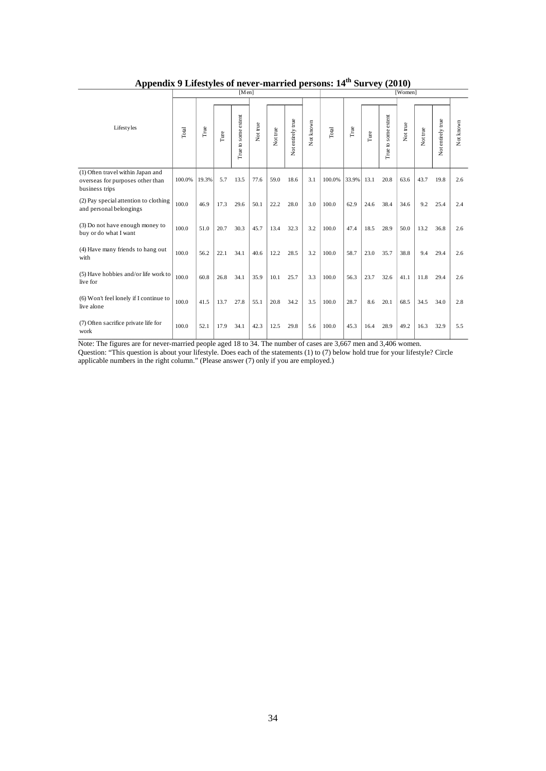|                                                                                         | [Men]  |               |      |                        |          |          |                   |           |        | [Women]     |      |                     |          |          |                   |           |  |
|-----------------------------------------------------------------------------------------|--------|---------------|------|------------------------|----------|----------|-------------------|-----------|--------|-------------|------|---------------------|----------|----------|-------------------|-----------|--|
|                                                                                         |        |               |      |                        |          |          |                   |           |        |             |      |                     |          |          |                   |           |  |
| <b>Lifestyles</b>                                                                       | Total  | $_{\rm True}$ | Ture | to some extent<br>True | Not true | Not true | Not entirely true | Not known | Total  | $\Gamma$ ue | Ture | True to some extent | Not true | Not true | Not entirely true | Not known |  |
| (1) Often travel within Japan and<br>overseas for purposes other than<br>business trips | 100.0% | 19.3%         | 5.7  | 13.5                   | 77.6     | 59.0     | 18.6              | 3.1       | 100.0% | 33.9%       | 13.1 | 20.8                | 63.6     | 43.7     | 19.8              | 2.6       |  |
| (2) Pay special attention to clothing<br>and personal belongings                        | 100.0  | 46.9          | 17.3 | 29.6                   | 50.1     | 22.2     | 28.0              | 3.0       | 100.0  | 62.9        | 24.6 | 38.4                | 34.6     | 9.2      | 25.4              | 2.4       |  |
| (3) Do not have enough money to<br>buy or do what I want                                | 100.0  | 51.0          | 20.7 | 30.3                   | 45.7     | 13.4     | 32.3              | 3.2       | 100.0  | 47.4        | 18.5 | 28.9                | 50.0     | 13.2     | 36.8              | 2.6       |  |
| (4) Have many friends to hang out<br>with                                               | 100.0  | 56.2          | 22.1 | 34.1                   | 40.6     | 12.2     | 28.5              | 3.2       | 100.0  | 58.7        | 23.0 | 35.7                | 38.8     | 9.4      | 29.4              | 2.6       |  |
| (5) Have hobbies and/or life work to<br>live for                                        | 100.0  | 60.8          | 26.8 | 34.1                   | 35.9     | 10.1     | 25.7              | 3.3       | 100.0  | 56.3        | 23.7 | 32.6                | 41.1     | 11.8     | 29.4              | 2.6       |  |
| (6) Won't feel lonely if I continue to<br>live alone                                    | 100.0  | 41.5          | 13.7 | 27.8                   | 55.1     | 20.8     | 34.2              | 3.5       | 100.0  | 28.7        | 8.6  | 20.1                | 68.5     | 34.5     | 34.0              | 2.8       |  |
| (7) Often sacrifice private life for<br>work                                            | 100.0  | 52.1          | 17.9 | 34.1                   | 42.3     | 12.5     | 29.8              | 5.6       | 100.0  | 45.3        | 16.4 | 28.9                | 49.2     | 16.3     | 32.9              | 5.5       |  |

# Appendix 9 Lifestyles of never-married persons:  $14<sup>th</sup>$  Survey (2010)

Note: The figures are for never-married people aged 18 to 34. The number of cases are 3,667 men and 3,406 women. Question: "This question is about your lifestyle. Does each of the statements (1) to (7) below hold true for your lifestyle? Circle applicable numbers in the right column." (Please answer (7) only if you are employed.)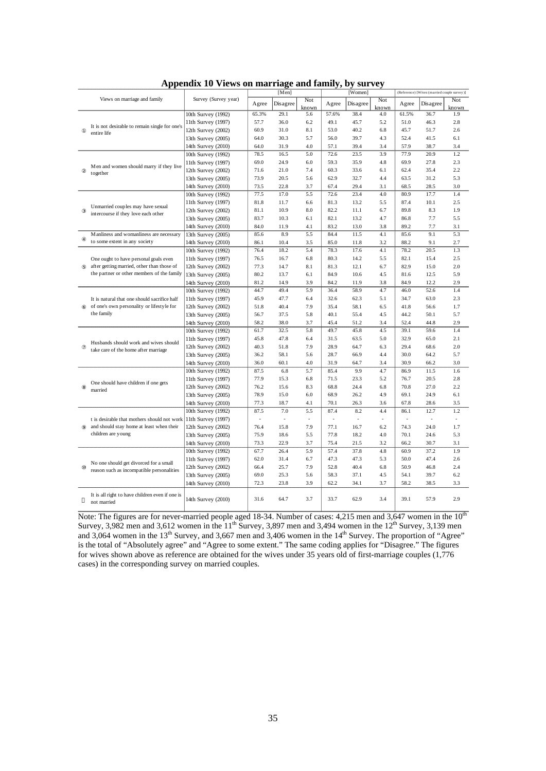|                                                                                           |                      |       | [Men]    |              |       | [Women]  |                          | (Reference) [Wives (married couple survey)] |          |              |  |
|-------------------------------------------------------------------------------------------|----------------------|-------|----------|--------------|-------|----------|--------------------------|---------------------------------------------|----------|--------------|--|
| Views on marriage and family                                                              | Survey (Survey year) | Agree | Disagree | Not<br>known | Agree | Disagree | Not<br>known             | Agree                                       | Disagree | Not<br>known |  |
|                                                                                           | 10th Survey (1992)   | 65.3% | 29.1     | 5.6          | 57.6% | 38.4     | 4.0                      | 61.5%                                       | 36.7     | 1.9          |  |
|                                                                                           | 11th Survey (1997)   | 57.7  | 36.0     | 6.2          | 49.1  | 45.7     | 5.2                      | 51.0                                        | 46.3     | $2.8\,$      |  |
| It is not desirable to remain single for one's<br>entire life                             | 12th Survey (2002)   | 60.9  | 31.0     | 8.1          | 53.0  | 40.2     | 6.8                      | 45.7                                        | 51.7     | 2.6          |  |
|                                                                                           | 13th Survey (2005)   | 64.0  | 30.3     | 5.7          | 56.0  | 39.7     | 4.3                      | 52.4                                        | 41.5     | 6.1          |  |
|                                                                                           | 14th Survey (2010)   | 64.0  | 31.9     | 4.0          | 57.1  | 39.4     | 3.4                      | 57.9                                        | 38.7     | 3.4          |  |
|                                                                                           | 10th Survey (1992)   | 78.5  | 16.5     | 5.0          | 72.6  | 23.5     | 3.9                      | 77.9                                        | 20.9     | 1.2          |  |
|                                                                                           | 11th Survey (1997)   | 69.0  | 24.9     | 6.0          | 59.3  | 35.9     | 4.8                      | 69.9                                        | 27.8     | 2.3          |  |
| Men and women should marry if they live                                                   | 12th Survey (2002)   | 71.6  | 21.0     | 7.4          | 60.3  | 33.6     | 6.1                      | 62.4                                        | 35.4     | 2.2          |  |
| together                                                                                  | 13th Survey (2005)   | 73.9  | 20.5     | 5.6          | 62.9  | 32.7     | 4.4                      | 63.5                                        | 31.2     | 5.3          |  |
|                                                                                           | 14th Survey (2010)   | 73.5  | 22.8     | 3.7          | 67.4  | 29.4     | 3.1                      | 68.5                                        | 28.5     | 3.0          |  |
|                                                                                           | 10th Survey (1992)   | 77.5  | 17.0     | 5.5          | 72.6  | 23.4     | 4.0                      | 80.9                                        | 17.7     | 1.4          |  |
|                                                                                           | 11th Survey (1997)   | 81.8  | 11.7     | 6.6          | 81.3  | 13.2     | 5.5                      | 87.4                                        | 10.1     | 2.5          |  |
| Unmarried couples may have sexual                                                         | 12th Survey (2002)   | 81.1  | 10.9     | 8.0          | 82.2  | 11.1     | 6.7                      | 89.8                                        | 8.3      | 1.9          |  |
| intercourse if they love each other                                                       | 13th Survey (2005)   | 83.7  | 10.3     | 6.1          | 82.1  | 13.2     | 4.7                      | 86.8                                        | 7.7      | 5.5          |  |
|                                                                                           | 14th Survey (2010)   | 84.0  | 11.9     | 4.1          | 83.2  | 13.0     | 3.8                      | 89.2                                        | 7.7      | 3.1          |  |
| Manliness and womanliness are necessary                                                   | 13th Survey (2005)   | 85.6  | 8.9      | 5.5          | 84.4  | 11.5     | 4.1                      | 85.6                                        | 9.1      | 5.3          |  |
| to some extent in any society                                                             | 14th Survey (2010)   | 86.1  | 10.4     | 3.5          | 85.0  | 11.8     | 3.2                      | 88.2                                        | 9.1      | 2.7          |  |
|                                                                                           | 10th Survey (1992)   | 76.4  | 18.2     | 5.4          | 78.3  | 17.6     | 4.1                      | 78.2                                        | 20.5     | 1.3          |  |
| One ought to have personal goals even                                                     | 11th Survey (1997)   | 76.5  | 16.7     | 6.8          | 80.3  | 14.2     | 5.5                      | 82.1                                        | 15.4     | 2.5          |  |
| after getting married, other than those of                                                | 12th Survey (2002)   | 77.3  | 14.7     | 8.1          | 81.3  | 12.1     | 6.7                      | 82.9                                        | 15.0     | 2.0          |  |
| the partner or other members of the family                                                | 13th Survey (2005)   | 80.2  | 13.7     | 6.1          | 84.9  | 10.6     | 4.5                      | 81.6                                        | 12.5     | 5.9          |  |
|                                                                                           |                      | 81.2  | 14.9     | 3.9          | 84.2  | 11.9     | 3.8                      | 84.9                                        | 12.2     | 2.9          |  |
|                                                                                           | 14th Survey (2010)   | 44.7  | 49.4     | 5.9          | 36.4  | 58.9     | 4.7                      | 46.0                                        | 52.6     | 1.4          |  |
|                                                                                           | 10th Survey (1992)   | 45.9  |          |              |       |          |                          |                                             | 63.0     |              |  |
| It is natural that one should sacrifice half<br>of one's own personality or lifestyle for | 11th Survey (1997)   |       | 47.7     | 6.4          | 32.6  | 62.3     | 5.1                      | 34.7                                        |          | 2.3          |  |
| the family                                                                                | 12th Survey (2002)   | 51.8  | 40.4     | 7.9          | 35.4  | 58.1     | 6.5                      | 41.8                                        | 56.6     | 1.7          |  |
|                                                                                           | 13th Survey (2005)   | 56.7  | 37.5     | 5.8          | 40.1  | 55.4     | 4.5                      | 44.2                                        | 50.1     | 5.7          |  |
|                                                                                           | 14th Survey (2010)   | 58.2  | 38.0     | 3.7          | 45.4  | 51.2     | 3.4                      | 52.4                                        | 44.8     | 2.9          |  |
|                                                                                           | 10th Survey (1992)   | 61.7  | 32.5     | 5.8          | 49.7  | 45.8     | 4.5                      | 39.1                                        | 59.6     | 1.4          |  |
| Husbands should work and wives should                                                     | 11th Survey (1997)   | 45.8  | 47.8     | 6.4          | 31.5  | 63.5     | 5.0                      | 32.9                                        | 65.0     | 2.1          |  |
| take care of the home after marriage                                                      | 12th Survey (2002)   | 40.3  | 51.8     | 7.9          | 28.9  | 64.7     | 6.3                      | 29.4                                        | 68.6     | 2.0          |  |
|                                                                                           | 13th Survey (2005)   | 36.2  | 58.1     | 5.6          | 28.7  | 66.9     | 4.4                      | 30.0                                        | 64.2     | 5.7          |  |
|                                                                                           | 14th Survey (2010)   | 36.0  | 60.1     | 4.0          | 31.9  | 64.7     | 3.4                      | 30.9                                        | 66.2     | 3.0          |  |
|                                                                                           | 10th Survey (1992)   | 87.5  | 6.8      | 5.7          | 85.4  | 9.9      | 4.7                      | 86.9                                        | 11.5     | 1.6          |  |
| One should have children if one gets                                                      | 11th Survey (1997)   | 77.9  | 15.3     | 6.8          | 71.5  | 23.3     | 5.2                      | 76.7                                        | 20.5     | 2.8          |  |
| married                                                                                   | 12th Survey (2002)   | 76.2  | 15.6     | 8.3          | 68.8  | 24.4     | 6.8                      | 70.8                                        | 27.0     | 2.2          |  |
|                                                                                           | 13th Survey (2005)   | 78.9  | 15.0     | 6.0          | 68.9  | 26.2     | 4.9                      | 69.1                                        | 24.9     | 6.1          |  |
|                                                                                           | 14th Survey (2010)   | 77.3  | 18.7     | 4.1          | 70.1  | 26.3     | 3.6                      | 67.8                                        | 28.6     | 3.5          |  |
|                                                                                           | 10th Survey (1992)   | 87.5  | 7.0      | 5.5          | 87.4  | 8.2      | 4.4                      | 86.1                                        | 12.7     | 1.2          |  |
| t is desirable that mothers should not work                                               | 11th Survey (1997)   | ä,    | $\sim$   | $\sim$       |       | ÷.       | $\overline{\phantom{a}}$ |                                             | ÷.       | $\sim$       |  |
| and should stay home at least when their                                                  | 12th Survey (2002)   | 76.4  | 15.8     | 7.9          | 77.1  | 16.7     | 6.2                      | 74.3                                        | 24.0     | 1.7          |  |
| children are young                                                                        | 13th Survey (2005)   | 75.9  | 18.6     | 5.5          | 77.8  | 18.2     | 4.0                      | 70.1                                        | 24.6     | 5.3          |  |
|                                                                                           | 14th Survey (2010)   | 73.3  | 22.9     | 3.7          | 75.4  | 21.5     | 3.2                      | 66.2                                        | 30.7     | 3.1          |  |
|                                                                                           | 10th Survey (1992)   | 67.7  | 26.4     | 5.9          | 57.4  | 37.8     | 4.8                      | 60.9                                        | 37.2     | 1.9          |  |
|                                                                                           | 11th Survey (1997)   | 62.0  | 31.4     | 6.7          | 47.3  | 47.3     | 5.3                      | 50.0                                        | 47.4     | 2.6          |  |
| No one should get divorced for a small<br>reason such as incompatible personalities       | 12th Survey (2002)   | 66.4  | 25.7     | 7.9          | 52.8  | 40.4     | 6.8                      | 50.9                                        | 46.8     | 2.4          |  |
|                                                                                           | 13th Survey (2005)   | 69.0  | 25.3     | 5.6          | 58.3  | 37.1     | 4.5                      | 54.1                                        | 39.7     | 6.2          |  |
|                                                                                           | 14th Survey (2010)   | 72.3  | 23.8     | 3.9          | 62.2  | 34.1     | 3.7                      | 58.2                                        | 38.5     | 3.3          |  |
| It is all right to have children even if one is<br>not married                            | 14th Survey (2010)   | 31.6  | 64.7     | 3.7          | 33.7  | 62.9     | 3.4                      | 39.1                                        | 57.9     | 2.9          |  |

**Appendix 10 Views on marriage and family, by survey**

Note: The figures are for never-married people aged 18-34. Number of cases: 4,215 men and 3,647 women in the  $10<sup>th</sup>$ Survey, 3,982 men and 3,612 women in the  $11<sup>th</sup>$  Survey, 3,897 men and 3,494 women in the  $12<sup>th</sup>$  Survey, 3,139 men and 3,064 women in the  $13<sup>th</sup>$  Survey, and 3,667 men and 3,406 women in the  $14<sup>th</sup>$  Survey. The proportion of "Agree" is the total of "Absolutely agree" and "Agree to some extent." The same coding applies for "Disagree." The figures for wives shown above as reference are obtained for the wives under 35 years old of first-marriage couples (1,776 cases) in the corresponding survey on married couples.